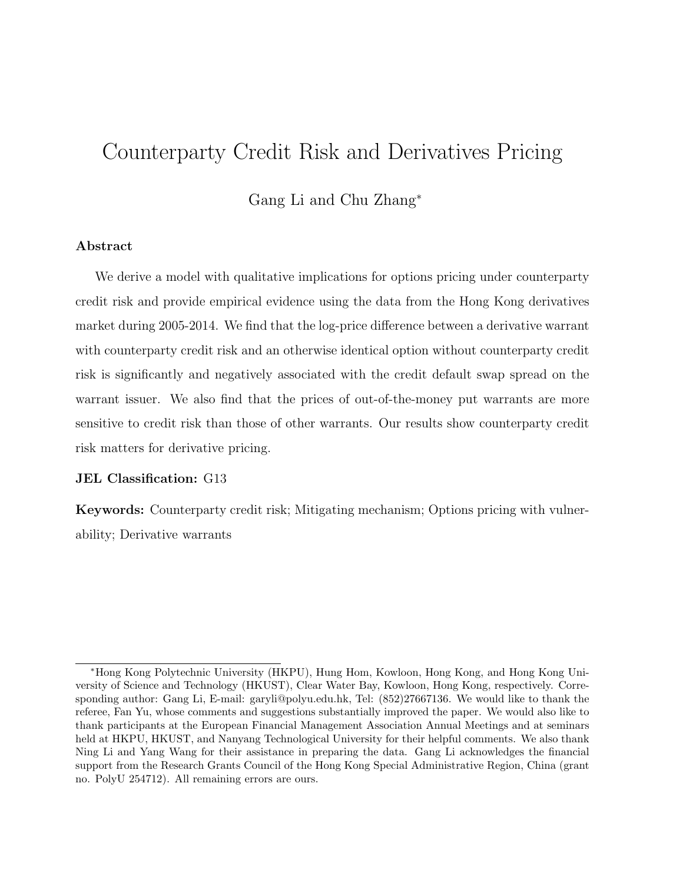# Counterparty Credit Risk and Derivatives Pricing

### Gang Li and Chu Zhang<sup>∗</sup>

#### Abstract

We derive a model with qualitative implications for options pricing under counterparty credit risk and provide empirical evidence using the data from the Hong Kong derivatives market during 2005-2014. We find that the log-price difference between a derivative warrant with counterparty credit risk and an otherwise identical option without counterparty credit risk is significantly and negatively associated with the credit default swap spread on the warrant issuer. We also find that the prices of out-of-the-money put warrants are more sensitive to credit risk than those of other warrants. Our results show counterparty credit risk matters for derivative pricing.

#### JEL Classification: G13

Keywords: Counterparty credit risk; Mitigating mechanism; Options pricing with vulnerability; Derivative warrants

<sup>∗</sup>Hong Kong Polytechnic University (HKPU), Hung Hom, Kowloon, Hong Kong, and Hong Kong University of Science and Technology (HKUST), Clear Water Bay, Kowloon, Hong Kong, respectively. Corresponding author: Gang Li, E-mail: garyli@polyu.edu.hk, Tel: (852)27667136. We would like to thank the referee, Fan Yu, whose comments and suggestions substantially improved the paper. We would also like to thank participants at the European Financial Management Association Annual Meetings and at seminars held at HKPU, HKUST, and Nanyang Technological University for their helpful comments. We also thank Ning Li and Yang Wang for their assistance in preparing the data. Gang Li acknowledges the financial support from the Research Grants Council of the Hong Kong Special Administrative Region, China (grant no. PolyU 254712). All remaining errors are ours.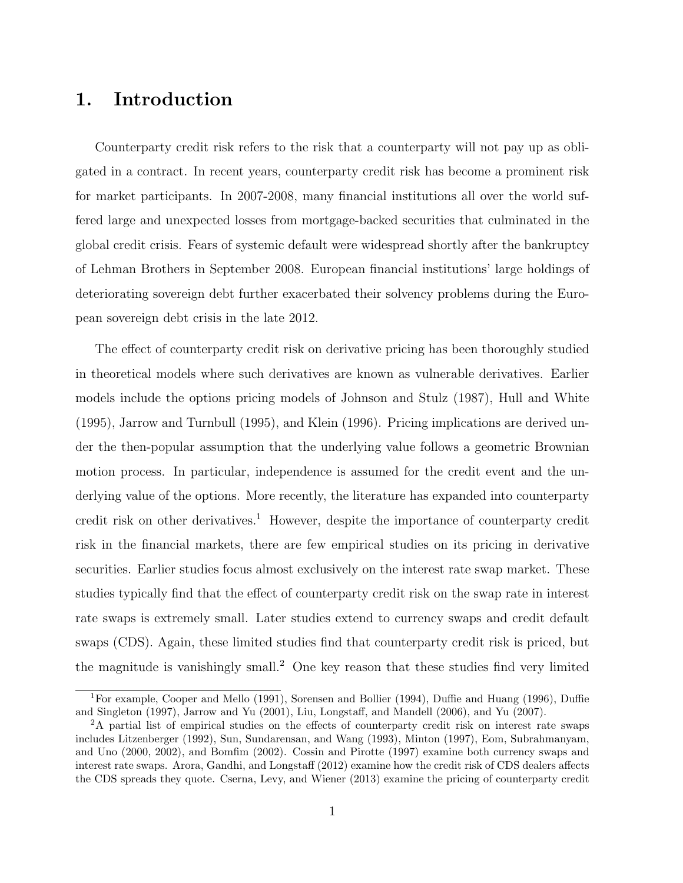# 1. Introduction

Counterparty credit risk refers to the risk that a counterparty will not pay up as obligated in a contract. In recent years, counterparty credit risk has become a prominent risk for market participants. In 2007-2008, many financial institutions all over the world suffered large and unexpected losses from mortgage-backed securities that culminated in the global credit crisis. Fears of systemic default were widespread shortly after the bankruptcy of Lehman Brothers in September 2008. European financial institutions' large holdings of deteriorating sovereign debt further exacerbated their solvency problems during the European sovereign debt crisis in the late 2012.

The effect of counterparty credit risk on derivative pricing has been thoroughly studied in theoretical models where such derivatives are known as vulnerable derivatives. Earlier models include the options pricing models of Johnson and Stulz (1987), Hull and White (1995), Jarrow and Turnbull (1995), and Klein (1996). Pricing implications are derived under the then-popular assumption that the underlying value follows a geometric Brownian motion process. In particular, independence is assumed for the credit event and the underlying value of the options. More recently, the literature has expanded into counterparty credit risk on other derivatives.<sup>1</sup> However, despite the importance of counterparty credit risk in the financial markets, there are few empirical studies on its pricing in derivative securities. Earlier studies focus almost exclusively on the interest rate swap market. These studies typically find that the effect of counterparty credit risk on the swap rate in interest rate swaps is extremely small. Later studies extend to currency swaps and credit default swaps (CDS). Again, these limited studies find that counterparty credit risk is priced, but the magnitude is vanishingly small.<sup>2</sup> One key reason that these studies find very limited

<sup>1</sup>For example, Cooper and Mello (1991), Sorensen and Bollier (1994), Duffie and Huang (1996), Duffie and Singleton (1997), Jarrow and Yu (2001), Liu, Longstaff, and Mandell (2006), and Yu (2007).

<sup>&</sup>lt;sup>2</sup>A partial list of empirical studies on the effects of counterparty credit risk on interest rate swaps includes Litzenberger (1992), Sun, Sundarensan, and Wang (1993), Minton (1997), Eom, Subrahmanyam, and Uno (2000, 2002), and Bomfim (2002). Cossin and Pirotte (1997) examine both currency swaps and interest rate swaps. Arora, Gandhi, and Longstaff (2012) examine how the credit risk of CDS dealers affects the CDS spreads they quote. Cserna, Levy, and Wiener (2013) examine the pricing of counterparty credit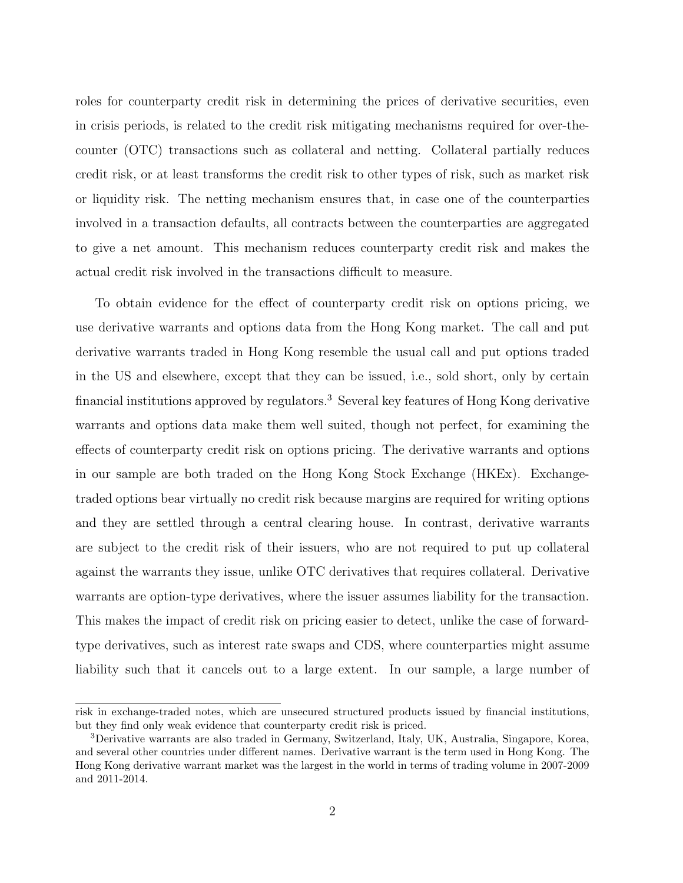roles for counterparty credit risk in determining the prices of derivative securities, even in crisis periods, is related to the credit risk mitigating mechanisms required for over-thecounter (OTC) transactions such as collateral and netting. Collateral partially reduces credit risk, or at least transforms the credit risk to other types of risk, such as market risk or liquidity risk. The netting mechanism ensures that, in case one of the counterparties involved in a transaction defaults, all contracts between the counterparties are aggregated to give a net amount. This mechanism reduces counterparty credit risk and makes the actual credit risk involved in the transactions difficult to measure.

To obtain evidence for the effect of counterparty credit risk on options pricing, we use derivative warrants and options data from the Hong Kong market. The call and put derivative warrants traded in Hong Kong resemble the usual call and put options traded in the US and elsewhere, except that they can be issued, i.e., sold short, only by certain financial institutions approved by regulators.<sup>3</sup> Several key features of Hong Kong derivative warrants and options data make them well suited, though not perfect, for examining the effects of counterparty credit risk on options pricing. The derivative warrants and options in our sample are both traded on the Hong Kong Stock Exchange (HKEx). Exchangetraded options bear virtually no credit risk because margins are required for writing options and they are settled through a central clearing house. In contrast, derivative warrants are subject to the credit risk of their issuers, who are not required to put up collateral against the warrants they issue, unlike OTC derivatives that requires collateral. Derivative warrants are option-type derivatives, where the issuer assumes liability for the transaction. This makes the impact of credit risk on pricing easier to detect, unlike the case of forwardtype derivatives, such as interest rate swaps and CDS, where counterparties might assume liability such that it cancels out to a large extent. In our sample, a large number of

risk in exchange-traded notes, which are unsecured structured products issued by financial institutions, but they find only weak evidence that counterparty credit risk is priced.

<sup>3</sup>Derivative warrants are also traded in Germany, Switzerland, Italy, UK, Australia, Singapore, Korea, and several other countries under different names. Derivative warrant is the term used in Hong Kong. The Hong Kong derivative warrant market was the largest in the world in terms of trading volume in 2007-2009 and 2011-2014.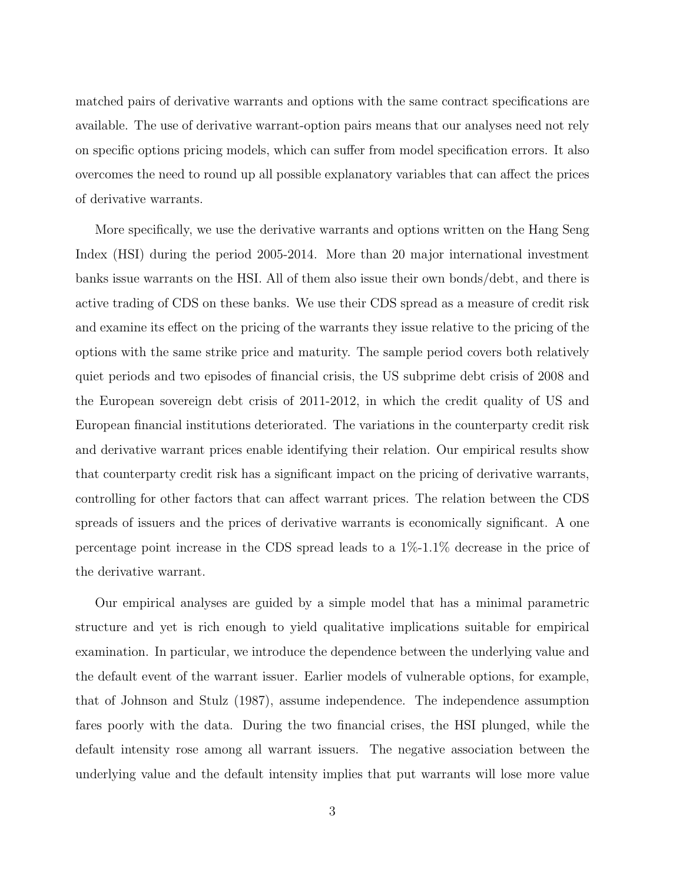matched pairs of derivative warrants and options with the same contract specifications are available. The use of derivative warrant-option pairs means that our analyses need not rely on specific options pricing models, which can suffer from model specification errors. It also overcomes the need to round up all possible explanatory variables that can affect the prices of derivative warrants.

More specifically, we use the derivative warrants and options written on the Hang Seng Index (HSI) during the period 2005-2014. More than 20 major international investment banks issue warrants on the HSI. All of them also issue their own bonds/debt, and there is active trading of CDS on these banks. We use their CDS spread as a measure of credit risk and examine its effect on the pricing of the warrants they issue relative to the pricing of the options with the same strike price and maturity. The sample period covers both relatively quiet periods and two episodes of financial crisis, the US subprime debt crisis of 2008 and the European sovereign debt crisis of 2011-2012, in which the credit quality of US and European financial institutions deteriorated. The variations in the counterparty credit risk and derivative warrant prices enable identifying their relation. Our empirical results show that counterparty credit risk has a significant impact on the pricing of derivative warrants, controlling for other factors that can affect warrant prices. The relation between the CDS spreads of issuers and the prices of derivative warrants is economically significant. A one percentage point increase in the CDS spread leads to a  $1\%$ -1.1% decrease in the price of the derivative warrant.

Our empirical analyses are guided by a simple model that has a minimal parametric structure and yet is rich enough to yield qualitative implications suitable for empirical examination. In particular, we introduce the dependence between the underlying value and the default event of the warrant issuer. Earlier models of vulnerable options, for example, that of Johnson and Stulz (1987), assume independence. The independence assumption fares poorly with the data. During the two financial crises, the HSI plunged, while the default intensity rose among all warrant issuers. The negative association between the underlying value and the default intensity implies that put warrants will lose more value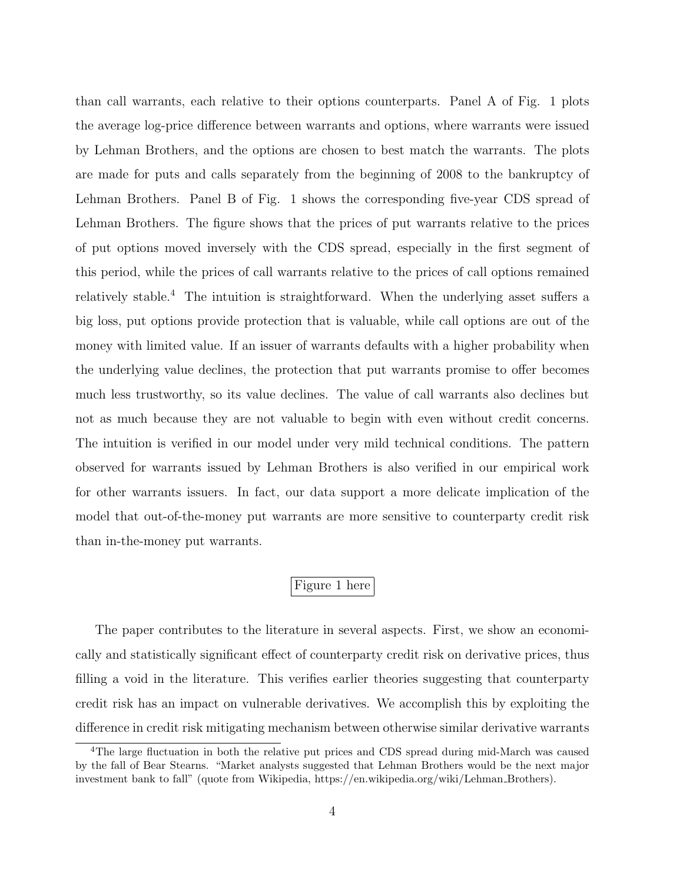than call warrants, each relative to their options counterparts. Panel A of Fig. 1 plots the average log-price difference between warrants and options, where warrants were issued by Lehman Brothers, and the options are chosen to best match the warrants. The plots are made for puts and calls separately from the beginning of 2008 to the bankruptcy of Lehman Brothers. Panel B of Fig. 1 shows the corresponding five-year CDS spread of Lehman Brothers. The figure shows that the prices of put warrants relative to the prices of put options moved inversely with the CDS spread, especially in the first segment of this period, while the prices of call warrants relative to the prices of call options remained relatively stable.<sup>4</sup> The intuition is straightforward. When the underlying asset suffers a big loss, put options provide protection that is valuable, while call options are out of the money with limited value. If an issuer of warrants defaults with a higher probability when the underlying value declines, the protection that put warrants promise to offer becomes much less trustworthy, so its value declines. The value of call warrants also declines but not as much because they are not valuable to begin with even without credit concerns. The intuition is verified in our model under very mild technical conditions. The pattern observed for warrants issued by Lehman Brothers is also verified in our empirical work for other warrants issuers. In fact, our data support a more delicate implication of the model that out-of-the-money put warrants are more sensitive to counterparty credit risk than in-the-money put warrants.

## Figure 1 here

The paper contributes to the literature in several aspects. First, we show an economically and statistically significant effect of counterparty credit risk on derivative prices, thus filling a void in the literature. This verifies earlier theories suggesting that counterparty credit risk has an impact on vulnerable derivatives. We accomplish this by exploiting the difference in credit risk mitigating mechanism between otherwise similar derivative warrants

<sup>4</sup>The large fluctuation in both the relative put prices and CDS spread during mid-March was caused by the fall of Bear Stearns. "Market analysts suggested that Lehman Brothers would be the next major investment bank to fall" (quote from Wikipedia, https://en.wikipedia.org/wiki/Lehman Brothers).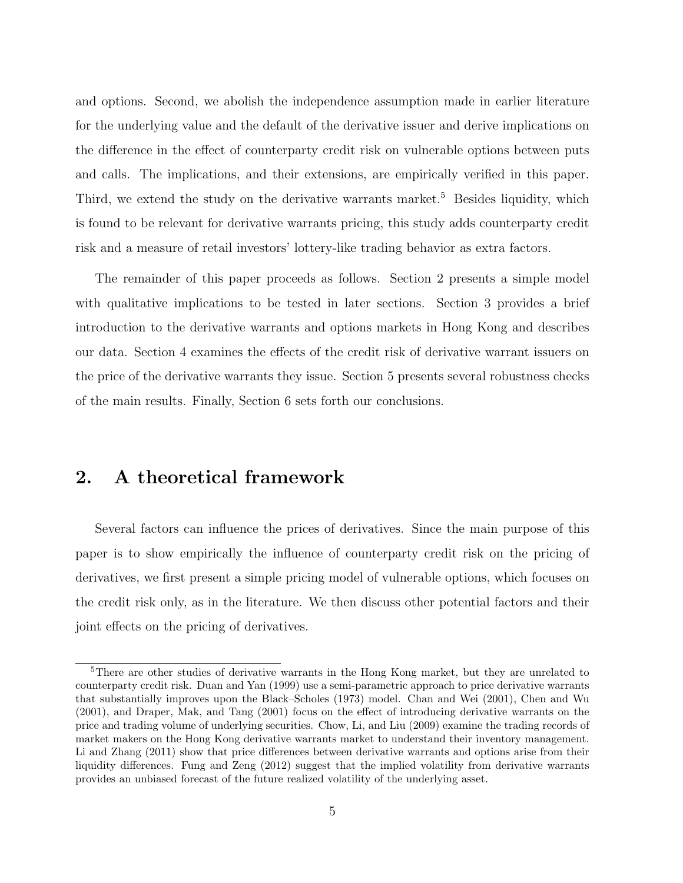and options. Second, we abolish the independence assumption made in earlier literature for the underlying value and the default of the derivative issuer and derive implications on the difference in the effect of counterparty credit risk on vulnerable options between puts and calls. The implications, and their extensions, are empirically verified in this paper. Third, we extend the study on the derivative warrants market.<sup>5</sup> Besides liquidity, which is found to be relevant for derivative warrants pricing, this study adds counterparty credit risk and a measure of retail investors' lottery-like trading behavior as extra factors.

The remainder of this paper proceeds as follows. Section 2 presents a simple model with qualitative implications to be tested in later sections. Section 3 provides a brief introduction to the derivative warrants and options markets in Hong Kong and describes our data. Section 4 examines the effects of the credit risk of derivative warrant issuers on the price of the derivative warrants they issue. Section 5 presents several robustness checks of the main results. Finally, Section 6 sets forth our conclusions.

# 2. A theoretical framework

Several factors can influence the prices of derivatives. Since the main purpose of this paper is to show empirically the influence of counterparty credit risk on the pricing of derivatives, we first present a simple pricing model of vulnerable options, which focuses on the credit risk only, as in the literature. We then discuss other potential factors and their joint effects on the pricing of derivatives.

<sup>5</sup>There are other studies of derivative warrants in the Hong Kong market, but they are unrelated to counterparty credit risk. Duan and Yan (1999) use a semi-parametric approach to price derivative warrants that substantially improves upon the Black–Scholes (1973) model. Chan and Wei (2001), Chen and Wu (2001), and Draper, Mak, and Tang (2001) focus on the effect of introducing derivative warrants on the price and trading volume of underlying securities. Chow, Li, and Liu (2009) examine the trading records of market makers on the Hong Kong derivative warrants market to understand their inventory management. Li and Zhang (2011) show that price differences between derivative warrants and options arise from their liquidity differences. Fung and Zeng (2012) suggest that the implied volatility from derivative warrants provides an unbiased forecast of the future realized volatility of the underlying asset.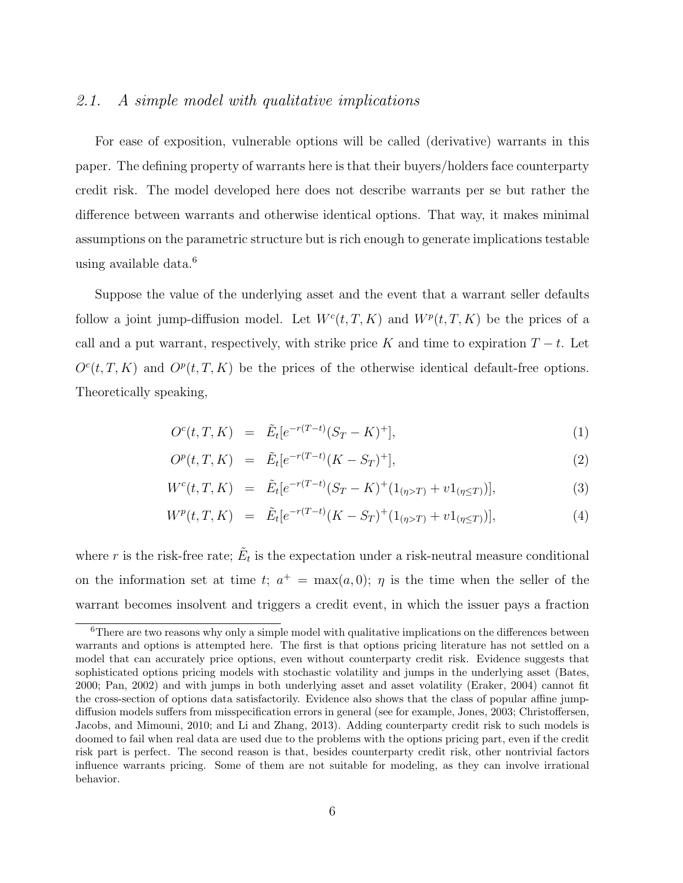#### 2.1. A simple model with qualitative implications

For ease of exposition, vulnerable options will be called (derivative) warrants in this paper. The defining property of warrants here is that their buyers/holders face counterparty credit risk. The model developed here does not describe warrants per se but rather the difference between warrants and otherwise identical options. That way, it makes minimal assumptions on the parametric structure but is rich enough to generate implications testable using available data. $6$ 

Suppose the value of the underlying asset and the event that a warrant seller defaults follow a joint jump-diffusion model. Let  $W<sup>c</sup>(t, T, K)$  and  $W<sup>p</sup>(t, T, K)$  be the prices of a call and a put warrant, respectively, with strike price K and time to expiration  $T - t$ . Let  $O<sup>c</sup>(t, T, K)$  and  $O<sup>p</sup>(t, T, K)$  be the prices of the otherwise identical default-free options. Theoretically speaking,

$$
O^{c}(t, T, K) = \tilde{E}_{t}[e^{-r(T-t)}(S_{T} - K)^{+}], \qquad (1)
$$

$$
O^p(t, T, K) = \tilde{E}_t[e^{-r(T-t)}(K - S_T)^+], \tag{2}
$$

$$
W^{c}(t, T, K) = \tilde{E}_{t}[e^{-r(T-t)}(S_{T} - K)^{+}(1_{(\eta > T)} + v1_{(\eta \leq T)})], \qquad (3)
$$

$$
W^{p}(t, T, K) = \tilde{E}_{t}[e^{-r(T-t)}(K - S_{T})^{+}(1_{(\eta > T)} + v1_{(\eta \leq T)})], \qquad (4)
$$

where r is the risk-free rate;  $\tilde{E}_t$  is the expectation under a risk-neutral measure conditional on the information set at time t;  $a^+ = \max(a, 0)$ ;  $\eta$  is the time when the seller of the warrant becomes insolvent and triggers a credit event, in which the issuer pays a fraction

<sup>&</sup>lt;sup>6</sup>There are two reasons why only a simple model with qualitative implications on the differences between warrants and options is attempted here. The first is that options pricing literature has not settled on a model that can accurately price options, even without counterparty credit risk. Evidence suggests that sophisticated options pricing models with stochastic volatility and jumps in the underlying asset (Bates, 2000; Pan, 2002) and with jumps in both underlying asset and asset volatility (Eraker, 2004) cannot fit the cross-section of options data satisfactorily. Evidence also shows that the class of popular affine jumpdiffusion models suffers from misspecification errors in general (see for example, Jones, 2003; Christoffersen, Jacobs, and Mimouni, 2010; and Li and Zhang, 2013). Adding counterparty credit risk to such models is doomed to fail when real data are used due to the problems with the options pricing part, even if the credit risk part is perfect. The second reason is that, besides counterparty credit risk, other nontrivial factors influence warrants pricing. Some of them are not suitable for modeling, as they can involve irrational behavior.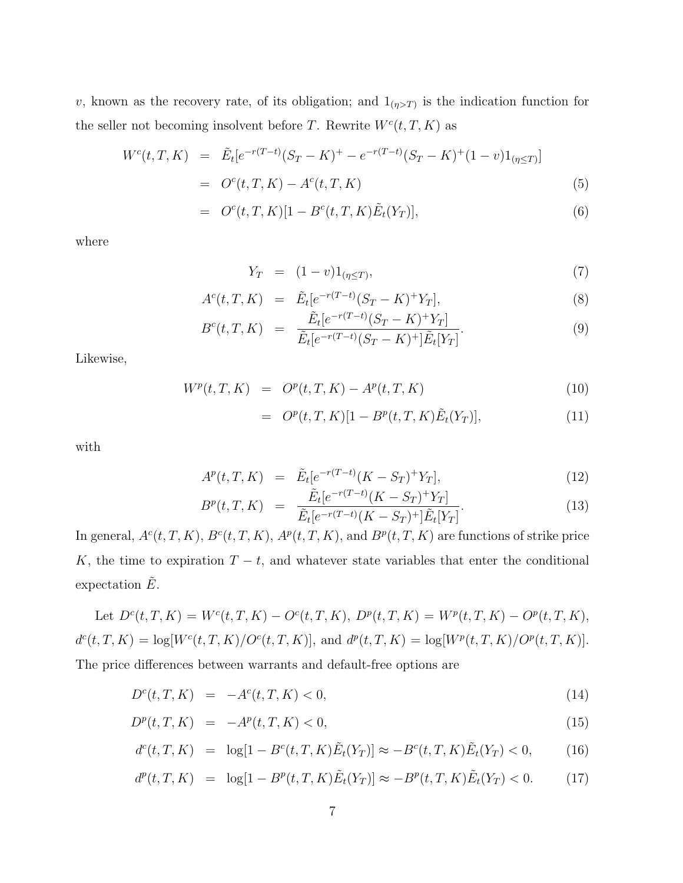v, known as the recovery rate, of its obligation; and  $1_{(\eta>T)}$  is the indication function for the seller not becoming insolvent before T. Rewrite  $W<sup>c</sup>(t, T, K)$  as

$$
W^{c}(t, T, K) = \tilde{E}_{t}[e^{-r(T-t)}(S_{T} - K)^{+} - e^{-r(T-t)}(S_{T} - K)^{+}(1-v)1_{(\eta \leq T)}]
$$
  
= 
$$
O^{c}(t, T, K) - A^{c}(t, T, K)
$$
 (5)

$$
= O^{c}(t, T, K)[1 - B^{c}(t, T, K)\tilde{E}_{t}(Y_{T})],
$$
\n(6)

where

$$
Y_T = (1 - v)1_{(\eta \le T)},\tag{7}
$$

$$
A^{c}(t, T, K) = \tilde{E}_{t}[e^{-r(T-t)}(S_{T} - K)^{+}Y_{T}], \tag{8}
$$

$$
B^{c}(t, T, K) = \frac{\tilde{E}_{t}[e^{-r(T-t)}(S_{T} - K)^{+}Y_{T}]}{\tilde{E}_{t}[e^{-r(T-t)}(S_{T} - K)^{+}]\tilde{E}_{t}[Y_{T}]}.
$$
\n(9)

Likewise,

$$
W^{p}(t, T, K) = O^{p}(t, T, K) - A^{p}(t, T, K)
$$
\n(10)

$$
= O^{p}(t, T, K)[1 - B^{p}(t, T, K)\tilde{E}_{t}(Y_{T})],
$$
\n(11)

with

$$
A^{p}(t, T, K) = \tilde{E}_{t}[e^{-r(T-t)}(K - S_{T})^{+}Y_{T}], \qquad (12)
$$

$$
B^{p}(t, T, K) = \frac{\tilde{E}_{t}[e^{-r(T-t)}(K - S_{T})^{+}Y_{T}]}{\tilde{E}_{t}[e^{-r(T-t)}(K - S_{T})^{+}]\tilde{E}_{t}[Y_{T}]}.
$$
\n(13)

In general,  $A^c(t, T, K)$ ,  $B^c(t, T, K)$ ,  $A^p(t, T, K)$ , and  $B^p(t, T, K)$  are functions of strike price K, the time to expiration  $T - t$ , and whatever state variables that enter the conditional expectation  $E$ .

Let  $D^{c}(t, T, K) = W^{c}(t, T, K) - O^{c}(t, T, K), D^{p}(t, T, K) = W^{p}(t, T, K) - O^{p}(t, T, K),$  $d^{c}(t, T, K) = \log[W^{c}(t, T, K)/O^{c}(t, T, K)]$ , and  $d^{p}(t, T, K) = \log[W^{p}(t, T, K)/O^{p}(t, T, K)]$ . The price differences between warrants and default-free options are

$$
D^{c}(t, T, K) = -A^{c}(t, T, K) < 0,\tag{14}
$$

$$
D^{p}(t, T, K) = -A^{p}(t, T, K) < 0,\tag{15}
$$

$$
d^{c}(t, T, K) = \log[1 - B^{c}(t, T, K)\tilde{E}_{t}(Y_{T})] \approx -B^{c}(t, T, K)\tilde{E}_{t}(Y_{T}) < 0, \quad (16)
$$

$$
d^{p}(t, T, K) = \log[1 - B^{p}(t, T, K)\tilde{E}_{t}(Y_{T})] \approx -B^{p}(t, T, K)\tilde{E}_{t}(Y_{T}) < 0.
$$
 (17)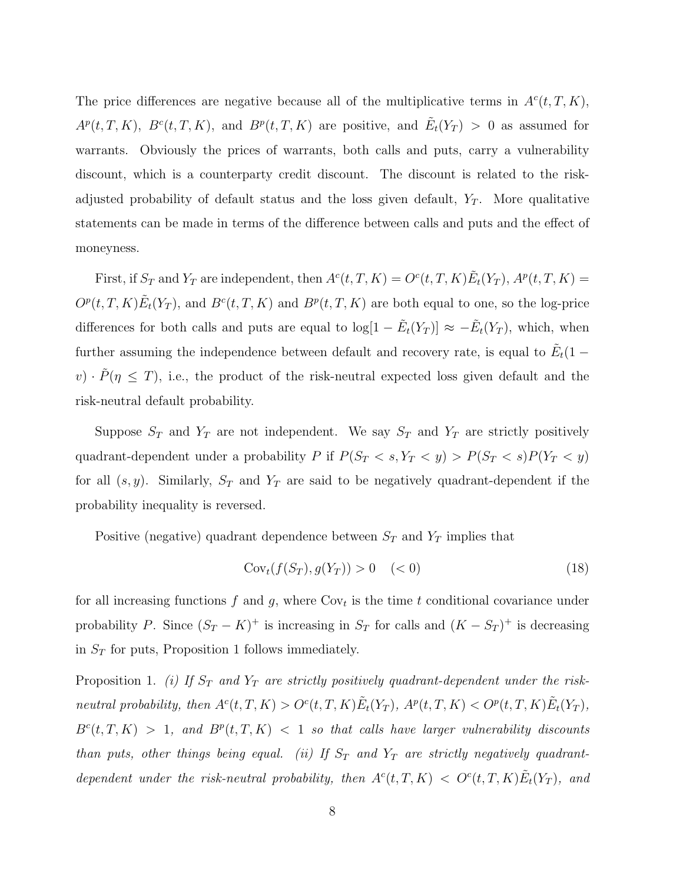The price differences are negative because all of the multiplicative terms in  $A<sup>c</sup>(t, T, K)$ ,  $A^p(t,T,K)$ ,  $B^c(t,T,K)$ , and  $B^p(t,T,K)$  are positive, and  $\tilde{E}_t(Y_T) > 0$  as assumed for warrants. Obviously the prices of warrants, both calls and puts, carry a vulnerability discount, which is a counterparty credit discount. The discount is related to the riskadjusted probability of default status and the loss given default,  $Y_T$ . More qualitative statements can be made in terms of the difference between calls and puts and the effect of moneyness.

First, if  $S_T$  and  $Y_T$  are independent, then  $A^c(t,T,K) = O^c(t,T,K) \tilde{E}_t(Y_T)$ ,  $A^p(t,T,K) =$  $O^p(t,T,K)\tilde{E}_t(Y_T)$ , and  $B^c(t,T,K)$  and  $B^p(t,T,K)$  are both equal to one, so the log-price differences for both calls and puts are equal to  $\log[1 - \tilde{E}_t(Y_T)] \approx -\tilde{E}_t(Y_T)$ , which, when further assuming the independence between default and recovery rate, is equal to  $\tilde{E}_t(1$  $v) \cdot \tilde{P}(\eta \leq T)$ , i.e., the product of the risk-neutral expected loss given default and the risk-neutral default probability.

Suppose  $S_T$  and  $Y_T$  are not independent. We say  $S_T$  and  $Y_T$  are strictly positively quadrant-dependent under a probability P if  $P(S_T < s, Y_T < y) > P(S_T < s)P(Y_T < y)$ for all  $(s, y)$ . Similarly,  $S_T$  and  $Y_T$  are said to be negatively quadrant-dependent if the probability inequality is reversed.

Positive (negative) quadrant dependence between  $S_T$  and  $Y_T$  implies that

$$
Covt(f(ST), g(YT)) > 0 \quad (<0)
$$
\n(18)

for all increasing functions  $f$  and  $g$ , where  $Cov_t$  is the time  $t$  conditional covariance under probability P. Since  $(S_T - K)^+$  is increasing in  $S_T$  for calls and  $(K - S_T)^+$  is decreasing in  $\mathcal{S}_T$  for puts, Proposition 1 follows immediately.

Proposition 1. (i) If  $S_T$  and  $Y_T$  are strictly positively quadrant-dependent under the riskneutral probability, then  $A^c(t,T,K) > O^c(t,T,K) \tilde{E}_t(Y_T)$ ,  $A^p(t,T,K) < O^p(t,T,K) \tilde{E}_t(Y_T)$ ,  $B^{c}(t, T, K) > 1$ , and  $B^{p}(t, T, K) < 1$  so that calls have larger vulnerability discounts than puts, other things being equal. (ii) If  $S_T$  and  $Y_T$  are strictly negatively quadrantdependent under the risk-neutral probability, then  $A^c(t,T,K) < O^c(t,T,K)\tilde{E}_t(Y_T)$ , and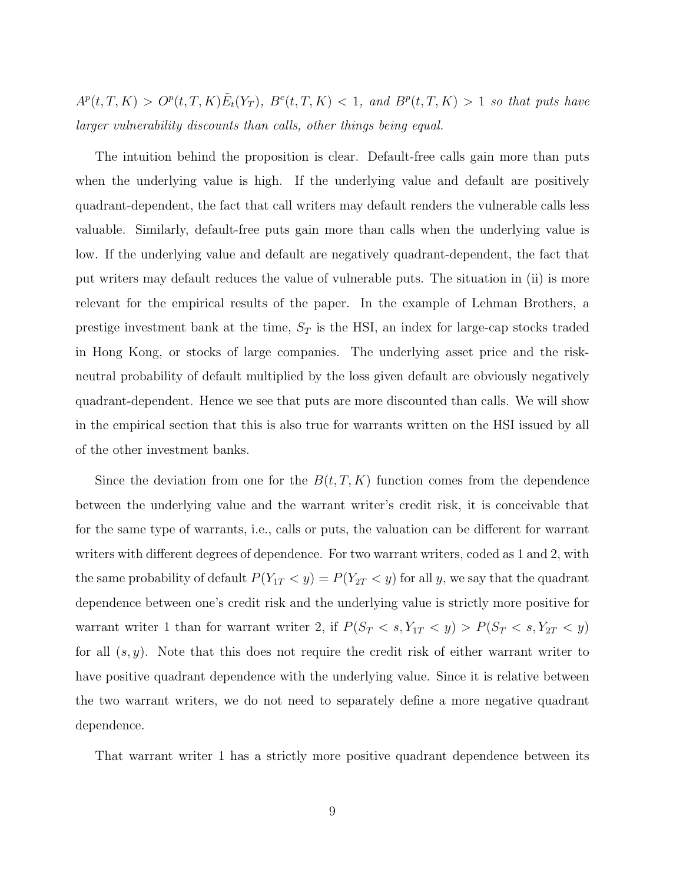$A^p(t,T,K) > O^p(t,T,K) \tilde{E}_t(Y_T)$ ,  $B^c(t,T,K) < 1$ , and  $B^p(t,T,K) > 1$  so that puts have larger vulnerability discounts than calls, other things being equal.

The intuition behind the proposition is clear. Default-free calls gain more than puts when the underlying value is high. If the underlying value and default are positively quadrant-dependent, the fact that call writers may default renders the vulnerable calls less valuable. Similarly, default-free puts gain more than calls when the underlying value is low. If the underlying value and default are negatively quadrant-dependent, the fact that put writers may default reduces the value of vulnerable puts. The situation in (ii) is more relevant for the empirical results of the paper. In the example of Lehman Brothers, a prestige investment bank at the time,  $S_T$  is the HSI, an index for large-cap stocks traded in Hong Kong, or stocks of large companies. The underlying asset price and the riskneutral probability of default multiplied by the loss given default are obviously negatively quadrant-dependent. Hence we see that puts are more discounted than calls. We will show in the empirical section that this is also true for warrants written on the HSI issued by all of the other investment banks.

Since the deviation from one for the  $B(t, T, K)$  function comes from the dependence between the underlying value and the warrant writer's credit risk, it is conceivable that for the same type of warrants, i.e., calls or puts, the valuation can be different for warrant writers with different degrees of dependence. For two warrant writers, coded as 1 and 2, with the same probability of default  $P(Y_{1T} < y) = P(Y_{2T} < y)$  for all y, we say that the quadrant dependence between one's credit risk and the underlying value is strictly more positive for warrant writer 1 than for warrant writer 2, if  $P(S_T < s, Y_{1T} < y) > P(S_T < s, Y_{2T} < y)$ for all  $(s, y)$ . Note that this does not require the credit risk of either warrant writer to have positive quadrant dependence with the underlying value. Since it is relative between the two warrant writers, we do not need to separately define a more negative quadrant dependence.

That warrant writer 1 has a strictly more positive quadrant dependence between its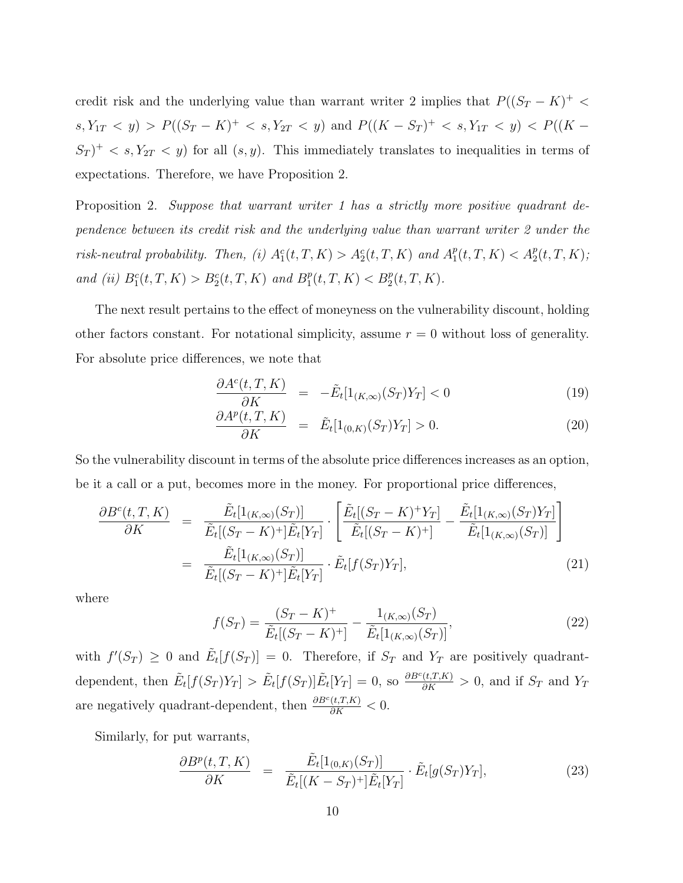credit risk and the underlying value than warrant writer 2 implies that  $P((S_T - K)^+$  $s, Y_{1T} < y$ ) >  $P((S_T - K)^+ < s, Y_{2T} < y)$  and  $P((K - S_T)^+ < s, Y_{1T} < y) < P((K - S_T)^+$  $S_T$ <sup>+</sup> < s,  $Y_{2T}$  < y) for all  $(s, y)$ . This immediately translates to inequalities in terms of expectations. Therefore, we have Proposition 2.

Proposition 2. Suppose that warrant writer 1 has a strictly more positive quadrant dependence between its credit risk and the underlying value than warrant writer 2 under the risk-neutral probability. Then, (i)  $A_1^c(t,T,K) > A_2^c(t,T,K)$  and  $A_1^p$  $P_1(t, T, K) < A_2^p(t, T, K);$ and (ii)  $B_1^c(t, T, K) > B_2^c(t, T, K)$  and  $B_1^p$  $P_1^p(t, T, K) < B_2^p(t, T, K).$ 

The next result pertains to the effect of moneyness on the vulnerability discount, holding other factors constant. For notational simplicity, assume  $r = 0$  without loss of generality. For absolute price differences, we note that

$$
\frac{\partial A^c(t, T, K)}{\partial K} = -\tilde{E}_t[1_{(K,\infty)}(S_T)Y_T] < 0
$$
\n(19)

$$
\frac{\partial A^p(t, T, K)}{\partial K} = \tilde{E}_t[1_{(0,K)}(S_T)Y_T] > 0.
$$
\n(20)

So the vulnerability discount in terms of the absolute price differences increases as an option, be it a call or a put, becomes more in the money. For proportional price differences,

$$
\frac{\partial B^{c}(t, T, K)}{\partial K} = \frac{\tilde{E}_{t}[1_{(K,\infty)}(S_{T})]}{\tilde{E}_{t}[(S_{T} - K)^{+}]\tilde{E}_{t}[Y_{T}]} \cdot \left[\frac{\tilde{E}_{t}[(S_{T} - K)^{+}Y_{T}]}{\tilde{E}_{t}[(S_{T} - K)^{+}]} - \frac{\tilde{E}_{t}[1_{(K,\infty)}(S_{T})Y_{T}]}{\tilde{E}_{t}[1_{(K,\infty)}(S_{T})]}\right]
$$
\n
$$
= \frac{\tilde{E}_{t}[1_{(K,\infty)}(S_{T})]}{\tilde{E}_{t}[(S_{T} - K)^{+}]\tilde{E}_{t}[Y_{T}]} \cdot \tilde{E}_{t}[f(S_{T})Y_{T}], \qquad (21)
$$

where

$$
f(S_T) = \frac{(S_T - K)^+}{\tilde{E}_t[(S_T - K)^+]} - \frac{1_{(K,\infty)}(S_T)}{\tilde{E}_t[1_{(K,\infty)}(S_T)]},\tag{22}
$$

with  $f'(S_T) \geq 0$  and  $\tilde{E}_t[f(S_T)] = 0$ . Therefore, if  $S_T$  and  $Y_T$  are positively quadrantdependent, then  $\tilde{E}_t[f(S_T)Y_T] > \tilde{E}_t[f(S_T)]\tilde{E}_t[Y_T] = 0$ , so  $\frac{\partial B^c(t,T,K)}{\partial K} > 0$ , and if  $S_T$  and  $Y_T$ are negatively quadrant-dependent, then  $\frac{\partial B^c(t,T,K)}{\partial K} < 0$ .

Similarly, for put warrants,

$$
\frac{\partial B^p(t,T,K)}{\partial K} = \frac{\tilde{E}_t[1_{(0,K)}(S_T)]}{\tilde{E}_t[(K - S_T)^+] \tilde{E}_t[Y_T]} \cdot \tilde{E}_t[g(S_T)Y_T],\tag{23}
$$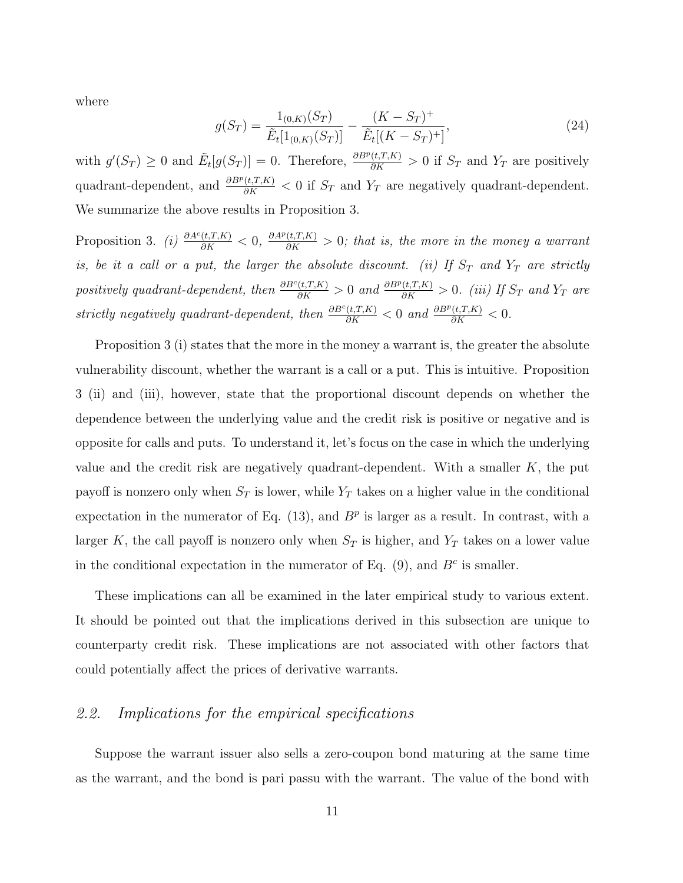where

$$
g(S_T) = \frac{1_{(0,K)}(S_T)}{\tilde{E}_t[1_{(0,K)}(S_T)]} - \frac{(K - S_T)^+}{\tilde{E}_t[(K - S_T)^+]},
$$
\n(24)

with  $g'(S_T) \geq 0$  and  $\tilde{E}_t[g(S_T)] = 0$ . Therefore,  $\frac{\partial B^p(t,T,K)}{\partial K} > 0$  if  $S_T$  and  $Y_T$  are positively quadrant-dependent, and  $\frac{\partial B^p(t,T,K)}{\partial K} < 0$  if  $S_T$  and  $Y_T$  are negatively quadrant-dependent. We summarize the above results in Proposition 3.

Proposition 3. (i)  $\frac{\partial A^c(t,T,K)}{\partial K} < 0$ ,  $\frac{\partial A^p(t,T,K)}{\partial K} > 0$ ; that is, the more in the money a warrant is, be it a call or a put, the larger the absolute discount. (ii) If  $S_T$  and  $Y_T$  are strictly positively quadrant-dependent, then  $\frac{\partial B^c(t,T,K)}{\partial K} > 0$  and  $\frac{\partial B^p(t,T,K)}{\partial K} > 0$ . (iii) If  $S_T$  and  $Y_T$  are strictly negatively quadrant-dependent, then  $\frac{\partial B^c(t,T,K)}{\partial K} < 0$  and  $\frac{\partial B^p(t,T,K)}{\partial K} < 0$ .

Proposition 3 (i) states that the more in the money a warrant is, the greater the absolute vulnerability discount, whether the warrant is a call or a put. This is intuitive. Proposition 3 (ii) and (iii), however, state that the proportional discount depends on whether the dependence between the underlying value and the credit risk is positive or negative and is opposite for calls and puts. To understand it, let's focus on the case in which the underlying value and the credit risk are negatively quadrant-dependent. With a smaller  $K$ , the put payoff is nonzero only when  $S_T$  is lower, while  $Y_T$  takes on a higher value in the conditional expectation in the numerator of Eq.  $(13)$ , and  $B<sup>p</sup>$  is larger as a result. In contrast, with a larger K, the call payoff is nonzero only when  $S_T$  is higher, and  $Y_T$  takes on a lower value in the conditional expectation in the numerator of Eq.  $(9)$ , and  $B<sup>c</sup>$  is smaller.

These implications can all be examined in the later empirical study to various extent. It should be pointed out that the implications derived in this subsection are unique to counterparty credit risk. These implications are not associated with other factors that could potentially affect the prices of derivative warrants.

#### 2.2. Implications for the empirical specifications

Suppose the warrant issuer also sells a zero-coupon bond maturing at the same time as the warrant, and the bond is pari passu with the warrant. The value of the bond with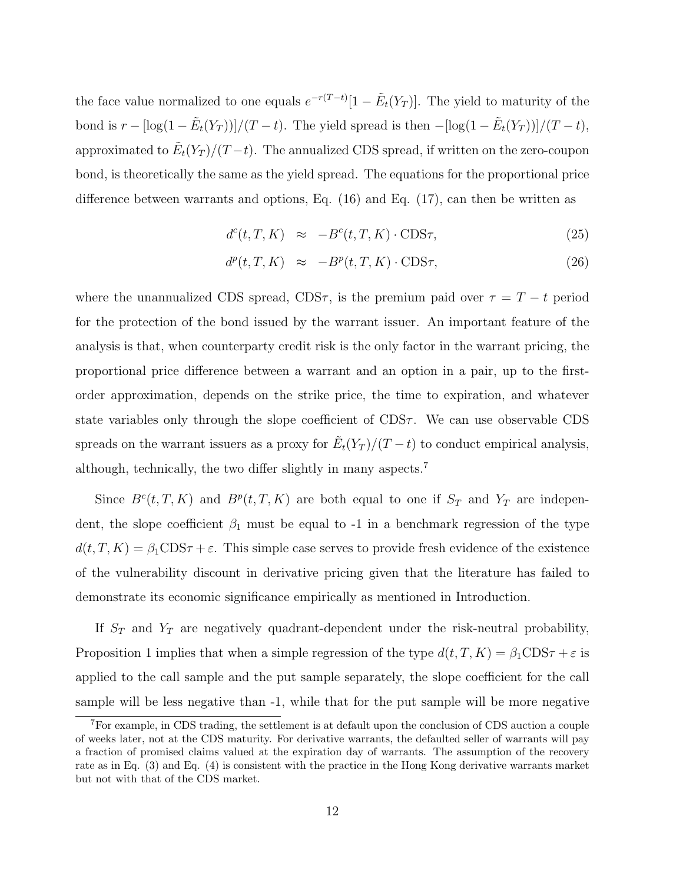the face value normalized to one equals  $e^{-r(T-t)}[1-\tilde{E}_t(Y_T)]$ . The yield to maturity of the bond is  $r - [\log(1 - \tilde{E}_t(Y_T))]/(T - t)$ . The yield spread is then  $- [\log(1 - \tilde{E}_t(Y_T))]/(T - t)$ , approximated to  $\tilde{E}_t(Y_T)/(T-t)$ . The annualized CDS spread, if written on the zero-coupon bond, is theoretically the same as the yield spread. The equations for the proportional price difference between warrants and options, Eq. (16) and Eq. (17), can then be written as

$$
d^{c}(t, T, K) \approx -B^{c}(t, T, K) \cdot \text{CDS}\tau,
$$
\n(25)

$$
d^p(t, T, K) \approx -B^p(t, T, K) \cdot \text{CDS}\tau,
$$
\n(26)

where the unannualized CDS spread, CDS $\tau$ , is the premium paid over  $\tau = T - t$  period for the protection of the bond issued by the warrant issuer. An important feature of the analysis is that, when counterparty credit risk is the only factor in the warrant pricing, the proportional price difference between a warrant and an option in a pair, up to the firstorder approximation, depends on the strike price, the time to expiration, and whatever state variables only through the slope coefficient of  $CDS\tau$ . We can use observable CDS spreads on the warrant issuers as a proxy for  $\tilde{E}_t(Y_T)/(T-t)$  to conduct empirical analysis, although, technically, the two differ slightly in many aspects.<sup>7</sup>

Since  $B^c(t,T,K)$  and  $B^p(t,T,K)$  are both equal to one if  $S_T$  and  $Y_T$  are independent, the slope coefficient  $\beta_1$  must be equal to -1 in a benchmark regression of the type  $d(t, T, K) = \beta_1 \text{CDS}\tau + \varepsilon$ . This simple case serves to provide fresh evidence of the existence of the vulnerability discount in derivative pricing given that the literature has failed to demonstrate its economic significance empirically as mentioned in Introduction.

If  $S_T$  and  $Y_T$  are negatively quadrant-dependent under the risk-neutral probability, Proposition 1 implies that when a simple regression of the type  $d(t, T, K) = \beta_1 CDS\tau + \varepsilon$  is applied to the call sample and the put sample separately, the slope coefficient for the call sample will be less negative than -1, while that for the put sample will be more negative

<sup>7</sup>For example, in CDS trading, the settlement is at default upon the conclusion of CDS auction a couple of weeks later, not at the CDS maturity. For derivative warrants, the defaulted seller of warrants will pay a fraction of promised claims valued at the expiration day of warrants. The assumption of the recovery rate as in Eq. (3) and Eq. (4) is consistent with the practice in the Hong Kong derivative warrants market but not with that of the CDS market.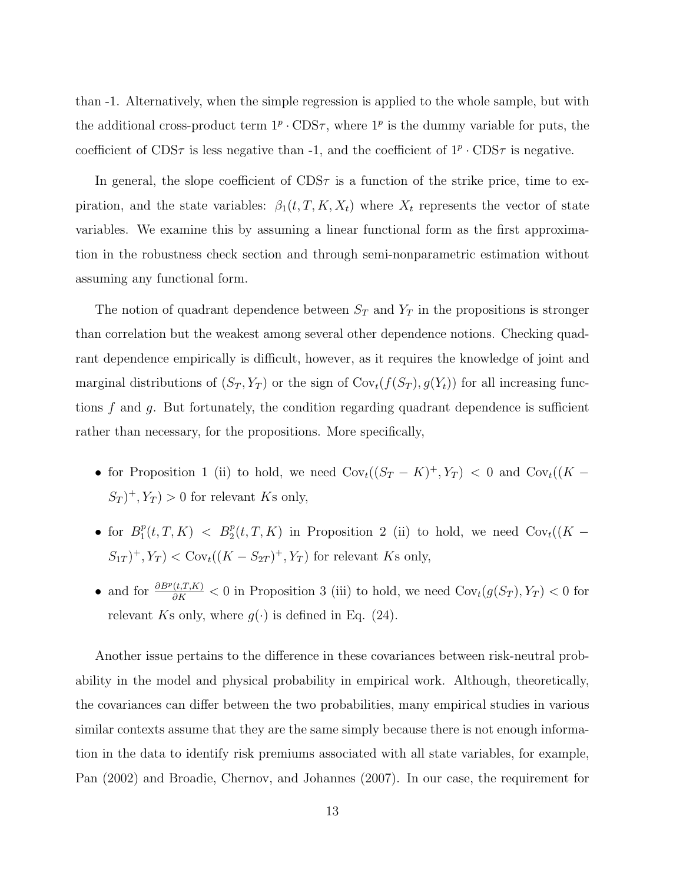than -1. Alternatively, when the simple regression is applied to the whole sample, but with the additional cross-product term  $1^p \cdot \text{CDS}\tau$ , where  $1^p$  is the dummy variable for puts, the coefficient of CDS $\tau$  is less negative than -1, and the coefficient of  $1^p \cdot \text{CDS}\tau$  is negative.

In general, the slope coefficient of  $CDS\tau$  is a function of the strike price, time to expiration, and the state variables:  $\beta_1(t, T, K, X_t)$  where  $X_t$  represents the vector of state variables. We examine this by assuming a linear functional form as the first approximation in the robustness check section and through semi-nonparametric estimation without assuming any functional form.

The notion of quadrant dependence between  $S_T$  and  $Y_T$  in the propositions is stronger than correlation but the weakest among several other dependence notions. Checking quadrant dependence empirically is difficult, however, as it requires the knowledge of joint and marginal distributions of  $(S_T, Y_T)$  or the sign of  $Cov_t(f(S_T), g(Y_t))$  for all increasing functions  $f$  and  $g$ . But fortunately, the condition regarding quadrant dependence is sufficient rather than necessary, for the propositions. More specifically,

- for Proposition 1 (ii) to hold, we need  $Cov_t((S_T K)^+, Y_T) < 0$  and  $Cov_t((K (S_T)^+, Y_T$  > 0 for relevant Ks only,
- for  $B_1^p$  $P_1^p(t,T,K)$  <  $B_2^p(t,T,K)$  in Proposition 2 (ii) to hold, we need  $Cov_t((K-h)$  $(S_{1T})^+, Y_T$  <  $Cov_t((K - S_{2T})^+, Y_T)$  for relevant Ks only,
- and for  $\frac{\partial B^p(t,T,K)}{\partial K}$  < 0 in Proposition 3 (iii) to hold, we need  $Cov_t(g(S_T), Y_T)$  < 0 for relevant Ks only, where  $g(\cdot)$  is defined in Eq. (24).

Another issue pertains to the difference in these covariances between risk-neutral probability in the model and physical probability in empirical work. Although, theoretically, the covariances can differ between the two probabilities, many empirical studies in various similar contexts assume that they are the same simply because there is not enough information in the data to identify risk premiums associated with all state variables, for example, Pan (2002) and Broadie, Chernov, and Johannes (2007). In our case, the requirement for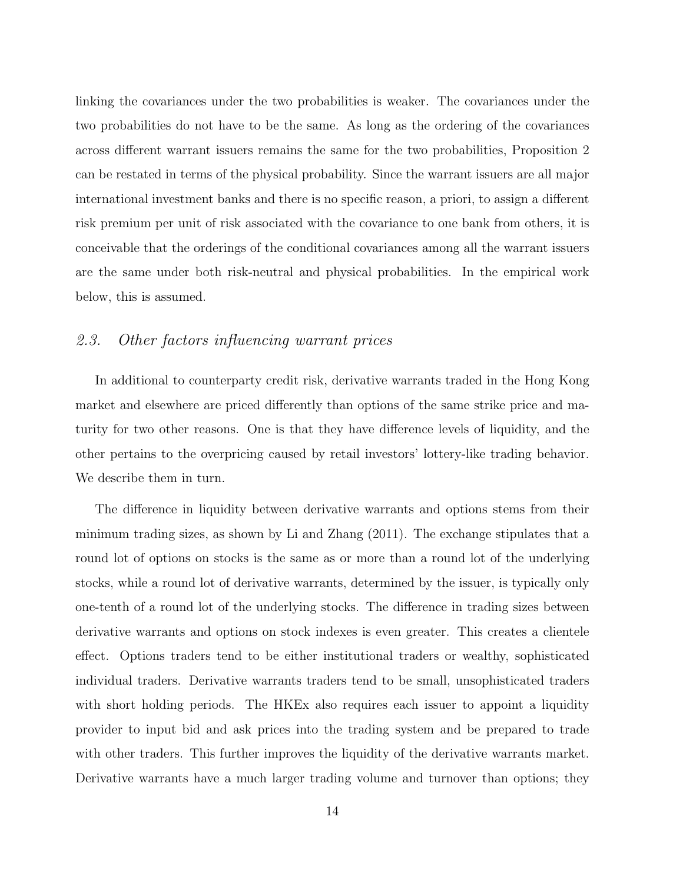linking the covariances under the two probabilities is weaker. The covariances under the two probabilities do not have to be the same. As long as the ordering of the covariances across different warrant issuers remains the same for the two probabilities, Proposition 2 can be restated in terms of the physical probability. Since the warrant issuers are all major international investment banks and there is no specific reason, a priori, to assign a different risk premium per unit of risk associated with the covariance to one bank from others, it is conceivable that the orderings of the conditional covariances among all the warrant issuers are the same under both risk-neutral and physical probabilities. In the empirical work below, this is assumed.

### 2.3. Other factors influencing warrant prices

In additional to counterparty credit risk, derivative warrants traded in the Hong Kong market and elsewhere are priced differently than options of the same strike price and maturity for two other reasons. One is that they have difference levels of liquidity, and the other pertains to the overpricing caused by retail investors' lottery-like trading behavior. We describe them in turn.

The difference in liquidity between derivative warrants and options stems from their minimum trading sizes, as shown by Li and Zhang (2011). The exchange stipulates that a round lot of options on stocks is the same as or more than a round lot of the underlying stocks, while a round lot of derivative warrants, determined by the issuer, is typically only one-tenth of a round lot of the underlying stocks. The difference in trading sizes between derivative warrants and options on stock indexes is even greater. This creates a clientele effect. Options traders tend to be either institutional traders or wealthy, sophisticated individual traders. Derivative warrants traders tend to be small, unsophisticated traders with short holding periods. The HKE<sub>x</sub> also requires each issuer to appoint a liquidity provider to input bid and ask prices into the trading system and be prepared to trade with other traders. This further improves the liquidity of the derivative warrants market. Derivative warrants have a much larger trading volume and turnover than options; they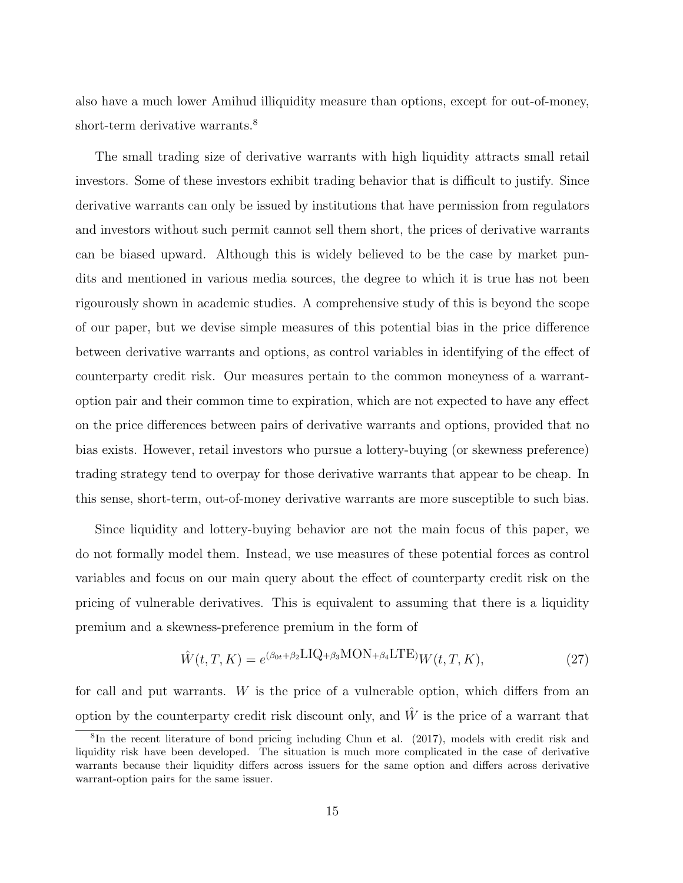also have a much lower Amihud illiquidity measure than options, except for out-of-money, short-term derivative warrants.<sup>8</sup>

The small trading size of derivative warrants with high liquidity attracts small retail investors. Some of these investors exhibit trading behavior that is difficult to justify. Since derivative warrants can only be issued by institutions that have permission from regulators and investors without such permit cannot sell them short, the prices of derivative warrants can be biased upward. Although this is widely believed to be the case by market pundits and mentioned in various media sources, the degree to which it is true has not been rigourously shown in academic studies. A comprehensive study of this is beyond the scope of our paper, but we devise simple measures of this potential bias in the price difference between derivative warrants and options, as control variables in identifying of the effect of counterparty credit risk. Our measures pertain to the common moneyness of a warrantoption pair and their common time to expiration, which are not expected to have any effect on the price differences between pairs of derivative warrants and options, provided that no bias exists. However, retail investors who pursue a lottery-buying (or skewness preference) trading strategy tend to overpay for those derivative warrants that appear to be cheap. In this sense, short-term, out-of-money derivative warrants are more susceptible to such bias.

Since liquidity and lottery-buying behavior are not the main focus of this paper, we do not formally model them. Instead, we use measures of these potential forces as control variables and focus on our main query about the effect of counterparty credit risk on the pricing of vulnerable derivatives. This is equivalent to assuming that there is a liquidity premium and a skewness-preference premium in the form of

$$
\hat{W}(t,T,K) = e^{(\beta_{0t} + \beta_2 \text{LIQ} + \beta_3 \text{MON} + \beta_4 \text{LTE})}W(t,T,K),\tag{27}
$$

for call and put warrants. W is the price of a vulnerable option, which differs from an option by the counterparty credit risk discount only, and  $\hat{W}$  is the price of a warrant that

<sup>&</sup>lt;sup>8</sup>In the recent literature of bond pricing including Chun et al. (2017), models with credit risk and liquidity risk have been developed. The situation is much more complicated in the case of derivative warrants because their liquidity differs across issuers for the same option and differs across derivative warrant-option pairs for the same issuer.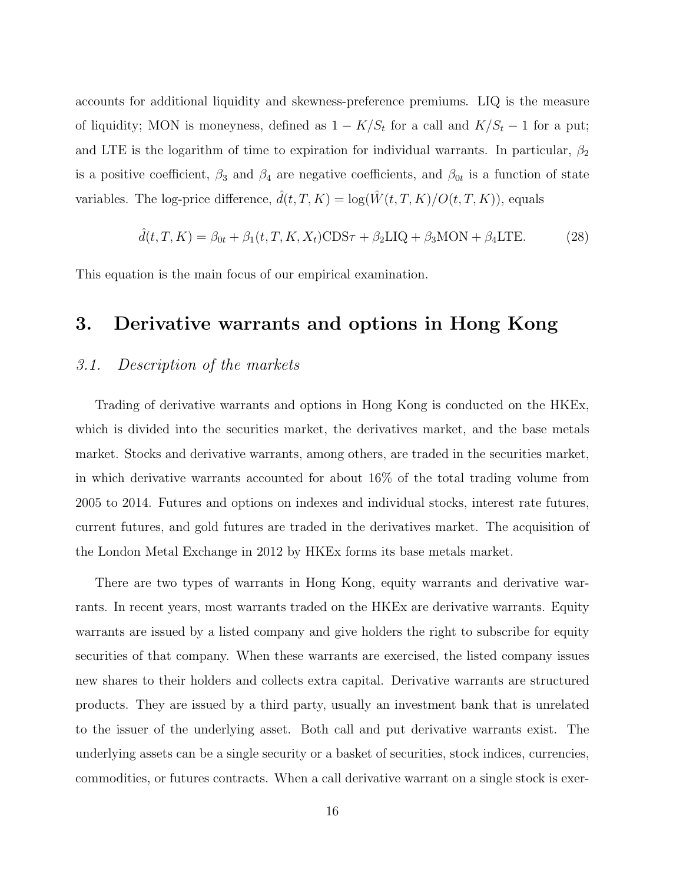accounts for additional liquidity and skewness-preference premiums. LIQ is the measure of liquidity; MON is moneyness, defined as  $1 - K/S_t$  for a call and  $K/S_t - 1$  for a put; and LTE is the logarithm of time to expiration for individual warrants. In particular,  $\beta_2$ is a positive coefficient,  $\beta_3$  and  $\beta_4$  are negative coefficients, and  $\beta_{0t}$  is a function of state variables. The log-price difference,  $\hat{d}(t, T, K) = \log(\hat{W}(t, T, K)/O(t, T, K))$ , equals

$$
\hat{d}(t, T, K) = \beta_{0t} + \beta_1(t, T, K, X_t) \text{CDS}\tau + \beta_2 \text{LIQ} + \beta_3 \text{MON} + \beta_4 \text{LTE}.
$$
 (28)

This equation is the main focus of our empirical examination.

## 3. Derivative warrants and options in Hong Kong

# 3.1. Description of the markets

Trading of derivative warrants and options in Hong Kong is conducted on the HKEx, which is divided into the securities market, the derivatives market, and the base metals market. Stocks and derivative warrants, among others, are traded in the securities market, in which derivative warrants accounted for about 16% of the total trading volume from 2005 to 2014. Futures and options on indexes and individual stocks, interest rate futures, current futures, and gold futures are traded in the derivatives market. The acquisition of the London Metal Exchange in 2012 by HKEx forms its base metals market.

There are two types of warrants in Hong Kong, equity warrants and derivative warrants. In recent years, most warrants traded on the HKEx are derivative warrants. Equity warrants are issued by a listed company and give holders the right to subscribe for equity securities of that company. When these warrants are exercised, the listed company issues new shares to their holders and collects extra capital. Derivative warrants are structured products. They are issued by a third party, usually an investment bank that is unrelated to the issuer of the underlying asset. Both call and put derivative warrants exist. The underlying assets can be a single security or a basket of securities, stock indices, currencies, commodities, or futures contracts. When a call derivative warrant on a single stock is exer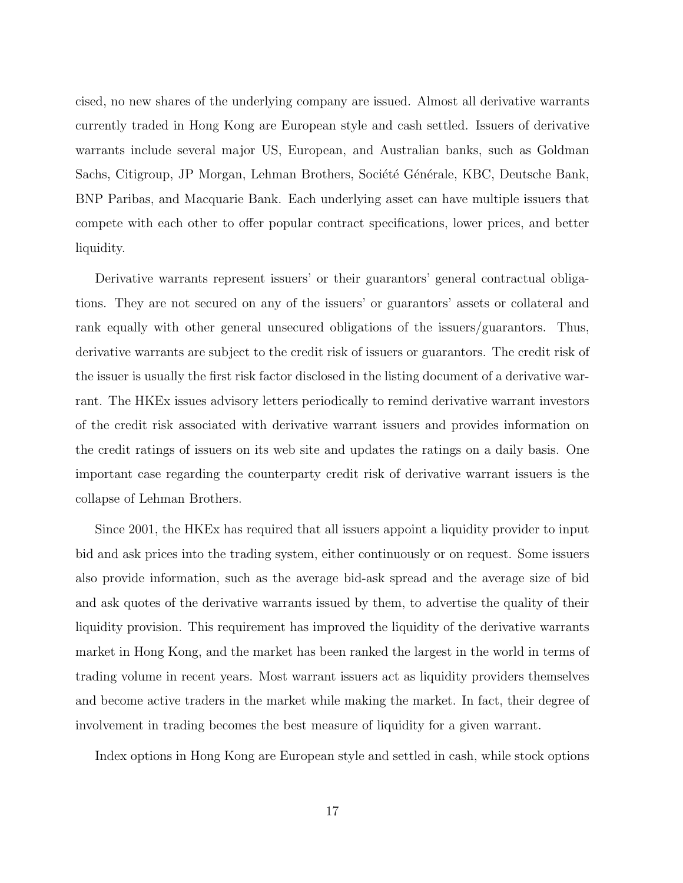cised, no new shares of the underlying company are issued. Almost all derivative warrants currently traded in Hong Kong are European style and cash settled. Issuers of derivative warrants include several major US, European, and Australian banks, such as Goldman Sachs, Citigroup, JP Morgan, Lehman Brothers, Société Générale, KBC, Deutsche Bank, BNP Paribas, and Macquarie Bank. Each underlying asset can have multiple issuers that compete with each other to offer popular contract specifications, lower prices, and better liquidity.

Derivative warrants represent issuers' or their guarantors' general contractual obligations. They are not secured on any of the issuers' or guarantors' assets or collateral and rank equally with other general unsecured obligations of the issuers/guarantors. Thus, derivative warrants are subject to the credit risk of issuers or guarantors. The credit risk of the issuer is usually the first risk factor disclosed in the listing document of a derivative warrant. The HKEx issues advisory letters periodically to remind derivative warrant investors of the credit risk associated with derivative warrant issuers and provides information on the credit ratings of issuers on its web site and updates the ratings on a daily basis. One important case regarding the counterparty credit risk of derivative warrant issuers is the collapse of Lehman Brothers.

Since 2001, the HKEx has required that all issuers appoint a liquidity provider to input bid and ask prices into the trading system, either continuously or on request. Some issuers also provide information, such as the average bid-ask spread and the average size of bid and ask quotes of the derivative warrants issued by them, to advertise the quality of their liquidity provision. This requirement has improved the liquidity of the derivative warrants market in Hong Kong, and the market has been ranked the largest in the world in terms of trading volume in recent years. Most warrant issuers act as liquidity providers themselves and become active traders in the market while making the market. In fact, their degree of involvement in trading becomes the best measure of liquidity for a given warrant.

Index options in Hong Kong are European style and settled in cash, while stock options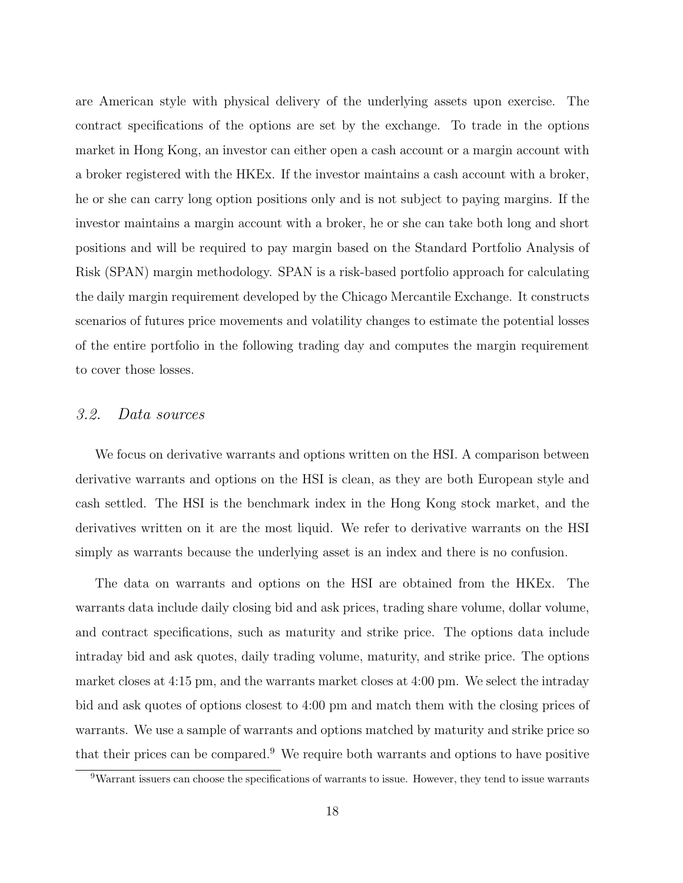are American style with physical delivery of the underlying assets upon exercise. The contract specifications of the options are set by the exchange. To trade in the options market in Hong Kong, an investor can either open a cash account or a margin account with a broker registered with the HKEx. If the investor maintains a cash account with a broker, he or she can carry long option positions only and is not subject to paying margins. If the investor maintains a margin account with a broker, he or she can take both long and short positions and will be required to pay margin based on the Standard Portfolio Analysis of Risk (SPAN) margin methodology. SPAN is a risk-based portfolio approach for calculating the daily margin requirement developed by the Chicago Mercantile Exchange. It constructs scenarios of futures price movements and volatility changes to estimate the potential losses of the entire portfolio in the following trading day and computes the margin requirement to cover those losses.

#### 3.2. Data sources

We focus on derivative warrants and options written on the HSI. A comparison between derivative warrants and options on the HSI is clean, as they are both European style and cash settled. The HSI is the benchmark index in the Hong Kong stock market, and the derivatives written on it are the most liquid. We refer to derivative warrants on the HSI simply as warrants because the underlying asset is an index and there is no confusion.

The data on warrants and options on the HSI are obtained from the HKEx. The warrants data include daily closing bid and ask prices, trading share volume, dollar volume, and contract specifications, such as maturity and strike price. The options data include intraday bid and ask quotes, daily trading volume, maturity, and strike price. The options market closes at 4:15 pm, and the warrants market closes at 4:00 pm. We select the intraday bid and ask quotes of options closest to 4:00 pm and match them with the closing prices of warrants. We use a sample of warrants and options matched by maturity and strike price so that their prices can be compared.<sup>9</sup> We require both warrants and options to have positive

<sup>9</sup>Warrant issuers can choose the specifications of warrants to issue. However, they tend to issue warrants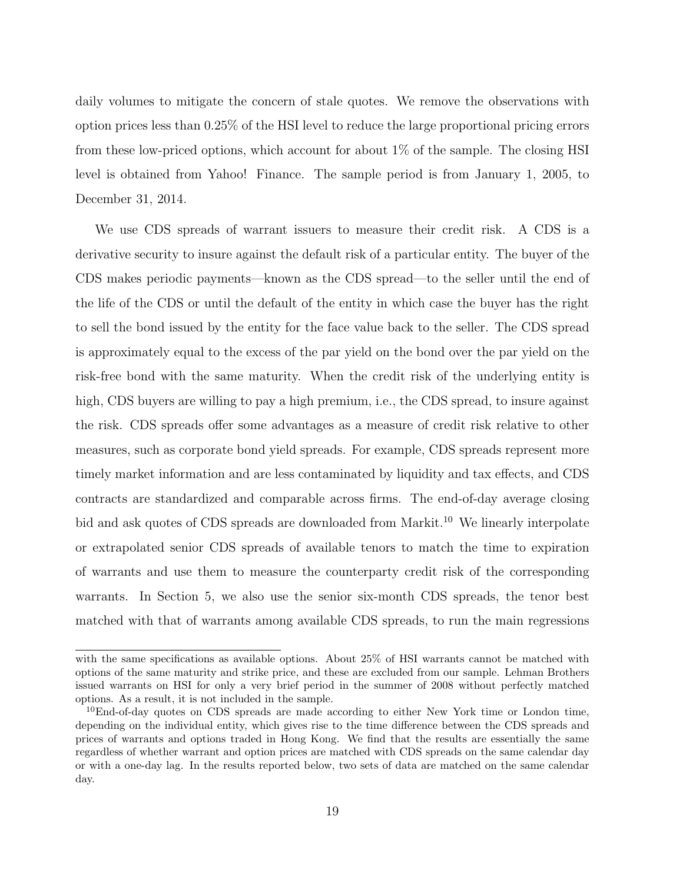daily volumes to mitigate the concern of stale quotes. We remove the observations with option prices less than 0.25% of the HSI level to reduce the large proportional pricing errors from these low-priced options, which account for about 1% of the sample. The closing HSI level is obtained from Yahoo! Finance. The sample period is from January 1, 2005, to December 31, 2014.

We use CDS spreads of warrant issuers to measure their credit risk. A CDS is a derivative security to insure against the default risk of a particular entity. The buyer of the CDS makes periodic payments—known as the CDS spread—to the seller until the end of the life of the CDS or until the default of the entity in which case the buyer has the right to sell the bond issued by the entity for the face value back to the seller. The CDS spread is approximately equal to the excess of the par yield on the bond over the par yield on the risk-free bond with the same maturity. When the credit risk of the underlying entity is high, CDS buyers are willing to pay a high premium, i.e., the CDS spread, to insure against the risk. CDS spreads offer some advantages as a measure of credit risk relative to other measures, such as corporate bond yield spreads. For example, CDS spreads represent more timely market information and are less contaminated by liquidity and tax effects, and CDS contracts are standardized and comparable across firms. The end-of-day average closing bid and ask quotes of CDS spreads are downloaded from Markit.<sup>10</sup> We linearly interpolate or extrapolated senior CDS spreads of available tenors to match the time to expiration of warrants and use them to measure the counterparty credit risk of the corresponding warrants. In Section 5, we also use the senior six-month CDS spreads, the tenor best matched with that of warrants among available CDS spreads, to run the main regressions

with the same specifications as available options. About 25% of HSI warrants cannot be matched with options of the same maturity and strike price, and these are excluded from our sample. Lehman Brothers issued warrants on HSI for only a very brief period in the summer of 2008 without perfectly matched options. As a result, it is not included in the sample.

<sup>&</sup>lt;sup>10</sup>End-of-day quotes on CDS spreads are made according to either New York time or London time, depending on the individual entity, which gives rise to the time difference between the CDS spreads and prices of warrants and options traded in Hong Kong. We find that the results are essentially the same regardless of whether warrant and option prices are matched with CDS spreads on the same calendar day or with a one-day lag. In the results reported below, two sets of data are matched on the same calendar day.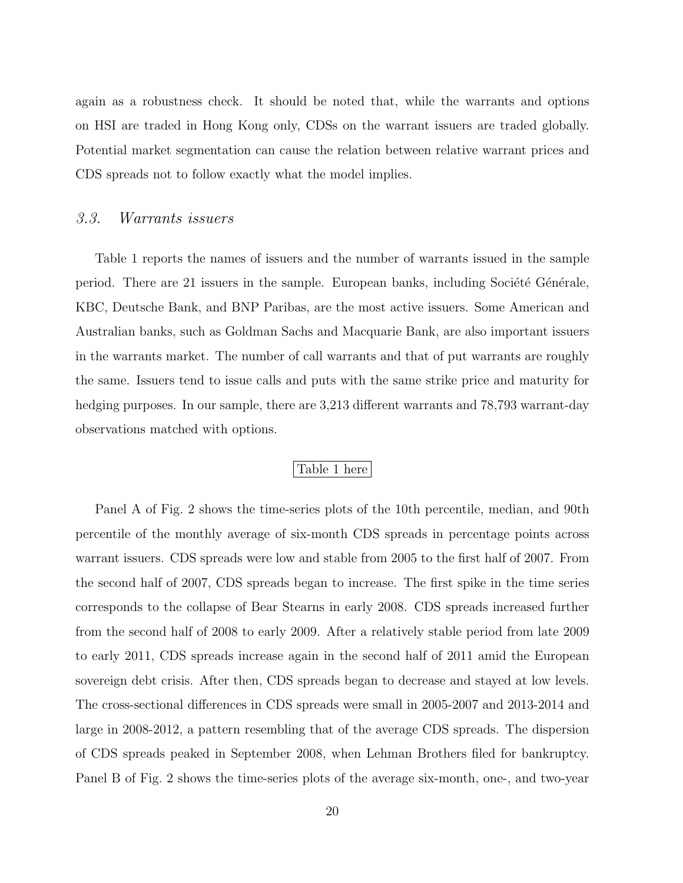again as a robustness check. It should be noted that, while the warrants and options on HSI are traded in Hong Kong only, CDSs on the warrant issuers are traded globally. Potential market segmentation can cause the relation between relative warrant prices and CDS spreads not to follow exactly what the model implies.

#### 3.3. Warrants issuers

Table 1 reports the names of issuers and the number of warrants issued in the sample period. There are 21 issuers in the sample. European banks, including Société Générale, KBC, Deutsche Bank, and BNP Paribas, are the most active issuers. Some American and Australian banks, such as Goldman Sachs and Macquarie Bank, are also important issuers in the warrants market. The number of call warrants and that of put warrants are roughly the same. Issuers tend to issue calls and puts with the same strike price and maturity for hedging purposes. In our sample, there are 3,213 different warrants and 78,793 warrant-day observations matched with options.

#### Table 1 here

Panel A of Fig. 2 shows the time-series plots of the 10th percentile, median, and 90th percentile of the monthly average of six-month CDS spreads in percentage points across warrant issuers. CDS spreads were low and stable from 2005 to the first half of 2007. From the second half of 2007, CDS spreads began to increase. The first spike in the time series corresponds to the collapse of Bear Stearns in early 2008. CDS spreads increased further from the second half of 2008 to early 2009. After a relatively stable period from late 2009 to early 2011, CDS spreads increase again in the second half of 2011 amid the European sovereign debt crisis. After then, CDS spreads began to decrease and stayed at low levels. The cross-sectional differences in CDS spreads were small in 2005-2007 and 2013-2014 and large in 2008-2012, a pattern resembling that of the average CDS spreads. The dispersion of CDS spreads peaked in September 2008, when Lehman Brothers filed for bankruptcy. Panel B of Fig. 2 shows the time-series plots of the average six-month, one-, and two-year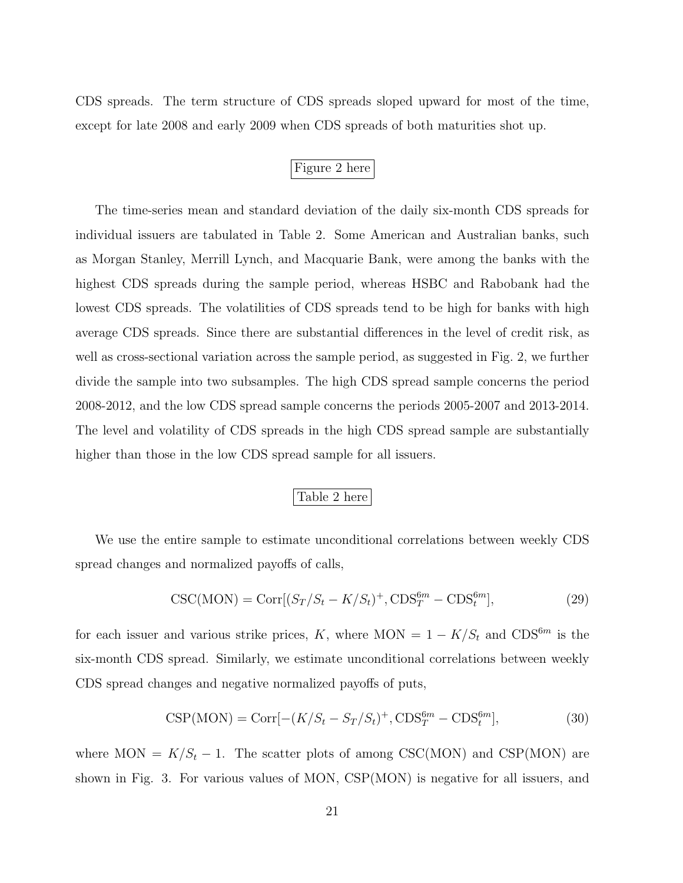CDS spreads. The term structure of CDS spreads sloped upward for most of the time, except for late 2008 and early 2009 when CDS spreads of both maturities shot up.

## Figure 2 here

The time-series mean and standard deviation of the daily six-month CDS spreads for individual issuers are tabulated in Table 2. Some American and Australian banks, such as Morgan Stanley, Merrill Lynch, and Macquarie Bank, were among the banks with the highest CDS spreads during the sample period, whereas HSBC and Rabobank had the lowest CDS spreads. The volatilities of CDS spreads tend to be high for banks with high average CDS spreads. Since there are substantial differences in the level of credit risk, as well as cross-sectional variation across the sample period, as suggested in Fig. 2, we further divide the sample into two subsamples. The high CDS spread sample concerns the period 2008-2012, and the low CDS spread sample concerns the periods 2005-2007 and 2013-2014. The level and volatility of CDS spreads in the high CDS spread sample are substantially higher than those in the low CDS spread sample for all issuers.

#### Table 2 here

We use the entire sample to estimate unconditional correlations between weekly CDS spread changes and normalized payoffs of calls,

$$
\text{CSC}(MON) = \text{Corr}[(S_T/S_t - K/S_t)^+, \text{CDS}_T^{6m} - \text{CDS}_t^{6m}],\tag{29}
$$

for each issuer and various strike prices, K, where MON =  $1 - K/S_t$  and CDS<sup>6m</sup> is the six-month CDS spread. Similarly, we estimate unconditional correlations between weekly CDS spread changes and negative normalized payoffs of puts,

$$
\text{CSP}(\text{MON}) = \text{Corr}[-(K/S_t - S_T/S_t)^+, \text{CDS}_T^{6m} - \text{CDS}_t^{6m}],\tag{30}
$$

where MON =  $K/S_t - 1$ . The scatter plots of among CSC(MON) and CSP(MON) are shown in Fig. 3. For various values of MON, CSP(MON) is negative for all issuers, and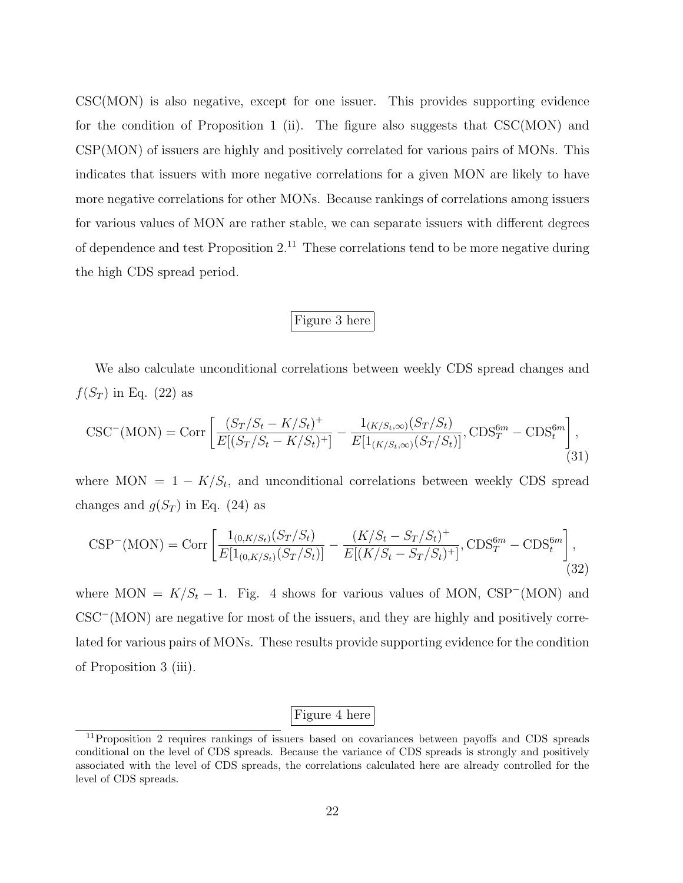CSC(MON) is also negative, except for one issuer. This provides supporting evidence for the condition of Proposition 1 (ii). The figure also suggests that  $\text{CSC(MON)}$  and CSP(MON) of issuers are highly and positively correlated for various pairs of MONs. This indicates that issuers with more negative correlations for a given MON are likely to have more negative correlations for other MONs. Because rankings of correlations among issuers for various values of MON are rather stable, we can separate issuers with different degrees of dependence and test Proposition  $2^{11}$  These correlations tend to be more negative during the high CDS spread period.

#### Figure 3 here

We also calculate unconditional correlations between weekly CDS spread changes and  $f(S_T)$  in Eq. (22) as

$$
\text{CSC}^{-}(\text{MON}) = \text{Corr}\left[\frac{(S_T/S_t - K/S_t)^{+}}{E[(S_T/S_t - K/S_t)^{+}] - E[1_{(K/S_t,\infty)}(S_T/S_t)]}, \text{CDS}_T^{6m} - \text{CDS}_t^{6m}\right],\tag{31}
$$

where MON =  $1 - K/S_t$ , and unconditional correlations between weekly CDS spread changes and  $g(S_T)$  in Eq. (24) as

$$
\text{CSP}^{-}(\text{MON}) = \text{Corr}\left[\frac{1_{(0,K/S_t)}(S_T/S_t)}{E[1_{(0,K/S_t)}(S_T/S_t)]} - \frac{(K/S_t - S_T/S_t)^{+}}{E[(K/S_t - S_T/S_t)^{+}]}, \text{CDS}_T^{6m} - \text{CDS}_t^{6m}\right],\tag{32}
$$

where MON =  $K/S_t - 1$ . Fig. 4 shows for various values of MON, CSP<sup>-</sup>(MON) and CSC<sup>−</sup>(MON) are negative for most of the issuers, and they are highly and positively correlated for various pairs of MONs. These results provide supporting evidence for the condition of Proposition 3 (iii).

# Figure 4 here

<sup>&</sup>lt;sup>11</sup>Proposition 2 requires rankings of issuers based on covariances between payoffs and CDS spreads conditional on the level of CDS spreads. Because the variance of CDS spreads is strongly and positively associated with the level of CDS spreads, the correlations calculated here are already controlled for the level of CDS spreads.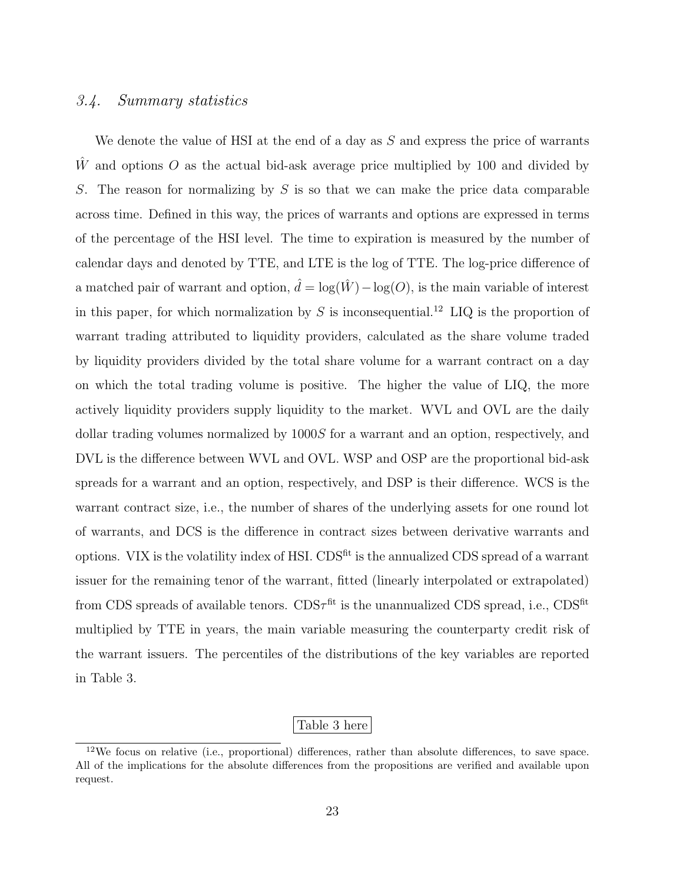#### 3.4. Summary statistics

We denote the value of HSI at the end of a day as  $S$  and express the price of warrants  $\hat{W}$  and options O as the actual bid-ask average price multiplied by 100 and divided by S. The reason for normalizing by  $S$  is so that we can make the price data comparable across time. Defined in this way, the prices of warrants and options are expressed in terms of the percentage of the HSI level. The time to expiration is measured by the number of calendar days and denoted by TTE, and LTE is the log of TTE. The log-price difference of a matched pair of warrant and option,  $\hat{d} = \log(\hat{W}) - \log(O)$ , is the main variable of interest in this paper, for which normalization by  $S$  is inconsequential.<sup>12</sup> LIQ is the proportion of warrant trading attributed to liquidity providers, calculated as the share volume traded by liquidity providers divided by the total share volume for a warrant contract on a day on which the total trading volume is positive. The higher the value of LIQ, the more actively liquidity providers supply liquidity to the market. WVL and OVL are the daily dollar trading volumes normalized by  $1000S$  for a warrant and an option, respectively, and DVL is the difference between WVL and OVL. WSP and OSP are the proportional bid-ask spreads for a warrant and an option, respectively, and DSP is their difference. WCS is the warrant contract size, i.e., the number of shares of the underlying assets for one round lot of warrants, and DCS is the difference in contract sizes between derivative warrants and options. VIX is the volatility index of HSI. CDS<sup>fit</sup> is the annualized CDS spread of a warrant issuer for the remaining tenor of the warrant, fitted (linearly interpolated or extrapolated) from CDS spreads of available tenors.  $CDS\tau^{\text{fit}}$  is the unannualized CDS spread, i.e.,  $CDS^{\text{fit}}$ multiplied by TTE in years, the main variable measuring the counterparty credit risk of the warrant issuers. The percentiles of the distributions of the key variables are reported in Table 3.

#### Table 3 here

<sup>12</sup>We focus on relative (i.e., proportional) differences, rather than absolute differences, to save space. All of the implications for the absolute differences from the propositions are verified and available upon request.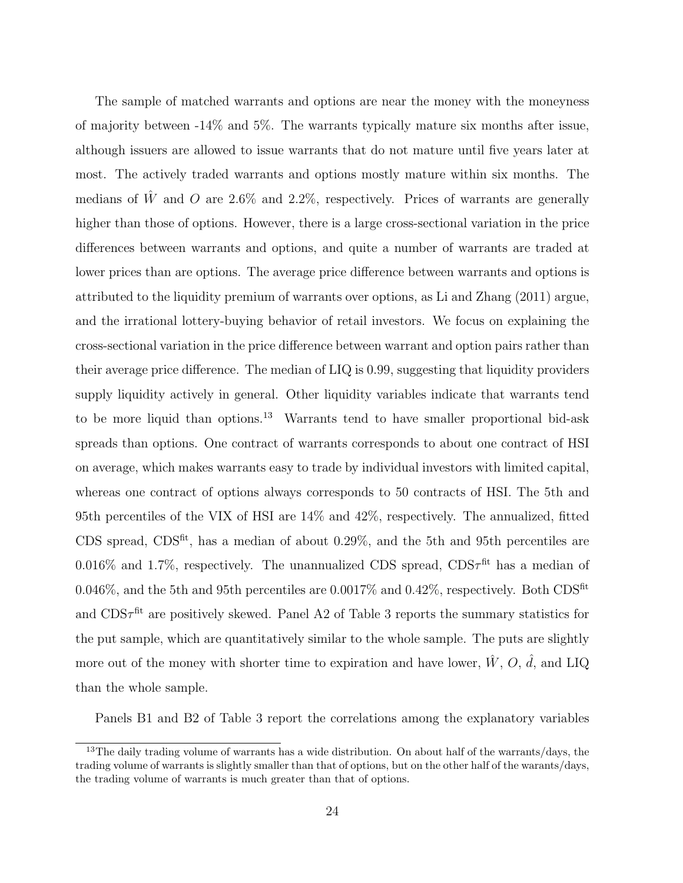The sample of matched warrants and options are near the money with the moneyness of majority between -14% and 5%. The warrants typically mature six months after issue, although issuers are allowed to issue warrants that do not mature until five years later at most. The actively traded warrants and options mostly mature within six months. The medians of  $\hat{W}$  and O are 2.6% and 2.2%, respectively. Prices of warrants are generally higher than those of options. However, there is a large cross-sectional variation in the price differences between warrants and options, and quite a number of warrants are traded at lower prices than are options. The average price difference between warrants and options is attributed to the liquidity premium of warrants over options, as Li and Zhang (2011) argue, and the irrational lottery-buying behavior of retail investors. We focus on explaining the cross-sectional variation in the price difference between warrant and option pairs rather than their average price difference. The median of LIQ is 0.99, suggesting that liquidity providers supply liquidity actively in general. Other liquidity variables indicate that warrants tend to be more liquid than options.<sup>13</sup> Warrants tend to have smaller proportional bid-ask spreads than options. One contract of warrants corresponds to about one contract of HSI on average, which makes warrants easy to trade by individual investors with limited capital, whereas one contract of options always corresponds to 50 contracts of HSI. The 5th and 95th percentiles of the VIX of HSI are 14% and 42%, respectively. The annualized, fitted CDS spread, CDSfit, has a median of about 0.29%, and the 5th and 95th percentiles are 0.016\% and 1.7\%, respectively. The unannualized CDS spread,  $CDS\tau^{fit}$  has a median of 0.046%, and the 5th and 95th percentiles are 0.0017% and 0.42%, respectively. Both CDS<sup>fit</sup> and  $CDS\tau^{fit}$  are positively skewed. Panel A2 of Table 3 reports the summary statistics for the put sample, which are quantitatively similar to the whole sample. The puts are slightly more out of the money with shorter time to expiration and have lower,  $\hat{W}$ ,  $O$ ,  $\hat{d}$ , and LIQ than the whole sample.

Panels B1 and B2 of Table 3 report the correlations among the explanatory variables

<sup>&</sup>lt;sup>13</sup>The daily trading volume of warrants has a wide distribution. On about half of the warrants/days, the trading volume of warrants is slightly smaller than that of options, but on the other half of the warants/days, the trading volume of warrants is much greater than that of options.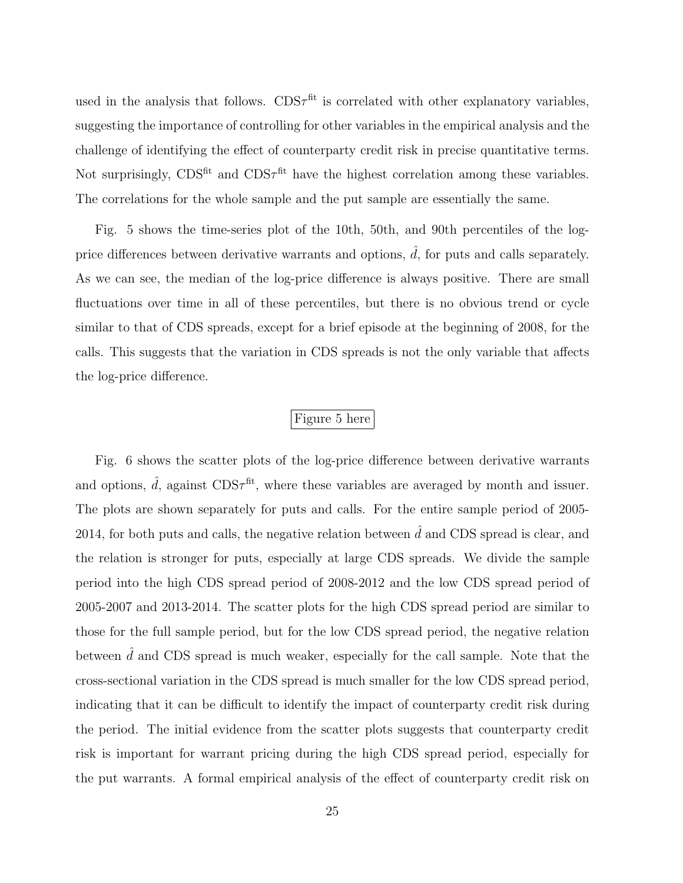used in the analysis that follows.  $CDS\tau^{fit}$  is correlated with other explanatory variables, suggesting the importance of controlling for other variables in the empirical analysis and the challenge of identifying the effect of counterparty credit risk in precise quantitative terms. Not surprisingly,  $CDS<sup>fit</sup>$  and  $CDS<sup>fit</sup>$  have the highest correlation among these variables. The correlations for the whole sample and the put sample are essentially the same.

Fig. 5 shows the time-series plot of the 10th, 50th, and 90th percentiles of the logprice differences between derivative warrants and options,  $\tilde{d}$ , for puts and calls separately. As we can see, the median of the log-price difference is always positive. There are small fluctuations over time in all of these percentiles, but there is no obvious trend or cycle similar to that of CDS spreads, except for a brief episode at the beginning of 2008, for the calls. This suggests that the variation in CDS spreads is not the only variable that affects the log-price difference.

### Figure 5 here

Fig. 6 shows the scatter plots of the log-price difference between derivative warrants and options,  $\hat{d}$ , against  $CDS\tau^{\text{fit}}$ , where these variables are averaged by month and issuer. The plots are shown separately for puts and calls. For the entire sample period of 2005- 2014, for both puts and calls, the negative relation between  $\hat{d}$  and CDS spread is clear, and the relation is stronger for puts, especially at large CDS spreads. We divide the sample period into the high CDS spread period of 2008-2012 and the low CDS spread period of 2005-2007 and 2013-2014. The scatter plots for the high CDS spread period are similar to those for the full sample period, but for the low CDS spread period, the negative relation between  $\hat{d}$  and CDS spread is much weaker, especially for the call sample. Note that the cross-sectional variation in the CDS spread is much smaller for the low CDS spread period, indicating that it can be difficult to identify the impact of counterparty credit risk during the period. The initial evidence from the scatter plots suggests that counterparty credit risk is important for warrant pricing during the high CDS spread period, especially for the put warrants. A formal empirical analysis of the effect of counterparty credit risk on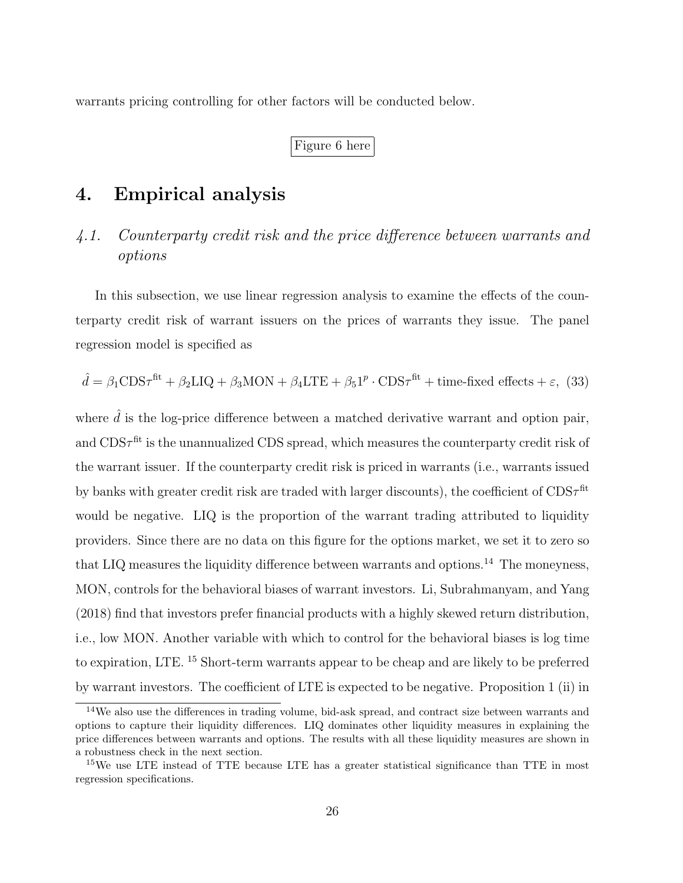warrants pricing controlling for other factors will be conducted below.

Figure 6 here

# 4. Empirical analysis

# 4.1. Counterparty credit risk and the price difference between warrants and options

In this subsection, we use linear regression analysis to examine the effects of the counterparty credit risk of warrant issuers on the prices of warrants they issue. The panel regression model is specified as

$$
\hat{d} = \beta_1 \text{CDS}\tau^{\text{fit}} + \beta_2 \text{LIQ} + \beta_3 \text{MON} + \beta_4 \text{LTE} + \beta_5 \text{1}^p \cdot \text{CDS}\tau^{\text{fit}} + \text{time-fixed effects} + \varepsilon, (33)
$$

where  $\hat{d}$  is the log-price difference between a matched derivative warrant and option pair, and  $CDS\tau^{fit}$  is the unannualized CDS spread, which measures the counterparty credit risk of the warrant issuer. If the counterparty credit risk is priced in warrants (i.e., warrants issued by banks with greater credit risk are traded with larger discounts), the coefficient of  $CDS\tau^{\text{fit}}$ would be negative. LIQ is the proportion of the warrant trading attributed to liquidity providers. Since there are no data on this figure for the options market, we set it to zero so that LIQ measures the liquidity difference between warrants and options.<sup>14</sup> The moneyness, MON, controls for the behavioral biases of warrant investors. Li, Subrahmanyam, and Yang (2018) find that investors prefer financial products with a highly skewed return distribution, i.e., low MON. Another variable with which to control for the behavioral biases is log time to expiration, LTE. <sup>15</sup> Short-term warrants appear to be cheap and are likely to be preferred by warrant investors. The coefficient of LTE is expected to be negative. Proposition 1 (ii) in

<sup>14</sup>We also use the differences in trading volume, bid-ask spread, and contract size between warrants and options to capture their liquidity differences. LIQ dominates other liquidity measures in explaining the price differences between warrants and options. The results with all these liquidity measures are shown in a robustness check in the next section.

<sup>&</sup>lt;sup>15</sup>We use LTE instead of TTE because LTE has a greater statistical significance than TTE in most regression specifications.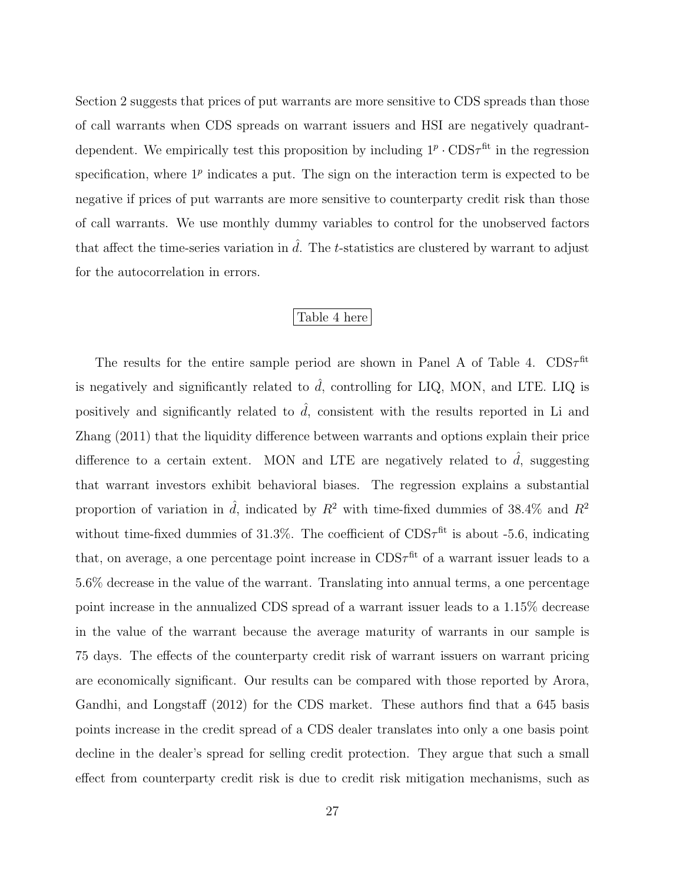Section 2 suggests that prices of put warrants are more sensitive to CDS spreads than those of call warrants when CDS spreads on warrant issuers and HSI are negatively quadrantdependent. We empirically test this proposition by including  $1^p \cdot CDS\tau^{fit}$  in the regression specification, where  $1^p$  indicates a put. The sign on the interaction term is expected to be negative if prices of put warrants are more sensitive to counterparty credit risk than those of call warrants. We use monthly dummy variables to control for the unobserved factors that affect the time-series variation in  $\hat{d}$ . The t-statistics are clustered by warrant to adjust for the autocorrelation in errors.

#### Table 4 here

The results for the entire sample period are shown in Panel A of Table 4.  $CDS\tau^{\text{fit}}$ is negatively and significantly related to  $\hat{d}$ , controlling for LIQ, MON, and LTE. LIQ is positively and significantly related to  $\hat{d}$ , consistent with the results reported in Li and Zhang (2011) that the liquidity difference between warrants and options explain their price difference to a certain extent. MON and LTE are negatively related to  $\hat{d}$ , suggesting that warrant investors exhibit behavioral biases. The regression explains a substantial proportion of variation in  $\hat{d}$ , indicated by  $R^2$  with time-fixed dummies of 38.4% and  $R^2$ without time-fixed dummies of 31.3%. The coefficient of  $CDS\tau^{fit}$  is about -5.6, indicating that, on average, a one percentage point increase in  $CDS\tau^{fit}$  of a warrant issuer leads to a 5.6% decrease in the value of the warrant. Translating into annual terms, a one percentage point increase in the annualized CDS spread of a warrant issuer leads to a 1.15% decrease in the value of the warrant because the average maturity of warrants in our sample is 75 days. The effects of the counterparty credit risk of warrant issuers on warrant pricing are economically significant. Our results can be compared with those reported by Arora, Gandhi, and Longstaff (2012) for the CDS market. These authors find that a 645 basis points increase in the credit spread of a CDS dealer translates into only a one basis point decline in the dealer's spread for selling credit protection. They argue that such a small effect from counterparty credit risk is due to credit risk mitigation mechanisms, such as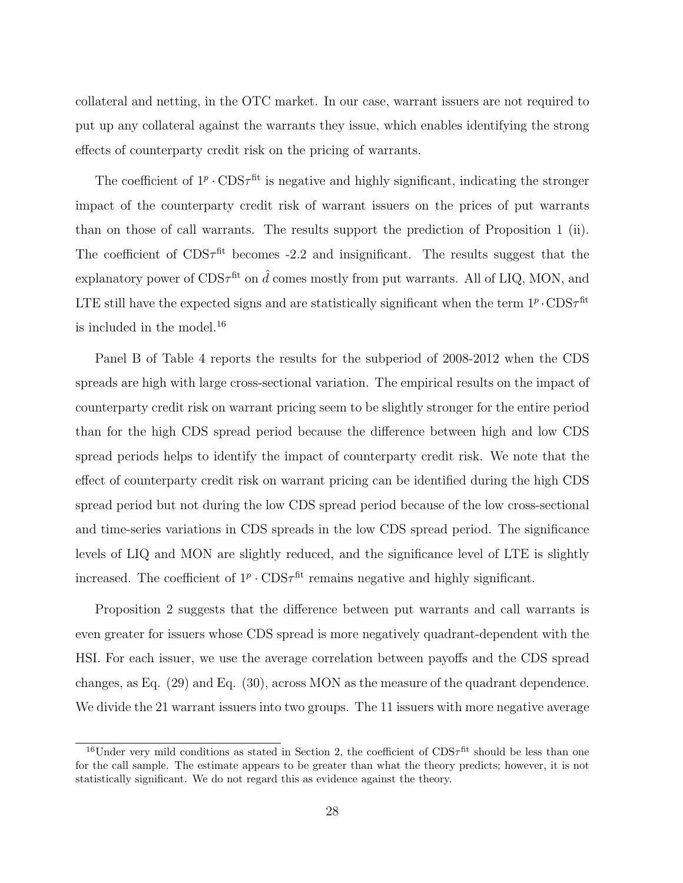collateral and netting, in the OTC market. In our case, warrant issuers are not required to put up any collateral against the warrants they issue, which enables identifying the strong effects of counterparty credit risk on the pricing of warrants.

The coefficient of  $1^p \cdot \text{CDS}\tau^{\text{fit}}$  is negative and highly significant, indicating the stronger impact of the counterparty credit risk of warrant issuers on the prices of put warrants than on those of call warrants. The results support the prediction of Proposition 1 (ii). The coefficient of  $CDS\tau^{fit}$  becomes -2.2 and insignificant. The results suggest that the explanatory power of  $CDS\tau^{\text{fit}}$  on  $\hat{d}$  comes mostly from put warrants. All of LIQ, MON, and LTE still have the expected signs and are statistically significant when the term  $1^p \cdot \text{CDS}\tau^\text{fit}$ is included in the model.<sup>16</sup>

Panel B of Table 4 reports the results for the subperiod of 2008-2012 when the CDS spreads are high with large cross-sectional variation. The empirical results on the impact of counterparty credit risk on warrant pricing seem to be slightly stronger for the entire period than for the high CDS spread period because the difference between high and low CDS spread periods helps to identify the impact of counterparty credit risk. We note that the effect of counterparty credit risk on warrant pricing can be identified during the high CDS spread period but not during the low CDS spread period because of the low cross-sectional and time-series variations in CDS spreads in the low CDS spread period. The significance levels of LIQ and MON are slightly reduced, and the significance level of LTE is slightly increased. The coefficient of  $1^p \cdot \text{CDS}\tau^{\text{fit}}$  remains negative and highly significant.

Proposition 2 suggests that the difference between put warrants and call warrants is even greater for issuers whose CDS spread is more negatively quadrant-dependent with the HSI. For each issuer, we use the average correlation between payoffs and the CDS spread changes, as Eq. (29) and Eq. (30), across MON as the measure of the quadrant dependence. We divide the 21 warrant issuers into two groups. The 11 issuers with more negative average

<sup>&</sup>lt;sup>16</sup>Under very mild conditions as stated in Section 2, the coefficient of  $CDS<sub>\tau</sub>$ <sup>fit</sup> should be less than one for the call sample. The estimate appears to be greater than what the theory predicts; however, it is not statistically significant. We do not regard this as evidence against the theory.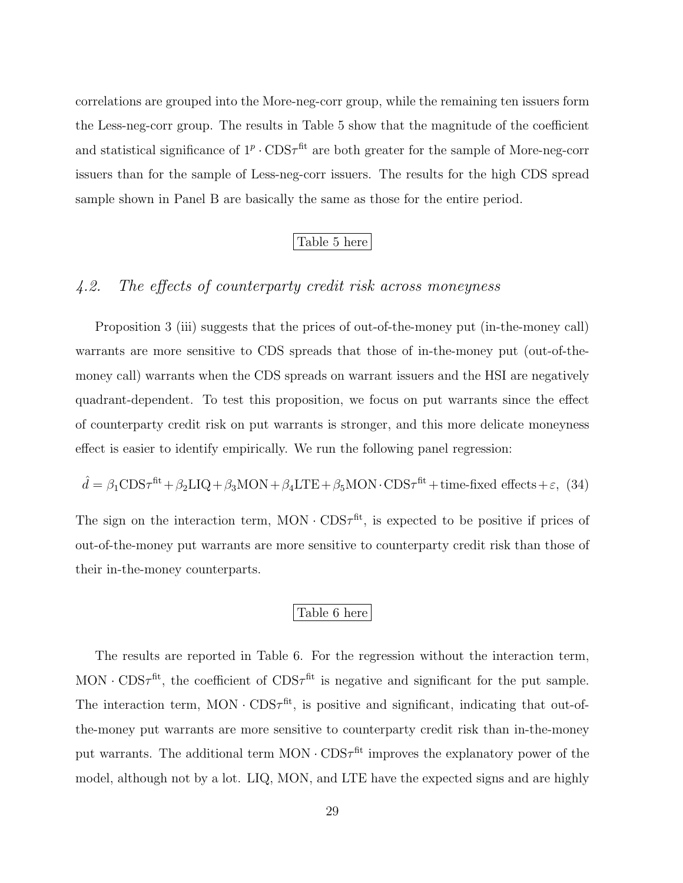correlations are grouped into the More-neg-corr group, while the remaining ten issuers form the Less-neg-corr group. The results in Table 5 show that the magnitude of the coefficient and statistical significance of  $1^p \cdot \text{CDS}\tau^{\text{fit}}$  are both greater for the sample of More-neg-corr issuers than for the sample of Less-neg-corr issuers. The results for the high CDS spread sample shown in Panel B are basically the same as those for the entire period.

#### Table 5 here

## 4.2. The effects of counterparty credit risk across moneyness

Proposition 3 (iii) suggests that the prices of out-of-the-money put (in-the-money call) warrants are more sensitive to CDS spreads that those of in-the-money put (out-of-themoney call) warrants when the CDS spreads on warrant issuers and the HSI are negatively quadrant-dependent. To test this proposition, we focus on put warrants since the effect of counterparty credit risk on put warrants is stronger, and this more delicate moneyness effect is easier to identify empirically. We run the following panel regression:

$$
\hat{d} = \beta_1 \text{CDS}\tau^{\text{fit}} + \beta_2 \text{LIQ} + \beta_3 \text{MON} + \beta_4 \text{LTE} + \beta_5 \text{MON} \cdot \text{CDS}\tau^{\text{fit}} + \text{time-fixed effects} + \varepsilon, (34)
$$

The sign on the interaction term,  $MON \cdot CDS\tau^{fit}$ , is expected to be positive if prices of out-of-the-money put warrants are more sensitive to counterparty credit risk than those of their in-the-money counterparts.

#### Table 6 here

The results are reported in Table 6. For the regression without the interaction term, MON  $\cdot$  CDS $\tau^{\text{fit}}$ , the coefficient of CDS $\tau^{\text{fit}}$  is negative and significant for the put sample. The interaction term, MON  $\cdot$  CDS $\tau^{\text{fit}}$ , is positive and significant, indicating that out-ofthe-money put warrants are more sensitive to counterparty credit risk than in-the-money put warrants. The additional term  $MON \cdot CDS\tau^{fit}$  improves the explanatory power of the model, although not by a lot. LIQ, MON, and LTE have the expected signs and are highly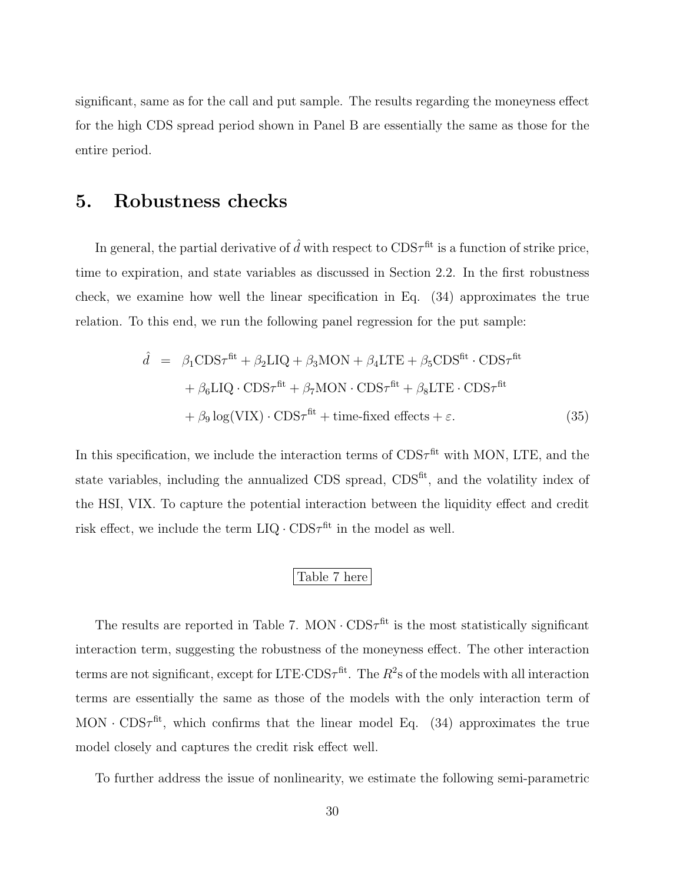significant, same as for the call and put sample. The results regarding the moneyness effect for the high CDS spread period shown in Panel B are essentially the same as those for the entire period.

# 5. Robustness checks

In general, the partial derivative of  $\hat{d}$  with respect to  $CDS\tau^{\text{fit}}$  is a function of strike price, time to expiration, and state variables as discussed in Section 2.2. In the first robustness check, we examine how well the linear specification in Eq. (34) approximates the true relation. To this end, we run the following panel regression for the put sample:

$$
\hat{d} = \beta_1 \text{CDS}\tau^{\text{fit}} + \beta_2 \text{LIQ} + \beta_3 \text{MON} + \beta_4 \text{LTE} + \beta_5 \text{CDS}^{\text{fit}} \cdot \text{CDS}\tau^{\text{fit}} + \beta_6 \text{LIQ} \cdot \text{CDS}\tau^{\text{fit}} + \beta_7 \text{MON} \cdot \text{CDS}\tau^{\text{fit}} + \beta_8 \text{LTE} \cdot \text{CDS}\tau^{\text{fit}} + \beta_9 \log(\text{VIX}) \cdot \text{CDS}\tau^{\text{fit}} + \text{time-fixed effects} + \varepsilon.
$$
\n(35)

In this specification, we include the interaction terms of  $CDS\tau^{fit}$  with MON, LTE, and the state variables, including the annualized CDS spread, CDS<sup>fit</sup>, and the volatility index of the HSI, VIX. To capture the potential interaction between the liquidity effect and credit risk effect, we include the term  $LIQ \cdot CDS\tau^{fit}$  in the model as well.

#### Table 7 here

The results are reported in Table 7. MON  $\cdot$  CDS $\tau$ <sup>fit</sup> is the most statistically significant interaction term, suggesting the robustness of the moneyness effect. The other interaction terms are not significant, except for LTE·CDS $\tau^{\text{fit}}$ . The  $R^2$ s of the models with all interaction terms are essentially the same as those of the models with the only interaction term of MON  $\cdot$  CDS $\tau^{\text{fit}}$ , which confirms that the linear model Eq. (34) approximates the true model closely and captures the credit risk effect well.

To further address the issue of nonlinearity, we estimate the following semi-parametric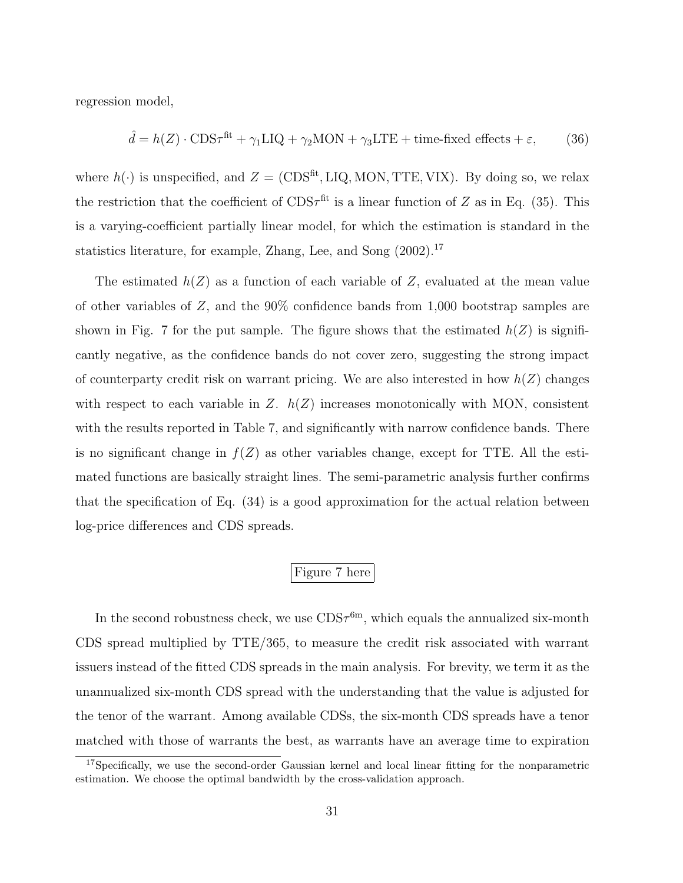regression model,

$$
\hat{d} = h(Z) \cdot \text{CDS}\tau^{\text{fit}} + \gamma_1 \text{LIQ} + \gamma_2 \text{MON} + \gamma_3 \text{LTE} + \text{time-fixed effects} + \varepsilon,\tag{36}
$$

where  $h(\cdot)$  is unspecified, and  $Z = (CDS<sup>fit</sup>, LIQ, MON, TTE, VIX)$ . By doing so, we relax the restriction that the coefficient of  $CDS\tau^{fit}$  is a linear function of Z as in Eq. (35). This is a varying-coefficient partially linear model, for which the estimation is standard in the statistics literature, for example, Zhang, Lee, and Song  $(2002)$ .<sup>17</sup>

The estimated  $h(Z)$  as a function of each variable of Z, evaluated at the mean value of other variables of Z, and the 90% confidence bands from 1,000 bootstrap samples are shown in Fig. 7 for the put sample. The figure shows that the estimated  $h(Z)$  is significantly negative, as the confidence bands do not cover zero, suggesting the strong impact of counterparty credit risk on warrant pricing. We are also interested in how  $h(Z)$  changes with respect to each variable in  $Z$ .  $h(Z)$  increases monotonically with MON, consistent with the results reported in Table 7, and significantly with narrow confidence bands. There is no significant change in  $f(Z)$  as other variables change, except for TTE. All the estimated functions are basically straight lines. The semi-parametric analysis further confirms that the specification of Eq. (34) is a good approximation for the actual relation between log-price differences and CDS spreads.

## Figure 7 here

In the second robustness check, we use  $CDS\tau^{6m}$ , which equals the annualized six-month CDS spread multiplied by TTE/365, to measure the credit risk associated with warrant issuers instead of the fitted CDS spreads in the main analysis. For brevity, we term it as the unannualized six-month CDS spread with the understanding that the value is adjusted for the tenor of the warrant. Among available CDSs, the six-month CDS spreads have a tenor matched with those of warrants the best, as warrants have an average time to expiration

<sup>&</sup>lt;sup>17</sup>Specifically, we use the second-order Gaussian kernel and local linear fitting for the nonparametric estimation. We choose the optimal bandwidth by the cross-validation approach.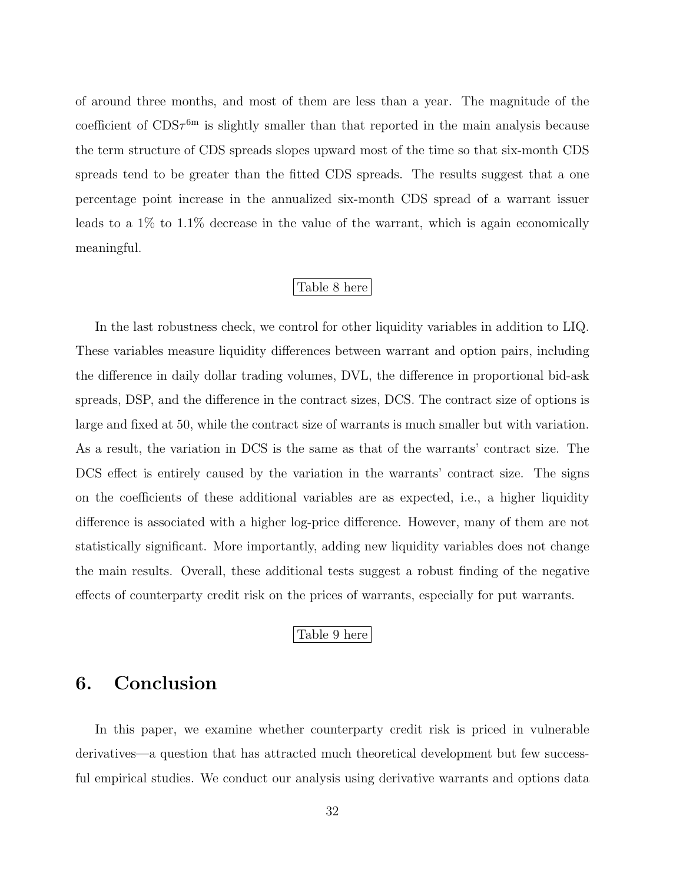of around three months, and most of them are less than a year. The magnitude of the coefficient of  $CDS\tau^{6m}$  is slightly smaller than that reported in the main analysis because the term structure of CDS spreads slopes upward most of the time so that six-month CDS spreads tend to be greater than the fitted CDS spreads. The results suggest that a one percentage point increase in the annualized six-month CDS spread of a warrant issuer leads to a 1% to 1.1% decrease in the value of the warrant, which is again economically meaningful.

#### Table 8 here

In the last robustness check, we control for other liquidity variables in addition to LIQ. These variables measure liquidity differences between warrant and option pairs, including the difference in daily dollar trading volumes, DVL, the difference in proportional bid-ask spreads, DSP, and the difference in the contract sizes, DCS. The contract size of options is large and fixed at 50, while the contract size of warrants is much smaller but with variation. As a result, the variation in DCS is the same as that of the warrants' contract size. The DCS effect is entirely caused by the variation in the warrants' contract size. The signs on the coefficients of these additional variables are as expected, i.e., a higher liquidity difference is associated with a higher log-price difference. However, many of them are not statistically significant. More importantly, adding new liquidity variables does not change the main results. Overall, these additional tests suggest a robust finding of the negative effects of counterparty credit risk on the prices of warrants, especially for put warrants.

#### Table 9 here

# 6. Conclusion

In this paper, we examine whether counterparty credit risk is priced in vulnerable derivatives—a question that has attracted much theoretical development but few successful empirical studies. We conduct our analysis using derivative warrants and options data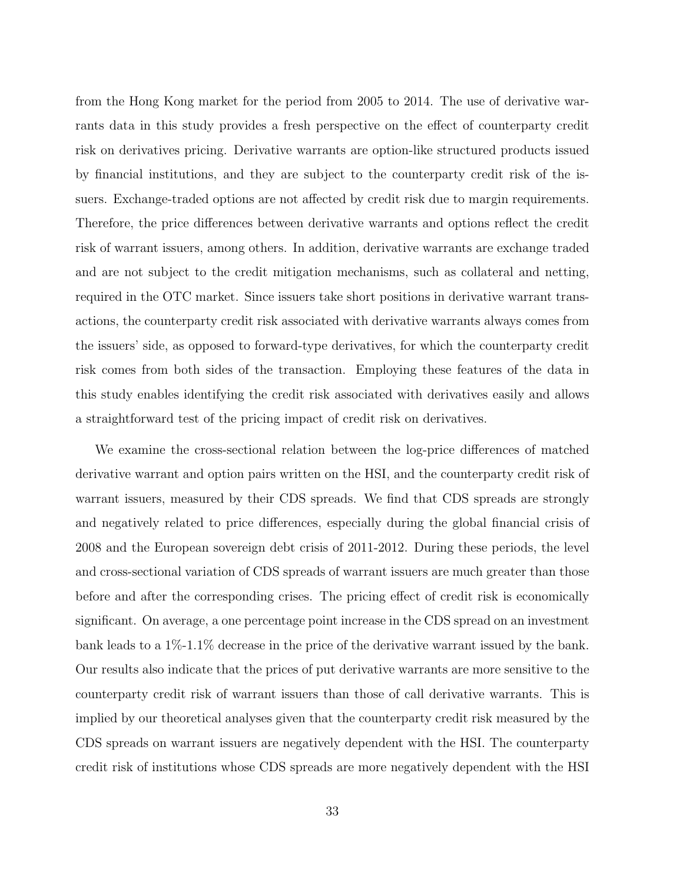from the Hong Kong market for the period from 2005 to 2014. The use of derivative warrants data in this study provides a fresh perspective on the effect of counterparty credit risk on derivatives pricing. Derivative warrants are option-like structured products issued by financial institutions, and they are subject to the counterparty credit risk of the issuers. Exchange-traded options are not affected by credit risk due to margin requirements. Therefore, the price differences between derivative warrants and options reflect the credit risk of warrant issuers, among others. In addition, derivative warrants are exchange traded and are not subject to the credit mitigation mechanisms, such as collateral and netting, required in the OTC market. Since issuers take short positions in derivative warrant transactions, the counterparty credit risk associated with derivative warrants always comes from the issuers' side, as opposed to forward-type derivatives, for which the counterparty credit risk comes from both sides of the transaction. Employing these features of the data in this study enables identifying the credit risk associated with derivatives easily and allows a straightforward test of the pricing impact of credit risk on derivatives.

We examine the cross-sectional relation between the log-price differences of matched derivative warrant and option pairs written on the HSI, and the counterparty credit risk of warrant issuers, measured by their CDS spreads. We find that CDS spreads are strongly and negatively related to price differences, especially during the global financial crisis of 2008 and the European sovereign debt crisis of 2011-2012. During these periods, the level and cross-sectional variation of CDS spreads of warrant issuers are much greater than those before and after the corresponding crises. The pricing effect of credit risk is economically significant. On average, a one percentage point increase in the CDS spread on an investment bank leads to a 1%-1.1% decrease in the price of the derivative warrant issued by the bank. Our results also indicate that the prices of put derivative warrants are more sensitive to the counterparty credit risk of warrant issuers than those of call derivative warrants. This is implied by our theoretical analyses given that the counterparty credit risk measured by the CDS spreads on warrant issuers are negatively dependent with the HSI. The counterparty credit risk of institutions whose CDS spreads are more negatively dependent with the HSI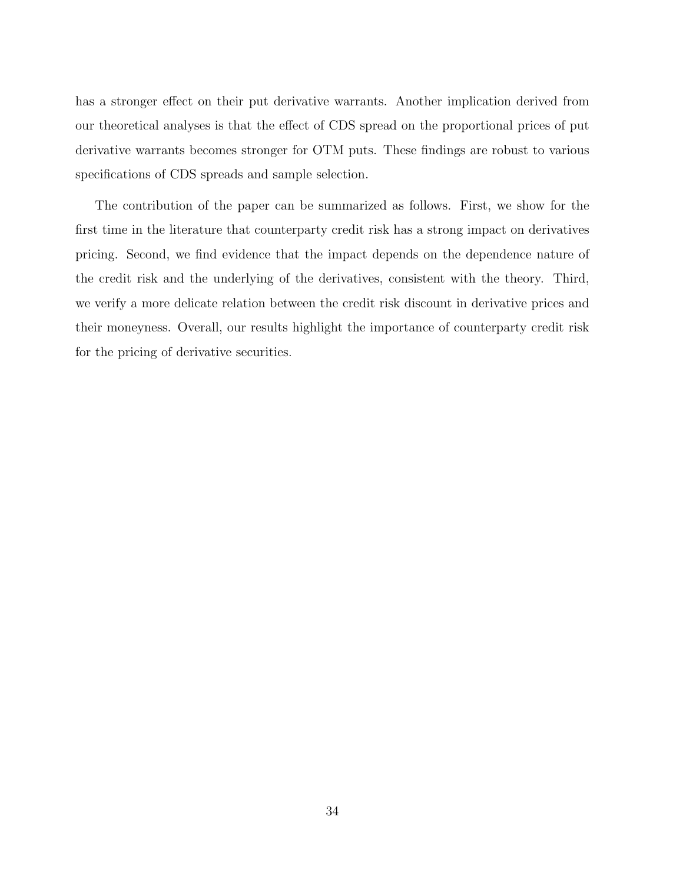has a stronger effect on their put derivative warrants. Another implication derived from our theoretical analyses is that the effect of CDS spread on the proportional prices of put derivative warrants becomes stronger for OTM puts. These findings are robust to various specifications of CDS spreads and sample selection.

The contribution of the paper can be summarized as follows. First, we show for the first time in the literature that counterparty credit risk has a strong impact on derivatives pricing. Second, we find evidence that the impact depends on the dependence nature of the credit risk and the underlying of the derivatives, consistent with the theory. Third, we verify a more delicate relation between the credit risk discount in derivative prices and their moneyness. Overall, our results highlight the importance of counterparty credit risk for the pricing of derivative securities.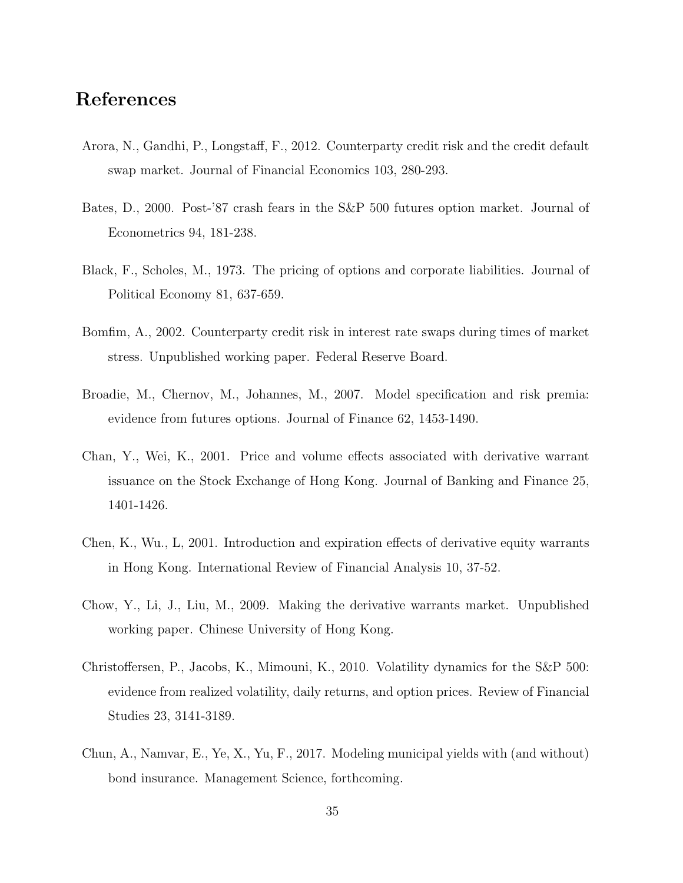# References

- Arora, N., Gandhi, P., Longstaff, F., 2012. Counterparty credit risk and the credit default swap market. Journal of Financial Economics 103, 280-293.
- Bates, D., 2000. Post-'87 crash fears in the S&P 500 futures option market. Journal of Econometrics 94, 181-238.
- Black, F., Scholes, M., 1973. The pricing of options and corporate liabilities. Journal of Political Economy 81, 637-659.
- Bomfim, A., 2002. Counterparty credit risk in interest rate swaps during times of market stress. Unpublished working paper. Federal Reserve Board.
- Broadie, M., Chernov, M., Johannes, M., 2007. Model specification and risk premia: evidence from futures options. Journal of Finance 62, 1453-1490.
- Chan, Y., Wei, K., 2001. Price and volume effects associated with derivative warrant issuance on the Stock Exchange of Hong Kong. Journal of Banking and Finance 25, 1401-1426.
- Chen, K., Wu., L, 2001. Introduction and expiration effects of derivative equity warrants in Hong Kong. International Review of Financial Analysis 10, 37-52.
- Chow, Y., Li, J., Liu, M., 2009. Making the derivative warrants market. Unpublished working paper. Chinese University of Hong Kong.
- Christoffersen, P., Jacobs, K., Mimouni, K., 2010. Volatility dynamics for the S&P 500: evidence from realized volatility, daily returns, and option prices. Review of Financial Studies 23, 3141-3189.
- Chun, A., Namvar, E., Ye, X., Yu, F., 2017. Modeling municipal yields with (and without) bond insurance. Management Science, forthcoming.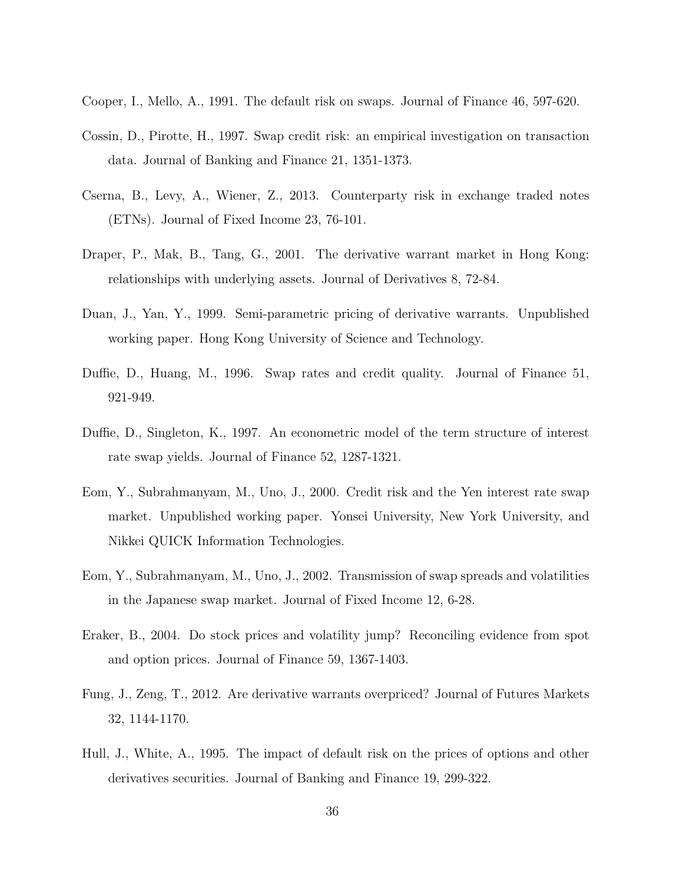- Cooper, I., Mello, A., 1991. The default risk on swaps. Journal of Finance 46, 597-620.
- Cossin, D., Pirotte, H., 1997. Swap credit risk: an empirical investigation on transaction data. Journal of Banking and Finance 21, 1351-1373.
- Cserna, B., Levy, A., Wiener, Z., 2013. Counterparty risk in exchange traded notes (ETNs). Journal of Fixed Income 23, 76-101.
- Draper, P., Mak, B., Tang, G., 2001. The derivative warrant market in Hong Kong: relationships with underlying assets. Journal of Derivatives 8, 72-84.
- Duan, J., Yan, Y., 1999. Semi-parametric pricing of derivative warrants. Unpublished working paper. Hong Kong University of Science and Technology.
- Duffie, D., Huang, M., 1996. Swap rates and credit quality. Journal of Finance 51, 921-949.
- Duffie, D., Singleton, K., 1997. An econometric model of the term structure of interest rate swap yields. Journal of Finance 52, 1287-1321.
- Eom, Y., Subrahmanyam, M., Uno, J., 2000. Credit risk and the Yen interest rate swap market. Unpublished working paper. Yonsei University, New York University, and Nikkei QUICK Information Technologies.
- Eom, Y., Subrahmanyam, M., Uno, J., 2002. Transmission of swap spreads and volatilities in the Japanese swap market. Journal of Fixed Income 12, 6-28.
- Eraker, B., 2004. Do stock prices and volatility jump? Reconciling evidence from spot and option prices. Journal of Finance 59, 1367-1403.
- Fung, J., Zeng, T., 2012. Are derivative warrants overpriced? Journal of Futures Markets 32, 1144-1170.
- Hull, J., White, A., 1995. The impact of default risk on the prices of options and other derivatives securities. Journal of Banking and Finance 19, 299-322.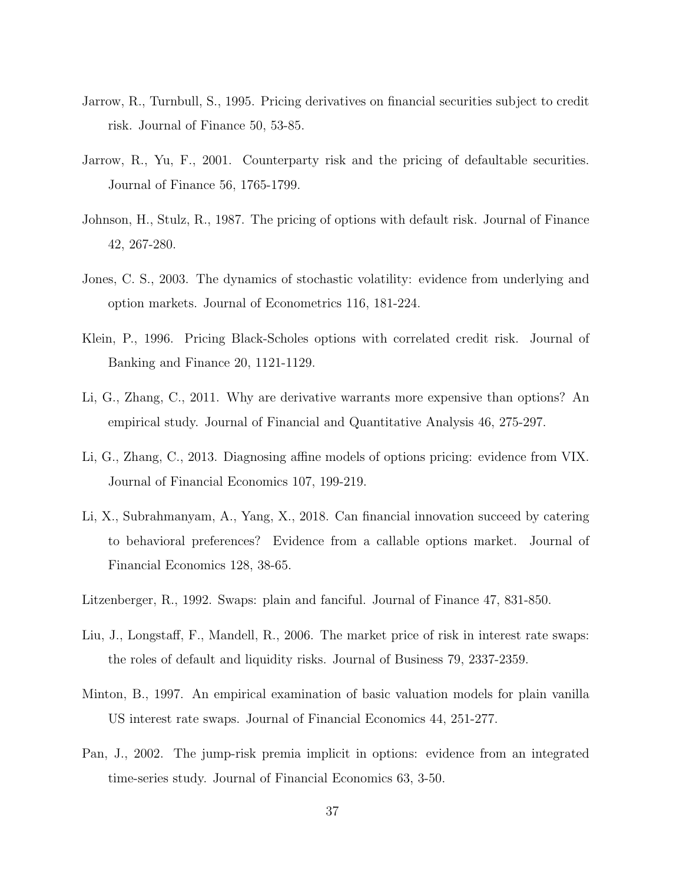- Jarrow, R., Turnbull, S., 1995. Pricing derivatives on financial securities subject to credit risk. Journal of Finance 50, 53-85.
- Jarrow, R., Yu, F., 2001. Counterparty risk and the pricing of defaultable securities. Journal of Finance 56, 1765-1799.
- Johnson, H., Stulz, R., 1987. The pricing of options with default risk. Journal of Finance 42, 267-280.
- Jones, C. S., 2003. The dynamics of stochastic volatility: evidence from underlying and option markets. Journal of Econometrics 116, 181-224.
- Klein, P., 1996. Pricing Black-Scholes options with correlated credit risk. Journal of Banking and Finance 20, 1121-1129.
- Li, G., Zhang, C., 2011. Why are derivative warrants more expensive than options? An empirical study. Journal of Financial and Quantitative Analysis 46, 275-297.
- Li, G., Zhang, C., 2013. Diagnosing affine models of options pricing: evidence from VIX. Journal of Financial Economics 107, 199-219.
- Li, X., Subrahmanyam, A., Yang, X., 2018. Can financial innovation succeed by catering to behavioral preferences? Evidence from a callable options market. Journal of Financial Economics 128, 38-65.
- Litzenberger, R., 1992. Swaps: plain and fanciful. Journal of Finance 47, 831-850.
- Liu, J., Longstaff, F., Mandell, R., 2006. The market price of risk in interest rate swaps: the roles of default and liquidity risks. Journal of Business 79, 2337-2359.
- Minton, B., 1997. An empirical examination of basic valuation models for plain vanilla US interest rate swaps. Journal of Financial Economics 44, 251-277.
- Pan, J., 2002. The jump-risk premia implicit in options: evidence from an integrated time-series study. Journal of Financial Economics 63, 3-50.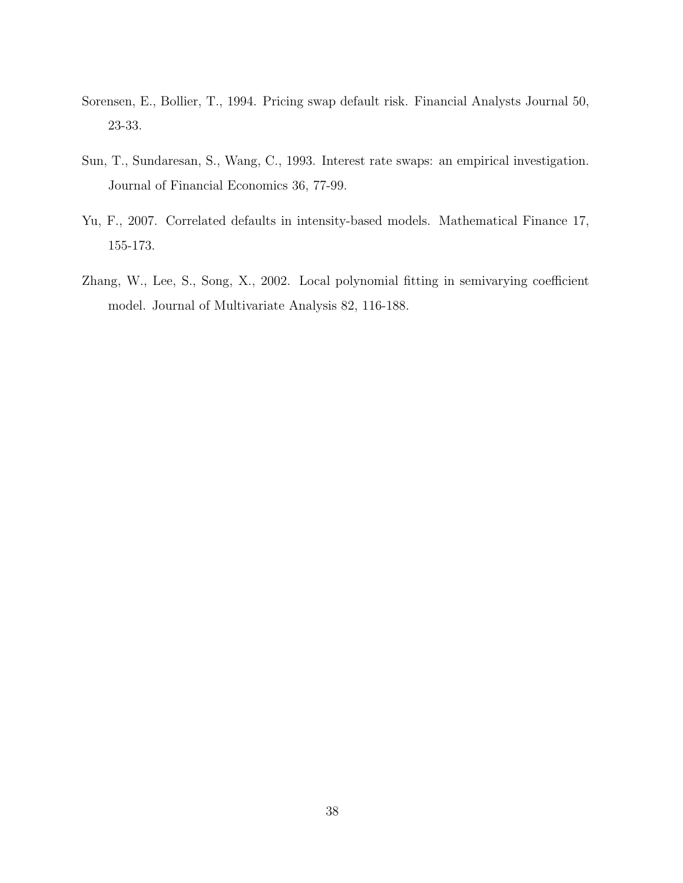- Sorensen, E., Bollier, T., 1994. Pricing swap default risk. Financial Analysts Journal 50, 23-33.
- Sun, T., Sundaresan, S., Wang, C., 1993. Interest rate swaps: an empirical investigation. Journal of Financial Economics 36, 77-99.
- Yu, F., 2007. Correlated defaults in intensity-based models. Mathematical Finance 17, 155-173.
- Zhang, W., Lee, S., Song, X., 2002. Local polynomial fitting in semivarying coefficient model. Journal of Multivariate Analysis 82, 116-188.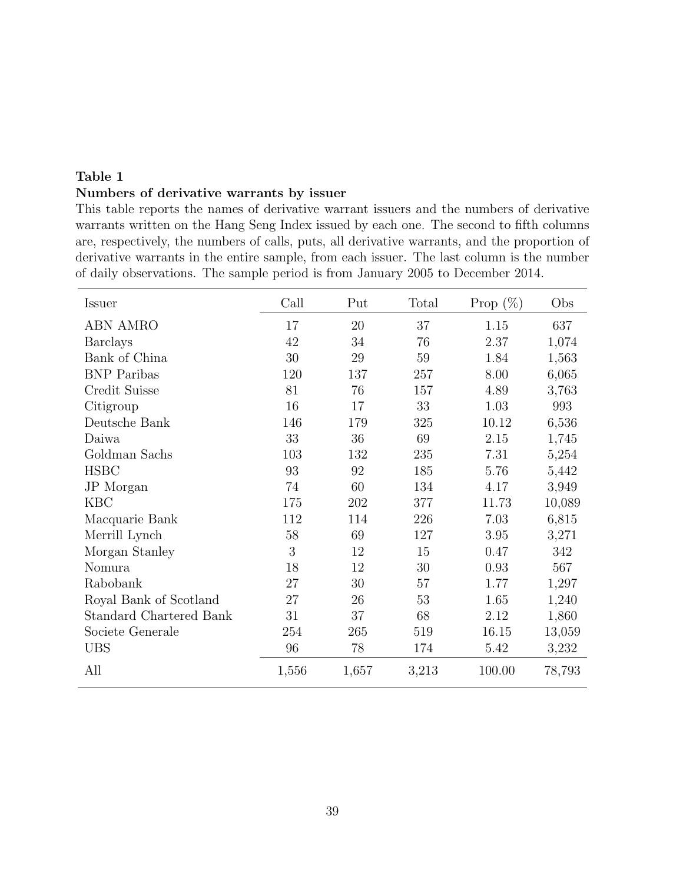### Table 1 Numbers of derivative warrants by issuer

This table reports the names of derivative warrant issuers and the numbers of derivative warrants written on the Hang Seng Index issued by each one. The second to fifth columns are, respectively, the numbers of calls, puts, all derivative warrants, and the proportion of derivative warrants in the entire sample, from each issuer. The last column is the number of daily observations. The sample period is from January 2005 to December 2014.

| Issuer                         | Call   | Put    | Total  | Prop $(\%)$ | Obs    |
|--------------------------------|--------|--------|--------|-------------|--------|
| <b>ABN AMRO</b>                | 17     | 20     | 37     | 1.15        | 637    |
| <b>Barclays</b>                | 42     | 34     | 76     | 2.37        | 1,074  |
| Bank of China                  | $30\,$ | $29\,$ | 59     | 1.84        | 1,563  |
| <b>BNP</b> Paribas             | 120    | 137    | 257    | 8.00        | 6,065  |
| Credit Suisse                  | 81     | 76     | 157    | 4.89        | 3,763  |
| Citigroup                      | 16     | 17     | 33     | 1.03        | 993    |
| Deutsche Bank                  | 146    | 179    | 325    | 10.12       | 6,536  |
| Daiwa                          | 33     | 36     | 69     | 2.15        | 1,745  |
| Goldman Sachs                  | 103    | 132    | 235    | 7.31        | 5,254  |
| <b>HSBC</b>                    | 93     | 92     | 185    | 5.76        | 5,442  |
| JP Morgan                      | 74     | 60     | 134    | 4.17        | 3,949  |
| <b>KBC</b>                     | 175    | 202    | 377    | 11.73       | 10,089 |
| Macquarie Bank                 | 112    | 114    | 226    | 7.03        | 6,815  |
| Merrill Lynch                  | $58\,$ | 69     | 127    | 3.95        | 3,271  |
| Morgan Stanley                 | 3      | 12     | 15     | 0.47        | 342    |
| Nomura                         | 18     | 12     | $30\,$ | 0.93        | 567    |
| Rabobank                       | 27     | $30\,$ | 57     | 1.77        | 1,297  |
| Royal Bank of Scotland         | 27     | 26     | 53     | 1.65        | 1,240  |
| <b>Standard Chartered Bank</b> | 31     | 37     | 68     | 2.12        | 1,860  |
| Societe Generale               | 254    | 265    | 519    | 16.15       | 13,059 |
| <b>UBS</b>                     | 96     | 78     | 174    | 5.42        | 3,232  |
| All                            | 1,556  | 1,657  | 3,213  | 100.00      | 78,793 |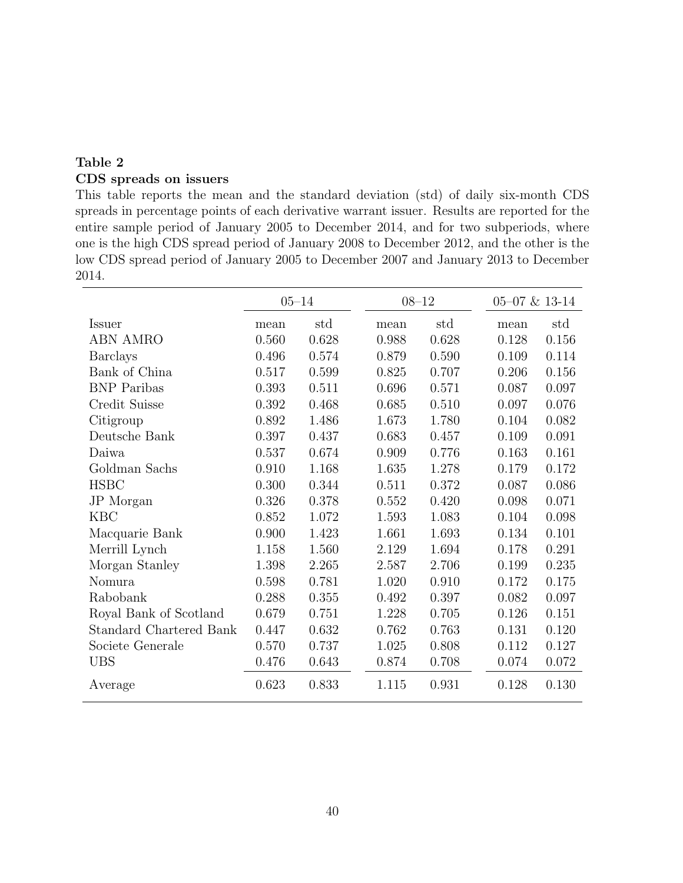## Table 2 CDS spreads on issuers

This table reports the mean and the standard deviation (std) of daily six-month CDS spreads in percentage points of each derivative warrant issuer. Results are reported for the entire sample period of January 2005 to December 2014, and for two subperiods, where one is the high CDS spread period of January 2008 to December 2012, and the other is the low CDS spread period of January 2005 to December 2007 and January 2013 to December 2014.

|                                |       | $05 - 14$ | $08 - 12$ |       |  | $05 - 07$ & 13-14 |       |  |
|--------------------------------|-------|-----------|-----------|-------|--|-------------------|-------|--|
| <b>Issuer</b>                  | mean  | std       | mean      | std   |  | mean              | std   |  |
| <b>ABN AMRO</b>                | 0.560 | 0.628     | 0.988     | 0.628 |  | 0.128             | 0.156 |  |
| <b>Barclays</b>                | 0.496 | 0.574     | 0.879     | 0.590 |  | 0.109             | 0.114 |  |
| Bank of China                  | 0.517 | 0.599     | 0.825     | 0.707 |  | 0.206             | 0.156 |  |
| <b>BNP</b> Paribas             | 0.393 | 0.511     | 0.696     | 0.571 |  | 0.087             | 0.097 |  |
| Credit Suisse                  | 0.392 | 0.468     | 0.685     | 0.510 |  | 0.097             | 0.076 |  |
| Citigroup                      | 0.892 | 1.486     | 1.673     | 1.780 |  | 0.104             | 0.082 |  |
| Deutsche Bank                  | 0.397 | 0.437     | 0.683     | 0.457 |  | 0.109             | 0.091 |  |
| Daiwa                          | 0.537 | 0.674     | 0.909     | 0.776 |  | 0.163             | 0.161 |  |
| Goldman Sachs                  | 0.910 | 1.168     | 1.635     | 1.278 |  | 0.179             | 0.172 |  |
| <b>HSBC</b>                    | 0.300 | 0.344     | 0.511     | 0.372 |  | 0.087             | 0.086 |  |
| JP Morgan                      | 0.326 | 0.378     | 0.552     | 0.420 |  | 0.098             | 0.071 |  |
| <b>KBC</b>                     | 0.852 | 1.072     | 1.593     | 1.083 |  | 0.104             | 0.098 |  |
| Macquarie Bank                 | 0.900 | 1.423     | 1.661     | 1.693 |  | 0.134             | 0.101 |  |
| Merrill Lynch                  | 1.158 | 1.560     | 2.129     | 1.694 |  | 0.178             | 0.291 |  |
| Morgan Stanley                 | 1.398 | 2.265     | 2.587     | 2.706 |  | 0.199             | 0.235 |  |
| Nomura                         | 0.598 | 0.781     | 1.020     | 0.910 |  | 0.172             | 0.175 |  |
| Rabobank                       | 0.288 | 0.355     | 0.492     | 0.397 |  | 0.082             | 0.097 |  |
| Royal Bank of Scotland         | 0.679 | 0.751     | 1.228     | 0.705 |  | 0.126             | 0.151 |  |
| <b>Standard Chartered Bank</b> | 0.447 | 0.632     | 0.762     | 0.763 |  | 0.131             | 0.120 |  |
| Societe Generale               | 0.570 | 0.737     | 1.025     | 0.808 |  | 0.112             | 0.127 |  |
| <b>UBS</b>                     | 0.476 | 0.643     | 0.874     | 0.708 |  | 0.074             | 0.072 |  |
| Average                        | 0.623 | 0.833     | 1.115     | 0.931 |  | $0.128\,$         | 0.130 |  |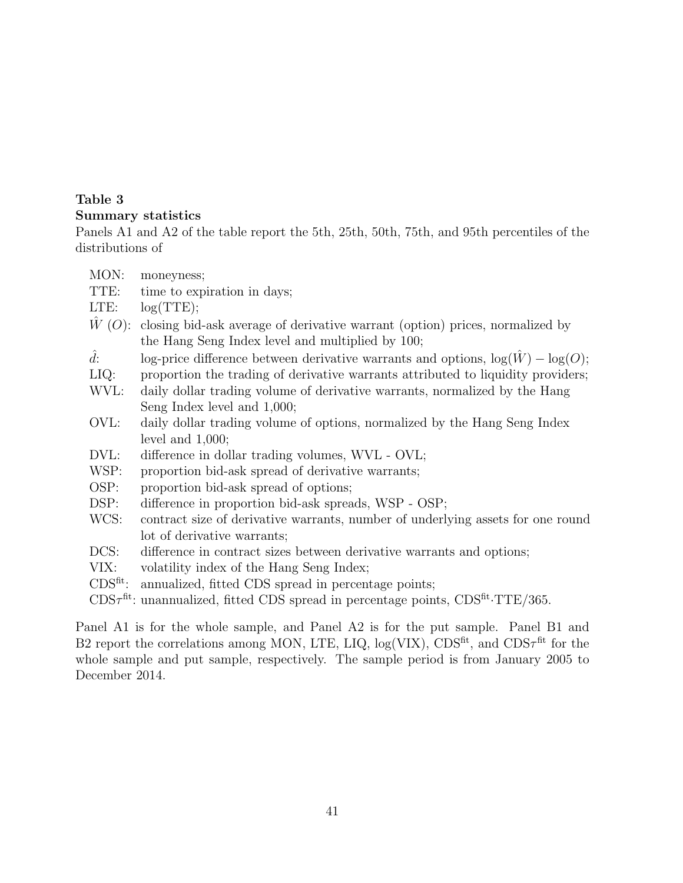### Table 3 Summary statistics

Panels A1 and A2 of the table report the 5th, 25th, 50th, 75th, and 95th percentiles of the distributions of

| MON:        | moneyness;                                                                                                  |
|-------------|-------------------------------------------------------------------------------------------------------------|
| TTE:        | time to expiration in days;                                                                                 |
| LTE:        | log(TTE);                                                                                                   |
|             | $\hat{W}(O)$ : closing bid-ask average of derivative warrant (option) prices, normalized by                 |
|             | the Hang Seng Index level and multiplied by 100;                                                            |
| $\hat{d}$ : | log-price difference between derivative warrants and options, $log(\hat{W}) - log(O)$ ;                     |
| $LIQ$ :     | proportion the trading of derivative warrants attributed to liquidity providers;                            |
| WVL:        | daily dollar trading volume of derivative warrants, normalized by the Hang                                  |
|             | Seng Index level and 1,000;                                                                                 |
| OVL:        | daily dollar trading volume of options, normalized by the Hang Seng Index                                   |
|             | level and $1,000$ ;                                                                                         |
| DVL:        | difference in dollar trading volumes, WVL - OVL;                                                            |
| WSP:        | proportion bid-ask spread of derivative warrants;                                                           |
| OSP:        | proportion bid-ask spread of options;                                                                       |
| DSP:        | difference in proportion bid-ask spreads, WSP - OSP;                                                        |
| WCS:        | contract size of derivative warrants, number of underlying assets for one round                             |
|             | lot of derivative warrants;                                                                                 |
| DCS:        | difference in contract sizes between derivative warrants and options;                                       |
| VIX:        | volatility index of the Hang Seng Index;                                                                    |
| $CDSfit$ :  | annualized, fitted CDS spread in percentage points;                                                         |
|             | $CDS\tau^{\text{fit}}$ : unannualized, fitted CDS spread in percentage points, $CDS^{\text{fit}}$ ·TTE/365. |

Panel A1 is for the whole sample, and Panel A2 is for the put sample. Panel B1 and B2 report the correlations among MON, LTE, LIQ,  $log(VIX)$ , CDS<sup>fit</sup>, and CDS $\tau$ <sup>fit</sup> for the whole sample and put sample, respectively. The sample period is from January 2005 to December 2014.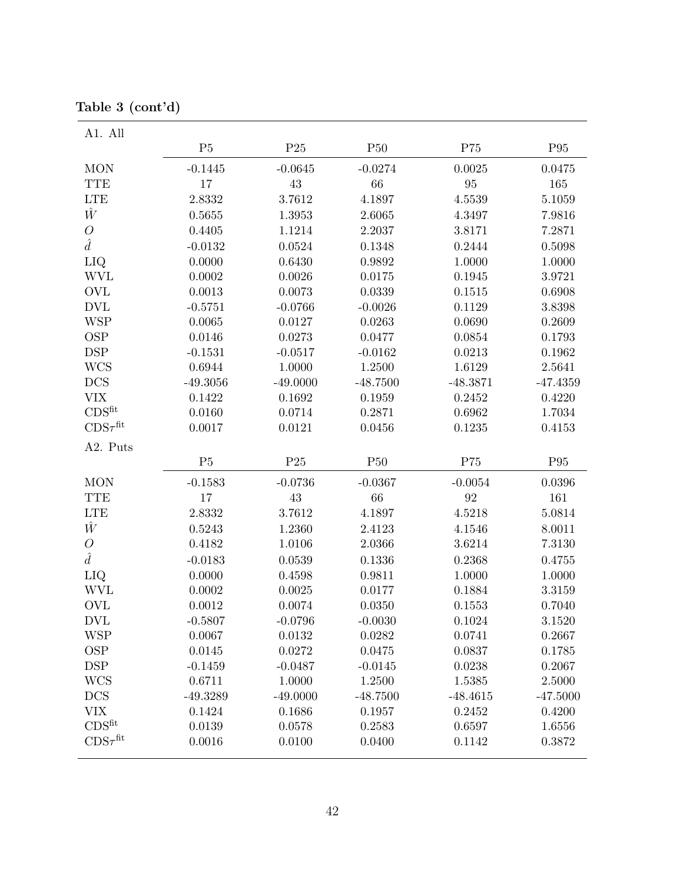| A1. All                     |            |            |            |                   |            |
|-----------------------------|------------|------------|------------|-------------------|------------|
|                             | P5         | P25        | P50        | P75               | P95        |
| <b>MON</b>                  | $-0.1445$  | $-0.0645$  | $-0.0274$  | 0.0025            | 0.0475     |
| <b>TTE</b>                  | 17         | $43\,$     | 66         | $\rm 95$          | 165        |
| <b>LTE</b>                  | 2.8332     | 3.7612     | 4.1897     | 4.5539            | 5.1059     |
| Ŵ                           | 0.5655     | 1.3953     | 2.6065     | 4.3497            | 7.9816     |
| $\mathcal{O}$               | 0.4405     | 1.1214     | 2.2037     | 3.8171            | 7.2871     |
| $\hat{d}$                   | $-0.0132$  | 0.0524     | 0.1348     | 0.2444            | 0.5098     |
| LIQ                         | 0.0000     | 0.6430     | 0.9892     | 1.0000            | 1.0000     |
| <b>WVL</b>                  | 0.0002     | 0.0026     | 0.0175     | 0.1945            | 3.9721     |
| <b>OVL</b>                  | 0.0013     | 0.0073     | 0.0339     | 0.1515            | 0.6908     |
| <b>DVL</b>                  | $-0.5751$  | $-0.0766$  | $-0.0026$  | 0.1129            | 3.8398     |
| <b>WSP</b>                  | 0.0065     | 0.0127     | 0.0263     | 0.0690            | 0.2609     |
| <b>OSP</b>                  | 0.0146     | 0.0273     | 0.0477     | 0.0854            | 0.1793     |
| $\mathop{\rm DSP}\nolimits$ | $-0.1531$  | $-0.0517$  | $-0.0162$  | 0.0213            | 0.1962     |
| <b>WCS</b>                  | 0.6944     | 1.0000     | 1.2500     | 1.6129            | 2.5641     |
| <b>DCS</b>                  | $-49.3056$ | $-49.0000$ | $-48.7500$ | $-48.3871$        | $-47.4359$ |
| <b>VIX</b>                  | 0.1422     | 0.1692     | 0.1959     | 0.2452            | 0.4220     |
| CDS <sup>fit</sup>          | 0.0160     | 0.0714     | 0.2871     | 0.6962            | 1.7034     |
| $CDS\tau^{\text{fit}}$      | 0.0017     | 0.0121     | 0.0456     | 0.1235            | 0.4153     |
| A2. Puts                    |            |            |            |                   |            |
|                             | P5         | P25        | P50        | P75               | P95        |
| <b>MON</b>                  | $-0.1583$  | $-0.0736$  | $-0.0367$  | $-0.0054$         | 0.0396     |
| <b>TTE</b>                  | 17         | 43         | 66         | $\boldsymbol{92}$ | 161        |
| <b>LTE</b>                  | 2.8332     | 3.7612     | 4.1897     | 4.5218            | 5.0814     |
| Ŵ                           | 0.5243     | 1.2360     | 2.4123     | 4.1546            | 8.0011     |
| $\overline{O}$              | 0.4182     | 1.0106     | 2.0366     | 3.6214            | 7.3130     |
| $\hat{d}$                   | $-0.0183$  | 0.0539     | 0.1336     | 0.2368            | 0.4755     |
| LIQ                         | 0.0000     | 0.4598     | 0.9811     | 1.0000            | 1.0000     |
| <b>WVL</b>                  | 0.0002     | 0.0025     | 0.0177     | 0.1884            | 3.3159     |
| <b>OVL</b>                  | 0.0012     | 0.0074     | 0.0350     | 0.1553            | 0.7040     |
| <b>DVL</b>                  | $-0.5807$  | $-0.0796$  | $-0.0030$  | 0.1024            | 3.1520     |
| <b>WSP</b>                  | 0.0067     | 0.0132     | 0.0282     | 0.0741            | 0.2667     |
| <b>OSP</b>                  | 0.0145     | 0.0272     | 0.0475     | 0.0837            | 0.1785     |
| <b>DSP</b>                  | $-0.1459$  | $-0.0487$  | $-0.0145$  | 0.0238            | 0.2067     |
| <b>WCS</b>                  | 0.6711     | 1.0000     | 1.2500     | 1.5385            | 2.5000     |
| <b>DCS</b>                  | $-49.3289$ | $-49.0000$ | $-48.7500$ | $-48.4615$        | $-47.5000$ |
| <b>VIX</b>                  | 0.1424     | 0.1686     | 0.1957     | 0.2452            | 0.4200     |
| $CDS^{fit}$                 | 0.0139     | 0.0578     | 0.2583     | 0.6597            | 1.6556     |
| $CDS\tau^{\text{fit}}$      | 0.0016     | 0.0100     | 0.0400     | 0.1142            | 0.3872     |

Table 3 (cont'd)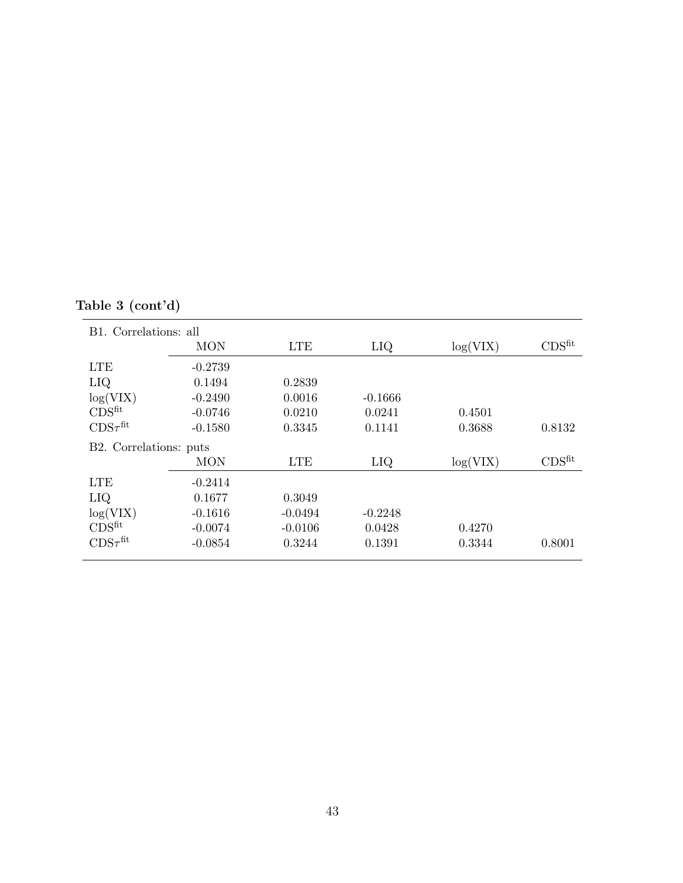# Table 3 (cont'd)

| B1. Correlations: all  |            |            |           |          |                    |
|------------------------|------------|------------|-----------|----------|--------------------|
|                        | <b>MON</b> | <b>LTE</b> | LIQ       | log(VIX) | CDS <sup>fit</sup> |
| <b>LTE</b>             | $-0.2739$  |            |           |          |                    |
| LIQ                    | 0.1494     | 0.2839     |           |          |                    |
| log(VIX)               | $-0.2490$  | 0.0016     | $-0.1666$ |          |                    |
| CDS <sup>fit</sup>     | $-0.0746$  | 0.0210     | 0.0241    | 0.4501   |                    |
| $CDS\tau^{\text{fit}}$ | $-0.1580$  | 0.3345     | 0.1141    | 0.3688   | 0.8132             |
| B2. Correlations: puts |            |            |           |          |                    |
|                        | <b>MON</b> | <b>LTE</b> | LIQ       | log(VIX) | CDS <sup>fit</sup> |
| <b>LTE</b>             | $-0.2414$  |            |           |          |                    |
| LIQ                    | 0.1677     | 0.3049     |           |          |                    |
| log(VIX)               | $-0.1616$  | $-0.0494$  | $-0.2248$ |          |                    |
| CDS <sup>fit</sup>     | $-0.0074$  | $-0.0106$  | 0.0428    | 0.4270   |                    |
| $CDS\tau^{\text{fit}}$ | $-0.0854$  | 0.3244     | 0.1391    | 0.3344   | 0.8001             |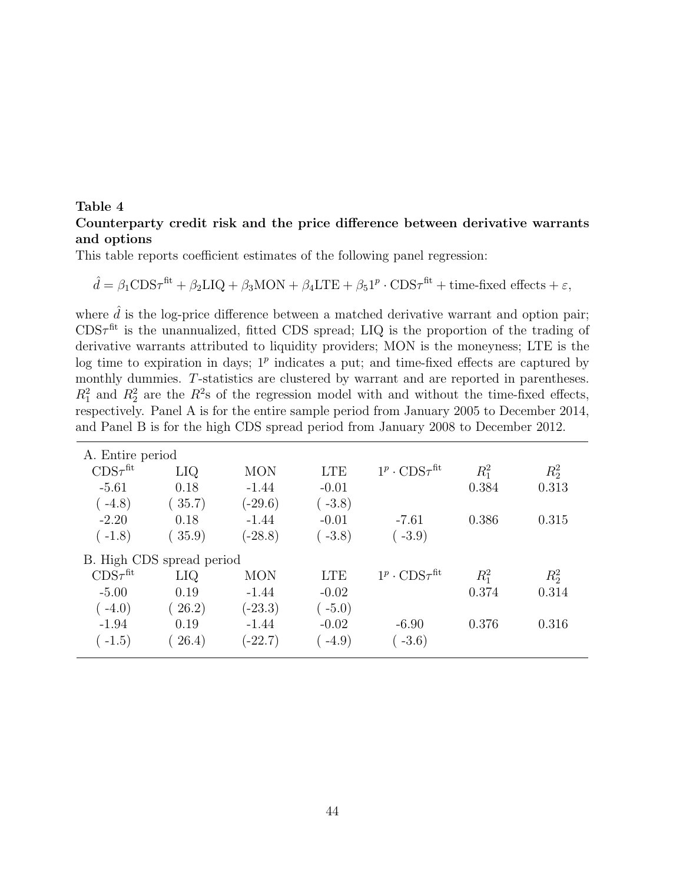#### Table 4 Counterparty credit risk and the price difference between derivative warrants and options

This table reports coefficient estimates of the following panel regression:

$$
\hat{d} = \beta_1 \text{CDS}\tau^{\text{fit}} + \beta_2 \text{LIQ} + \beta_3 \text{MON} + \beta_4 \text{LTE} + \beta_5 \text{1}^p \cdot \text{CDS}\tau^{\text{fit}} + \text{time-fixed effects} + \varepsilon,
$$

where  $\hat{d}$  is the log-price difference between a matched derivative warrant and option pair;  $CDS\tau^{fit}$  is the unannualized, fitted CDS spread; LIQ is the proportion of the trading of derivative warrants attributed to liquidity providers; MON is the moneyness; LTE is the log time to expiration in days;  $1^p$  indicates a put; and time-fixed effects are captured by monthly dummies. T-statistics are clustered by warrant and are reported in parentheses.  $R_1^2$  and  $R_2^2$  are the  $R^2$ s of the regression model with and without the time-fixed effects, respectively. Panel A is for the entire sample period from January 2005 to December 2014, and Panel B is for the high CDS spread period from January 2008 to December 2012.

| A. Entire period       |                           |            |            |                                         |             |         |
|------------------------|---------------------------|------------|------------|-----------------------------------------|-------------|---------|
| $CDS\tau^{\text{fit}}$ | LIQ                       | <b>MON</b> | <b>LTE</b> | $1^p \cdot \text{CDS}\tau^{\text{fit}}$ | $R_1^2$     | $R_2^2$ |
| $-5.61$                | 0.18                      | $-1.44$    | $-0.01$    |                                         | 0.384       | 0.313   |
| $(-4.8)$               | 35.7)                     | $(-29.6)$  | $(-3.8)$   |                                         |             |         |
| $-2.20$                | 0.18                      | $-1.44$    | $-0.01$    | $-7.61$                                 | 0.386       | 0.315   |
| $(-1.8)$               | 35.9)                     | $(-28.8)$  | $-3.8)$    | $(-3.9)$                                |             |         |
|                        | B. High CDS spread period |            |            |                                         |             |         |
| $CDS\tau^{\text{fit}}$ | LIQ.                      | <b>MON</b> | <b>LTE</b> | $1^p \cdot \text{CDS}\tau^{\text{fit}}$ | $R_{1}^{2}$ | $R_2^2$ |
| $-5.00$                | 0.19                      | $-1.44$    | $-0.02$    |                                         | 0.374       | 0.314   |
| $(-4.0)$               | 26.2)                     | $(-23.3)$  | $-5.0)$    |                                         |             |         |
| $-1.94$                | 0.19                      | $-1.44$    | $-0.02$    | $-6.90$                                 | 0.376       | 0.316   |
| $(-1.5)$               | 26.4)                     | $(-22.7)$  | $-4.9)$    | $-3.6)$                                 |             |         |
|                        |                           |            |            |                                         |             |         |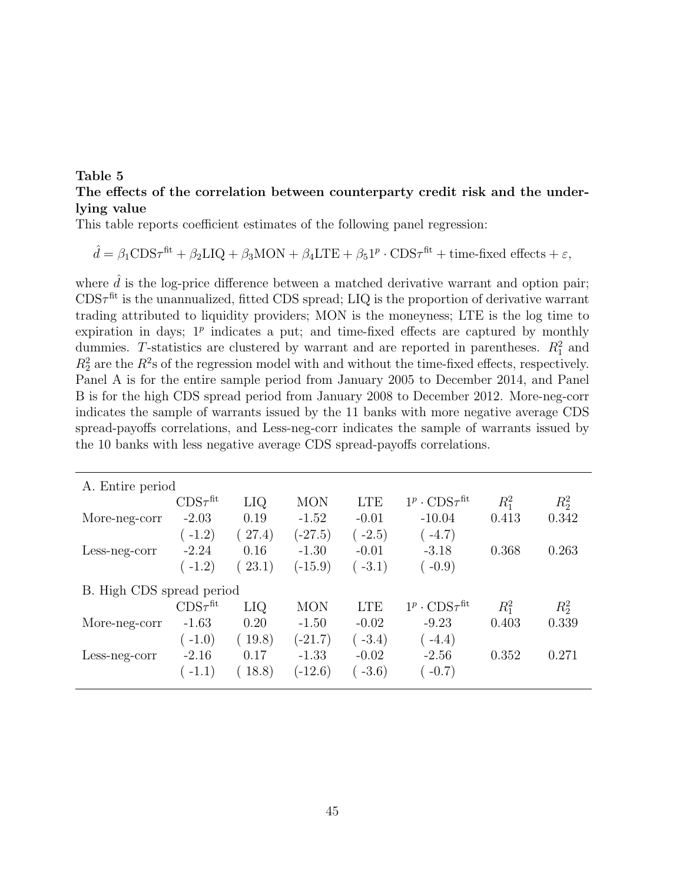#### Table 5 The effects of the correlation between counterparty credit risk and the underlying value

This table reports coefficient estimates of the following panel regression:

$$
\hat{d} = \beta_1 \text{CDS}\tau^{\text{fit}} + \beta_2 \text{LIQ} + \beta_3 \text{MON} + \beta_4 \text{LTE} + \beta_5 \text{1}^p \cdot \text{CDS}\tau^{\text{fit}} + \text{time-fixed effects} + \varepsilon,
$$

where  $\hat{d}$  is the log-price difference between a matched derivative warrant and option pair;  $CDS\tau^{fit}$  is the unannualized, fitted CDS spread; LIQ is the proportion of derivative warrant trading attributed to liquidity providers; MON is the moneyness; LTE is the log time to expiration in days;  $1^p$  indicates a put; and time-fixed effects are captured by monthly dummies. T-statistics are clustered by warrant and are reported in parentheses.  $R_1^2$  and  $R_2^2$  are the  $R^2$ s of the regression model with and without the time-fixed effects, respectively. Panel A is for the entire sample period from January 2005 to December 2014, and Panel B is for the high CDS spread period from January 2008 to December 2012. More-neg-corr indicates the sample of warrants issued by the 11 banks with more negative average CDS spread-payoffs correlations, and Less-neg-corr indicates the sample of warrants issued by the 10 banks with less negative average CDS spread-payoffs correlations.

| A. Entire period          |                        |        |            |            |                                         |         |         |
|---------------------------|------------------------|--------|------------|------------|-----------------------------------------|---------|---------|
|                           | $CDS\tau^{\text{fit}}$ | LIQ    | <b>MON</b> | <b>LTE</b> | $1^p \cdot \text{CDS}\tau^{\text{fit}}$ | $R_1^2$ | $R_2^2$ |
| More-neg-corr             | $-2.03$                | 0.19   | $-1.52$    | $-0.01$    | $-10.04$                                | 0.413   | 0.342   |
|                           | $-1.2)$                | 27.4)  | $(-27.5)$  | $-2.5)$    | $-4.7)$                                 |         |         |
| Less-neg-corr             | $-2.24$                | 0.16   | $-1.30$    | $-0.01$    | $-3.18$                                 | 0.368   | 0.263   |
|                           | $(-1.2)$               | (23.1) | $(-15.9)$  | $-3.1)$    | $(-0.9)$                                |         |         |
| B. High CDS spread period |                        |        |            |            |                                         |         |         |
|                           | $CDS\tau^{\text{fit}}$ | LIQ.   | <b>MON</b> | <b>LTE</b> | $1^p \cdot \text{CDS}\tau^{\text{fit}}$ | $R_1^2$ | $R_2^2$ |
| More-neg-corr             | $-1.63$                | 0.20   | $-1.50$    | $-0.02$    | $-9.23$                                 | 0.403   | 0.339   |
|                           | $-1.0)$                | 19.8)  | $(-21.7)$  | $-3.4)$    | $(-4.4)$                                |         |         |
| Less-neg-corr             | $-2.16$                | 0.17   | $-1.33$    | $-0.02$    | $-2.56$                                 | 0.352   | 0.271   |
|                           | $(-1.1)$               | 18.8)  | $(-12.6)$  | $-3.6)$    | $-0.7)$                                 |         |         |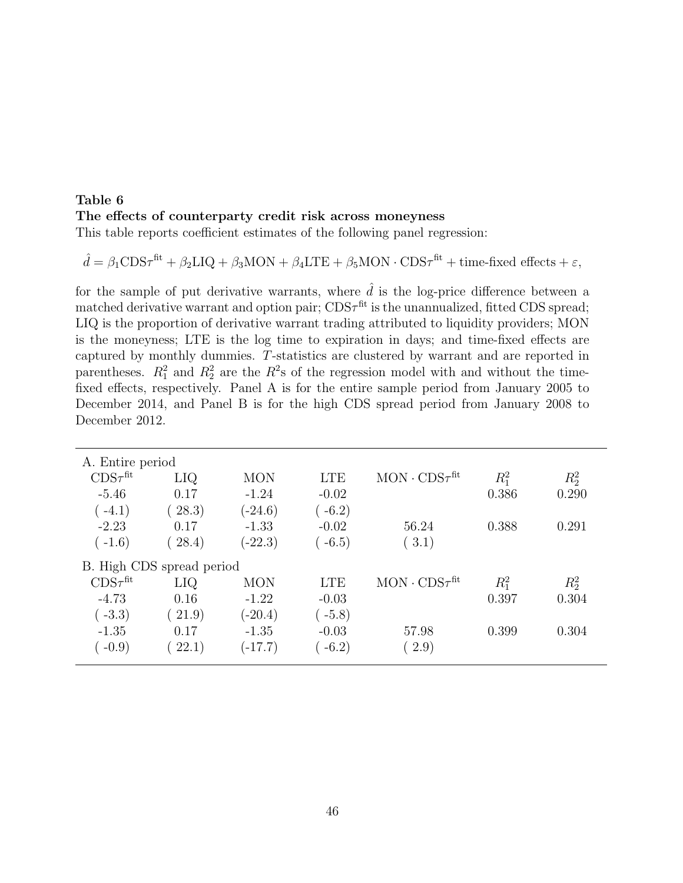### Table 6 The effects of counterparty credit risk across moneyness

This table reports coefficient estimates of the following panel regression:

$$
\hat{d} = \beta_1 \text{CDS}\tau^{\text{fit}} + \beta_2 \text{LIQ} + \beta_3 \text{MON} + \beta_4 \text{LTE} + \beta_5 \text{MON} \cdot \text{CDS}\tau^{\text{fit}} + \text{time-fixed effects} + \varepsilon,
$$

for the sample of put derivative warrants, where  $\hat{d}$  is the log-price difference between a matched derivative warrant and option pair;  $CDS\tau^{fit}$  is the unannualized, fitted CDS spread; LIQ is the proportion of derivative warrant trading attributed to liquidity providers; MON is the moneyness; LTE is the log time to expiration in days; and time-fixed effects are captured by monthly dummies. T-statistics are clustered by warrant and are reported in parentheses.  $R_1^2$  and  $R_2^2$  are the  $R^2$ s of the regression model with and without the timefixed effects, respectively. Panel A is for the entire sample period from January 2005 to December 2014, and Panel B is for the high CDS spread period from January 2008 to December 2012.

| A. Entire period       |                           |            |            |                           |         |         |
|------------------------|---------------------------|------------|------------|---------------------------|---------|---------|
| $CDS\tau^{\text{fit}}$ | LIQ                       | <b>MON</b> | <b>LTE</b> | $MON \cdot CDS\tau^{fit}$ | $R_1^2$ | $R_2^2$ |
| $-5.46$                | 0.17                      | $-1.24$    | $-0.02$    |                           | 0.386   | 0.290   |
| $(-4.1)$               | 28.3)                     | $(-24.6)$  | $(-6.2)$   |                           |         |         |
| $-2.23$                | 0.17                      | $-1.33$    | $-0.02$    | 56.24                     | 0.388   | 0.291   |
| $(-1.6)$               | 28.4)                     | $(-22.3)$  | $(-6.5)$   | (3.1)                     |         |         |
|                        | B. High CDS spread period |            |            |                           |         |         |
| $CDS\tau^{\text{fit}}$ | LIQ                       | <b>MON</b> | <b>LTE</b> | $MON \cdot CDS\tau^{fit}$ | $R_1^2$ | $R_2^2$ |
| $-4.73$                | 0.16                      | $-1.22$    | $-0.03$    |                           | 0.397   | 0.304   |
| $(-3.3)$               | (21.9)                    | $(-20.4)$  | $(-5.8)$   |                           |         |         |
| $-1.35$                | 0.17                      | $-1.35$    | $-0.03$    | 57.98                     | 0.399   | 0.304   |
| $-0.9)$                | 22.1)                     | $(-17.7)$  | $-6.2)$    | (2.9)                     |         |         |
|                        |                           |            |            |                           |         |         |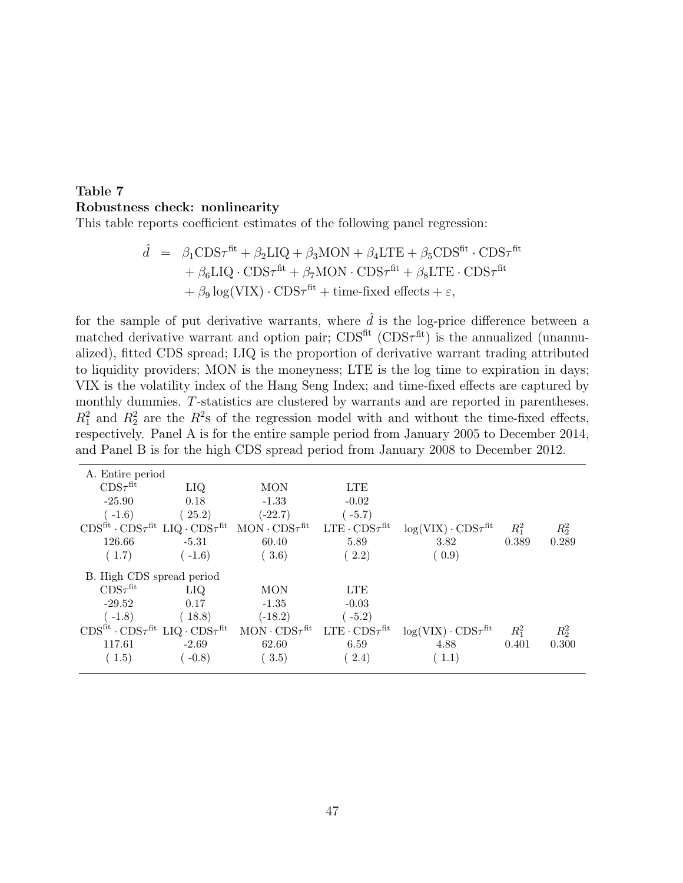### Table 7 Robustness check: nonlinearity

This table reports coefficient estimates of the following panel regression:

$$
\hat{d} = \beta_1 \text{CDS}\tau^{\text{fit}} + \beta_2 \text{LIQ} + \beta_3 \text{MON} + \beta_4 \text{LTE} + \beta_5 \text{CDS}^{\text{fit}} \cdot \text{CDS}\tau^{\text{fit}} + \beta_6 \text{LIQ} \cdot \text{CDS}\tau^{\text{fit}} + \beta_7 \text{MON} \cdot \text{CDS}\tau^{\text{fit}} + \beta_8 \text{LTE} \cdot \text{CDS}\tau^{\text{fit}} + \beta_9 \log(\text{VIX}) \cdot \text{CDS}\tau^{\text{fit}} + \text{time-fixed effects} + \varepsilon,
$$

for the sample of put derivative warrants, where  $\hat{d}$  is the log-price difference between a matched derivative warrant and option pair;  $CDS<sup>fit</sup>$  ( $CDS<sup>fit</sup>$ ) is the annualized (unannualized), fitted CDS spread; LIQ is the proportion of derivative warrant trading attributed to liquidity providers; MON is the moneyness; LTE is the log time to expiration in days; VIX is the volatility index of the Hang Seng Index; and time-fixed effects are captured by monthly dummies. T-statistics are clustered by warrants and are reported in parentheses.  $R_1^2$  and  $R_2^2$  are the  $R^2$ s of the regression model with and without the time-fixed effects, respectively. Panel A is for the entire sample period from January 2005 to December 2014, and Panel B is for the high CDS spread period from January 2008 to December 2012.

| A. Entire period                                                               |            |                           |                           |                                 |         |         |
|--------------------------------------------------------------------------------|------------|---------------------------|---------------------------|---------------------------------|---------|---------|
| $CDS\tau^{\text{fit}}$                                                         | LIQ        | MON                       | <b>LTE</b>                |                                 |         |         |
| $-25.90$                                                                       | 0.18       | $-1.33$                   | $-0.02$                   |                                 |         |         |
| $(-1.6)$                                                                       | (25.2)     | $(-22.7)$                 | $-5.7)$                   |                                 |         |         |
| $CDS^{\text{fit}} \cdot CDS\tau^{\text{fit}}$ LIQ $\cdot CDS\tau^{\text{fit}}$ |            | $MON \cdot CDS\tau^{fit}$ | $LTE \cdot CDS\tau^{fit}$ | $\log(VIX) \cdot CDS\tau^{fit}$ | $R_1^2$ | $R_2^2$ |
| 126.66                                                                         | $-5.31$    | 60.40                     | 5.89                      | 3.82                            | 0.389   | 0.289   |
| (1.7)                                                                          | $-1.6)$    | 3.6)                      | (2.2)                     | (0.9)                           |         |         |
| B. High CDS spread period                                                      |            |                           |                           |                                 |         |         |
| $CDS\tau^{\text{fit}}$                                                         | <b>LIQ</b> | <b>MON</b>                | <b>LTE</b>                |                                 |         |         |
| $-29.52$                                                                       | 0.17       | $-1.35$                   | $-0.03$                   |                                 |         |         |
| $-1.8)$                                                                        | (18.8)     | $(-18.2)$                 | $-5.2)$                   |                                 |         |         |
| $CDS^{\text{fit}} \cdot CDS\tau^{\text{fit}}$ LIQ $\cdot CDS\tau^{\text{fit}}$ |            | $MON \cdot CDS\tau^{fit}$ | $LTE \cdot CDS\tau^{fit}$ | $\log(VIX) \cdot CDS\tau^{fit}$ | $R_1^2$ | $R_2^2$ |
| 117.61                                                                         | $-2.69$    | 62.60                     | 6.59                      | 4.88                            | 0.401   | 0.300   |
| (1.5)                                                                          | $-0.8$     | 3.5)                      | 2.4)                      | (1.1)                           |         |         |
|                                                                                |            |                           |                           |                                 |         |         |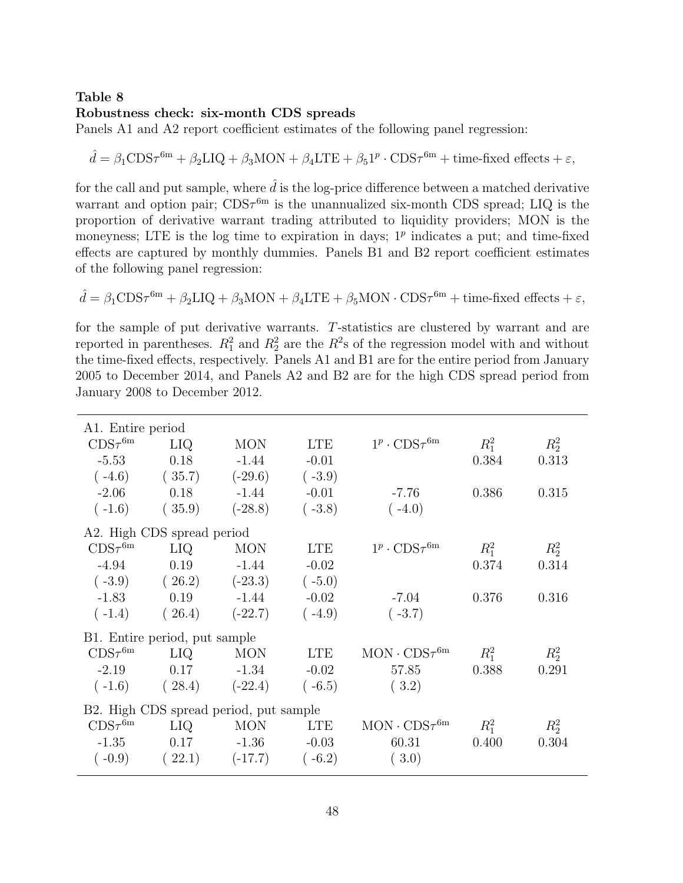#### Table 8 Robustness check: six-month CDS spreads

Panels A1 and A2 report coefficient estimates of the following panel regression:

$$
\hat{d} = \beta_1 \text{CDS}\tau^{\text{6m}} + \beta_2 \text{LIQ} + \beta_3 \text{MON} + \beta_4 \text{LTE} + \beta_5 \text{1}^p \cdot \text{CDS}\tau^{\text{6m}} + \text{time-fixed effects} + \varepsilon,
$$

for the call and put sample, where  $\hat{d}$  is the log-price difference between a matched derivative warrant and option pair;  $CDS\tau^{6m}$  is the unannualized six-month CDS spread; LIQ is the proportion of derivative warrant trading attributed to liquidity providers; MON is the moneyness; LTE is the log time to expiration in days;  $1<sup>p</sup>$  indicates a put; and time-fixed effects are captured by monthly dummies. Panels B1 and B2 report coefficient estimates of the following panel regression:

$$
\hat{d} = \beta_1 \text{CDS}\tau^{6\text{m}} + \beta_2 \text{LIQ} + \beta_3 \text{MON} + \beta_4 \text{LTE} + \beta_5 \text{MON} \cdot \text{CDS}\tau^{6\text{m}} + \text{time-fixed effects} + \varepsilon,
$$

for the sample of put derivative warrants. T-statistics are clustered by warrant and are reported in parentheses.  $R_1^2$  and  $R_2^2$  are the  $R^2$ s of the regression model with and without the time-fixed effects, respectively. Panels A1 and B1 are for the entire period from January 2005 to December 2014, and Panels A2 and B2 are for the high CDS spread period from January 2008 to December 2012.

| A1. Entire period          |                               |                                        |            |                                        |         |         |
|----------------------------|-------------------------------|----------------------------------------|------------|----------------------------------------|---------|---------|
| $\text{CDS}\tau^\text{6m}$ | LIQ.                          | <b>MON</b>                             | <b>LTE</b> | $1^p \cdot \text{CDS}\tau^{\text{6m}}$ | $R_1^2$ | $R_2^2$ |
| $-5.53$                    | 0.18                          | $-1.44$                                | $-0.01$    |                                        | 0.384   | 0.313   |
| $(-4.6)$                   | (35.7)                        | $(-29.6)$                              | $(-3.9)$   |                                        |         |         |
| $-2.06$                    | 0.18                          | $-1.44$                                | $-0.01$    | $-7.76$                                | 0.386   | 0.315   |
| $(-1.6)$                   | (35.9)                        | $(-28.8)$                              | $(-3.8)$   | $(-4.0)$                               |         |         |
|                            | A2. High CDS spread period    |                                        |            |                                        |         |         |
| $CDS\tau^{6m}$             | LIQ.                          | <b>MON</b>                             | <b>LTE</b> | $1^p \cdot \text{CDS}\tau^{\text{6m}}$ | $R_1^2$ | $R_2^2$ |
| $-4.94$                    | 0.19                          | $-1.44$                                | $-0.02$    |                                        | 0.374   | 0.314   |
| $(-3.9)$                   | (26.2)                        | $(-23.3)$                              | $(-5.0)$   |                                        |         |         |
| $-1.83$                    | 0.19                          | $-1.44$                                | $-0.02$    | $-7.04$                                | 0.376   | 0.316   |
| $(-1.4)$                   | (26.4)                        | $(-22.7)$                              | $(-4.9)$   | $(-3.7)$                               |         |         |
|                            | B1. Entire period, put sample |                                        |            |                                        |         |         |
| $CDS\tau^{\text{6m}}$      | LIQ.                          | <b>MON</b>                             | <b>LTE</b> | $MON \cdot CDS\tau^{6m}$               | $R_1^2$ | $R_2^2$ |
| $-2.19$                    | 0.17                          | $-1.34$                                | $-0.02$    | 57.85                                  | 0.388   | 0.291   |
| $(-1.6)$                   | (28.4)                        | $(-22.4)$                              | $(-6.5)$   | (3.2)                                  |         |         |
|                            |                               | B2. High CDS spread period, put sample |            |                                        |         |         |
| $\text{CDS}\tau^\text{6m}$ | LIQ.                          | <b>MON</b>                             | <b>LTE</b> | $MON \cdot CDS\tau^{6m}$               | $R_1^2$ | $R_2^2$ |
| $-1.35$                    | 0.17                          | $-1.36$                                | $-0.03$    | 60.31                                  | 0.400   | 0.304   |
| $(-0.9)$                   | (22.1)                        | $(-17.7)$                              | $(-6.2)$   | (3.0)                                  |         |         |
|                            |                               |                                        |            |                                        |         |         |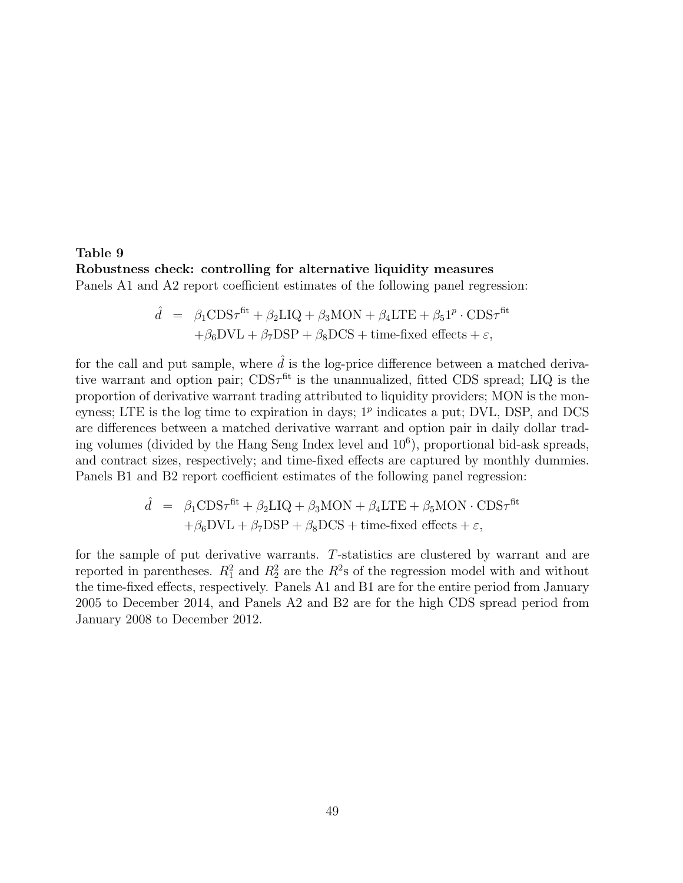#### Table 9 Robustness check: controlling for alternative liquidity measures Panels A1 and A2 report coefficient estimates of the following panel regression:

$$
\hat{d} = \beta_1 \text{CDS}\tau^{\text{fit}} + \beta_2 \text{LIQ} + \beta_3 \text{MON} + \beta_4 \text{LTE} + \beta_5 \text{1}^p \cdot \text{CDS}\tau^{\text{fit}} + \beta_6 \text{DVL} + \beta_7 \text{DSP} + \beta_8 \text{DCS} + \text{time-fixed effects} + \varepsilon,
$$

for the call and put sample, where  $\hat{d}$  is the log-price difference between a matched derivative warrant and option pair;  $CDS\tau^{\text{fit}}$  is the unannualized, fitted CDS spread; LIQ is the proportion of derivative warrant trading attributed to liquidity providers; MON is the moneyness; LTE is the log time to expiration in days;  $1<sup>p</sup>$  indicates a put; DVL, DSP, and DCS are differences between a matched derivative warrant and option pair in daily dollar trading volumes (divided by the Hang Seng Index level and  $10^6$ ), proportional bid-ask spreads, and contract sizes, respectively; and time-fixed effects are captured by monthly dummies. Panels B1 and B2 report coefficient estimates of the following panel regression:

$$
\hat{d} = \beta_1 \text{CDS}\tau^{\text{fit}} + \beta_2 \text{LIQ} + \beta_3 \text{MON} + \beta_4 \text{LTE} + \beta_5 \text{MON} \cdot \text{CDS}\tau^{\text{fit}} + \beta_6 \text{DVL} + \beta_7 \text{DSP} + \beta_8 \text{DCS} + \text{time-fixed effects} + \varepsilon,
$$

for the sample of put derivative warrants. T-statistics are clustered by warrant and are reported in parentheses.  $R_1^2$  and  $R_2^2$  are the  $R^2$ s of the regression model with and without the time-fixed effects, respectively. Panels A1 and B1 are for the entire period from January 2005 to December 2014, and Panels A2 and B2 are for the high CDS spread period from January 2008 to December 2012.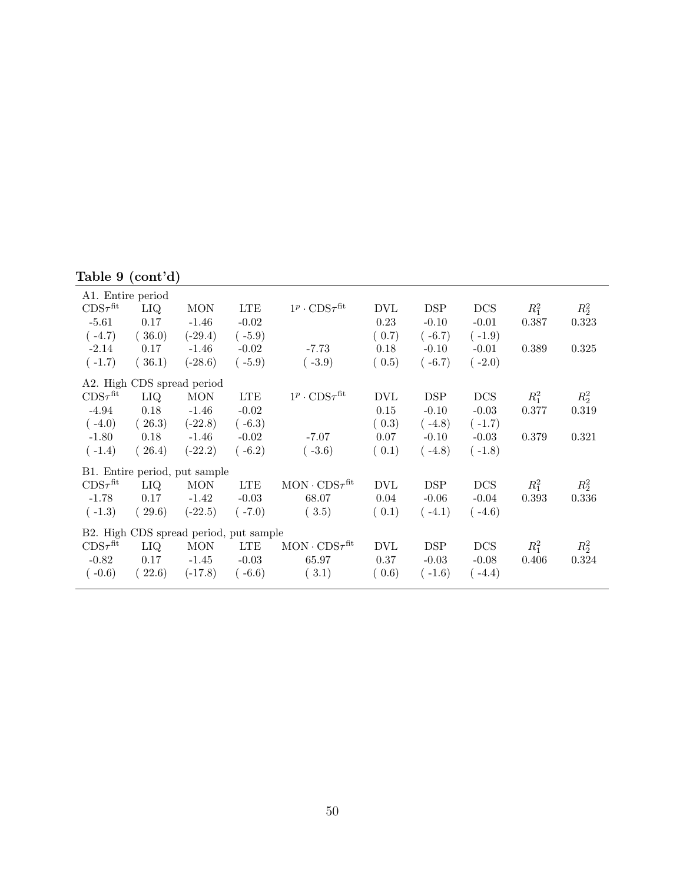# Table 9 (cont'd)

| A1. Entire period             |            |                                        |            |                                         |            |            |            |         |         |
|-------------------------------|------------|----------------------------------------|------------|-----------------------------------------|------------|------------|------------|---------|---------|
| $\text{CDS}\tau^\text{fit}$   | <b>LIQ</b> | <b>MON</b>                             | <b>LTE</b> | $1^p \cdot \text{CDS}\tau^\text{fit}$   | <b>DVL</b> | <b>DSP</b> | <b>DCS</b> | $R_1^2$ | $R_2^2$ |
| $-5.61$                       | 0.17       | $-1.46$                                | $-0.02$    |                                         | 0.23       | $-0.10$    | $-0.01$    | 0.387   | 0.323   |
| $(-4.7)$                      | (36.0)     | $(-29.4)$                              | $(-5.9)$   |                                         | (0.7)      | $(-6.7)$   | $(-1.9)$   |         |         |
| $-2.14$                       | 0.17       | $-1.46$                                | $-0.02$    | $-7.73$                                 | 0.18       | $-0.10$    | $-0.01$    | 0.389   | 0.325   |
| $(-1.7)$                      | (36.1)     | $(-28.6)$                              | $(-5.9)$   | $(-3.9)$                                | (0.5)      | $(-6.7)$   | $(-2.0)$   |         |         |
|                               |            | A2. High CDS spread period             |            |                                         |            |            |            |         |         |
| $\text{CDS}\tau^\text{fit}$   | <b>LIQ</b> | <b>MON</b>                             | <b>LTE</b> | $1^p \cdot \text{CDS}\tau^{\text{fit}}$ | <b>DVL</b> | <b>DSP</b> | <b>DCS</b> | $R_1^2$ | $R_2^2$ |
| $-4.94$                       | 0.18       | $-1.46$                                | $-0.02$    |                                         | 0.15       | $-0.10$    | $-0.03$    | 0.377   | 0.319   |
| $(-4.0)$                      | (26.3)     | $(-22.8)$                              | $(-6.3)$   |                                         | (0.3)      | $(-4.8)$   | $(-1.7)$   |         |         |
| $-1.80$                       | 0.18       | $-1.46$                                | $-0.02$    | $-7.07$                                 | 0.07       | $-0.10$    | $-0.03$    | 0.379   | 0.321   |
| $(-1.4)$                      | (26.4)     | $(-22.2)$                              | $(-6.2)$   | $(-3.6)$                                | (0.1)      | $(-4.8)$   | $(-1.8)$   |         |         |
|                               |            | B1. Entire period, put sample          |            |                                         |            |            |            |         |         |
| $\text{CDS}\tau^{\text{fit}}$ | LIQ        | <b>MON</b>                             | <b>LTE</b> | $MON \cdot CDS\tau^{fit}$               | <b>DVL</b> | <b>DSP</b> | <b>DCS</b> | $R_1^2$ | $R_2^2$ |
| $-1.78$                       | 0.17       | $-1.42$                                | $-0.03$    | 68.07                                   | 0.04       | $-0.06$    | $-0.04$    | 0.393   | 0.336   |
| $(-1.3)$                      | (29.6)     | $(-22.5)$                              | $(-7.0)$   | (3.5)                                   | (0.1)      | $(-4.1)$   | $(-4.6)$   |         |         |
|                               |            | B2. High CDS spread period, put sample |            |                                         |            |            |            |         |         |
| $CDS\tau^{\text{fit}}$        | <b>LIQ</b> | <b>MON</b>                             | <b>LTE</b> | $MON \cdot CDS\tau^{fit}$               | <b>DVL</b> | <b>DSP</b> | <b>DCS</b> | $R_1^2$ | $R_2^2$ |
| $-0.82$                       | 0.17       | $-1.45$                                | $-0.03$    | 65.97                                   | 0.37       | $-0.03$    | $-0.08$    | 0.406   | 0.324   |
| $(-0.6)$                      | 22.6)      | $(-17.8)$                              | $-6.6)$    | (3.1)                                   | (0.6)      | $(-1.6)$   | $(-4.4)$   |         |         |
|                               |            |                                        |            |                                         |            |            |            |         |         |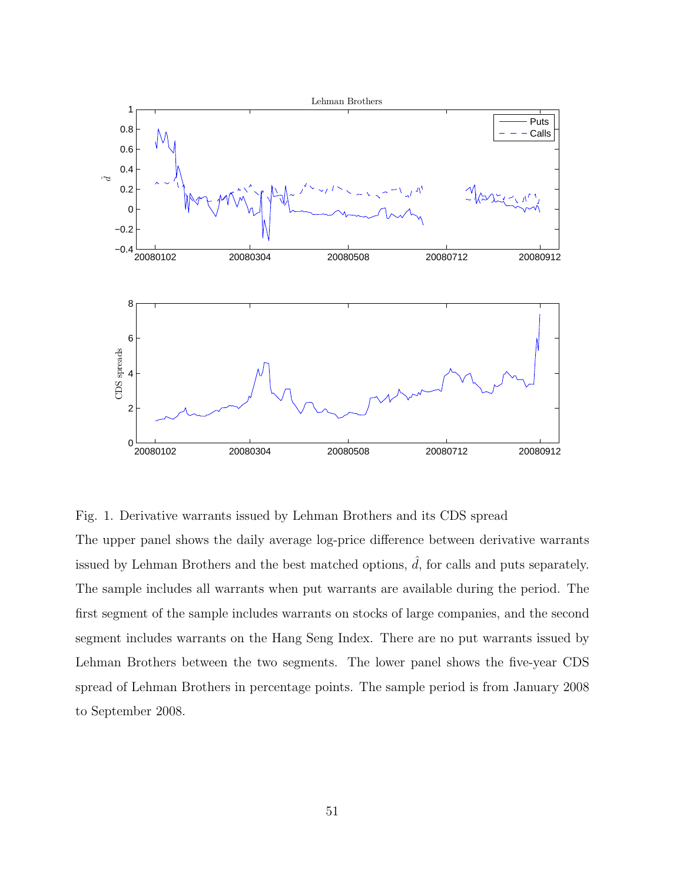

Fig. 1. Derivative warrants issued by Lehman Brothers and its CDS spread

The upper panel shows the daily average log-price difference between derivative warrants issued by Lehman Brothers and the best matched options,  $\hat{d}$ , for calls and puts separately. The sample includes all warrants when put warrants are available during the period. The first segment of the sample includes warrants on stocks of large companies, and the second segment includes warrants on the Hang Seng Index. There are no put warrants issued by Lehman Brothers between the two segments. The lower panel shows the five-year CDS spread of Lehman Brothers in percentage points. The sample period is from January 2008 to September 2008.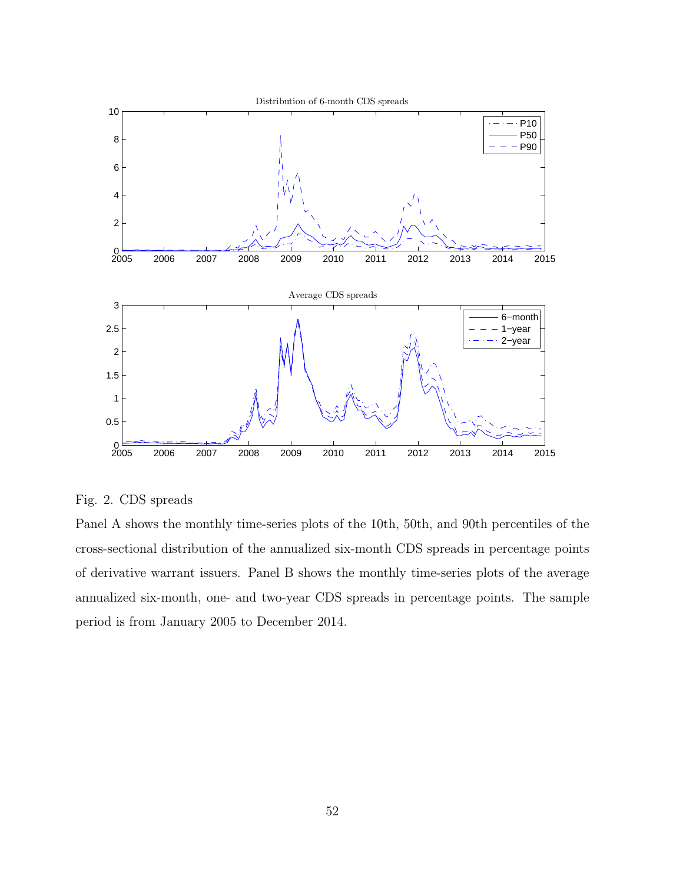

Fig. 2. CDS spreads

Panel A shows the monthly time-series plots of the 10th, 50th, and 90th percentiles of the cross-sectional distribution of the annualized six-month CDS spreads in percentage points of derivative warrant issuers. Panel B shows the monthly time-series plots of the average annualized six-month, one- and two-year CDS spreads in percentage points. The sample period is from January 2005 to December 2014.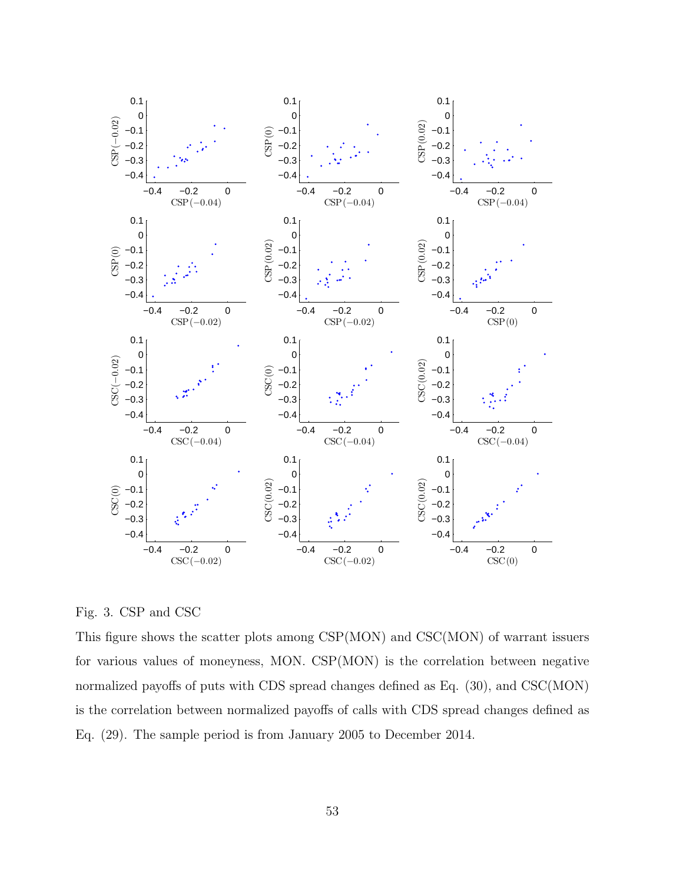

Fig. 3. CSP and CSC

This figure shows the scatter plots among CSP(MON) and CSC(MON) of warrant issuers for various values of moneyness, MON. CSP(MON) is the correlation between negative normalized payoffs of puts with CDS spread changes defined as Eq.  $(30)$ , and CSC(MON) is the correlation between normalized payoffs of calls with CDS spread changes defined as Eq. (29). The sample period is from January 2005 to December 2014.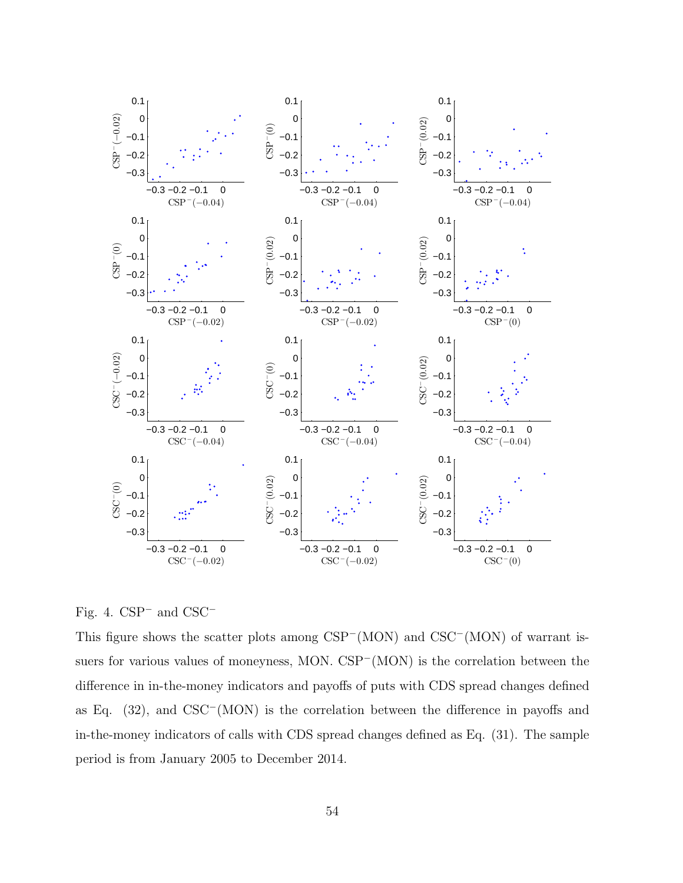

Fig. 4. CSP<sup>−</sup> and CSC<sup>−</sup>

This figure shows the scatter plots among CSP<sup>−</sup>(MON) and CSC<sup>−</sup>(MON) of warrant issuers for various values of moneyness, MON. CSP<sup>−</sup>(MON) is the correlation between the difference in in-the-money indicators and payoffs of puts with CDS spread changes defined as Eq. (32), and CSC<sup>−</sup>(MON) is the correlation between the difference in payoffs and in-the-money indicators of calls with CDS spread changes defined as Eq. (31). The sample period is from January 2005 to December 2014.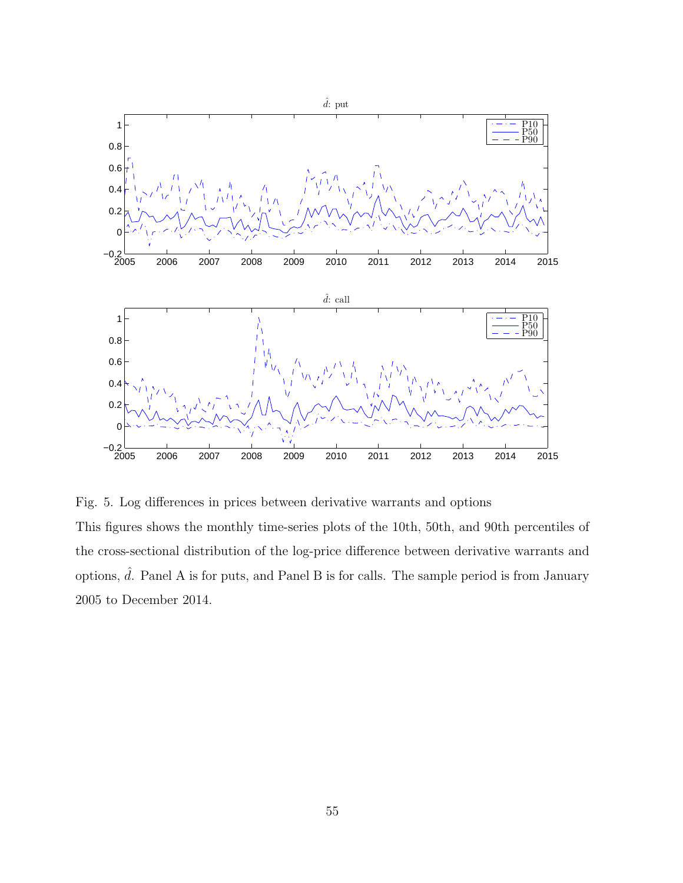

Fig. 5. Log differences in prices between derivative warrants and options

This figures shows the monthly time-series plots of the 10th, 50th, and 90th percentiles of the cross-sectional distribution of the log-price difference between derivative warrants and options,  $\hat{d}$ . Panel A is for puts, and Panel B is for calls. The sample period is from January 2005 to December 2014.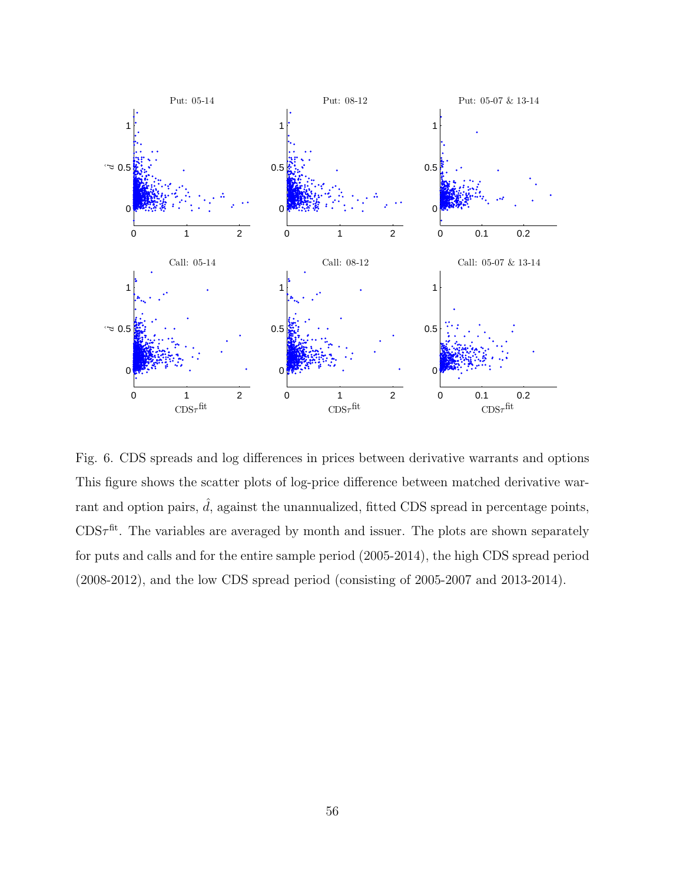

Fig. 6. CDS spreads and log differences in prices between derivative warrants and options This figure shows the scatter plots of log-price difference between matched derivative warrant and option pairs,  $\hat{d}$ , against the unannualized, fitted CDS spread in percentage points,  $CDS\tau^{\text{fit}}$ . The variables are averaged by month and issuer. The plots are shown separately for puts and calls and for the entire sample period (2005-2014), the high CDS spread period (2008-2012), and the low CDS spread period (consisting of 2005-2007 and 2013-2014).